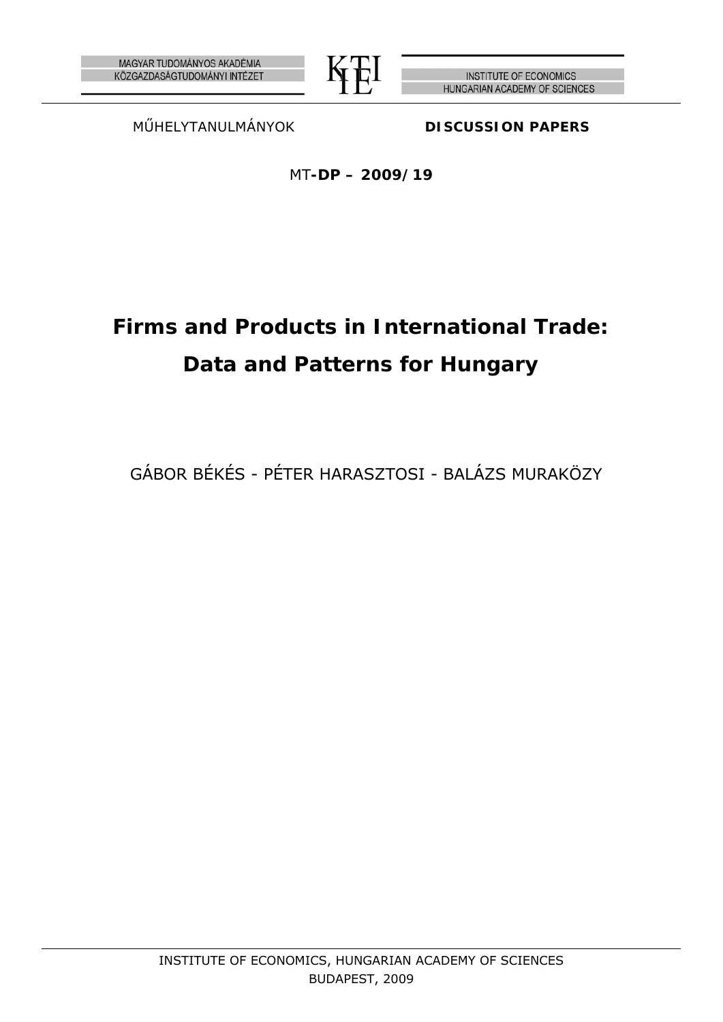



**INSTITUTE OF ECONOMICS** HUNGARIAN ACADEMY OF SCIENCES

MŰHELYTANULMÁNYOK **DISCUSSION PAPERS**

MT**-DP – 2009/19** 

# **Firms and Products in International Trade: Data and Patterns for Hungary**

GÁBOR BÉKÉS - PÉTER HARASZTOSI - BALÁZS MURAKÖZY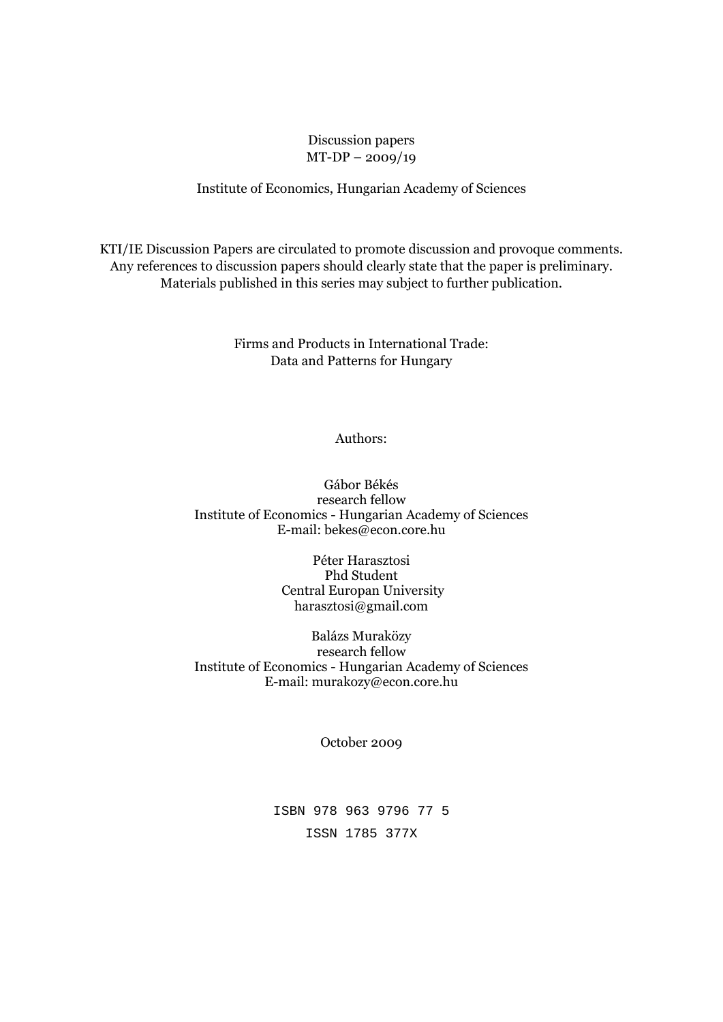## Discussion papers MT-DP – 2009/19

#### Institute of Economics, Hungarian Academy of Sciences

KTI/IE Discussion Papers are circulated to promote discussion and provoque comments. Any references to discussion papers should clearly state that the paper is preliminary. Materials published in this series may subject to further publication.

> Firms and Products in International Trade: Data and Patterns for Hungary

> > Authors:

Gábor Békés research fellow Institute of Economics - Hungarian Academy of Sciences E-mail: bekes@econ.core.hu

> Péter Harasztosi Phd Student Central Europan University harasztosi@gmail.com

Balázs Muraközy research fellow Institute of Economics - Hungarian Academy of Sciences E-mail: murakozy@econ.core.hu

October 2009

ISBN 978 963 9796 77 5 ISSN 1785 377X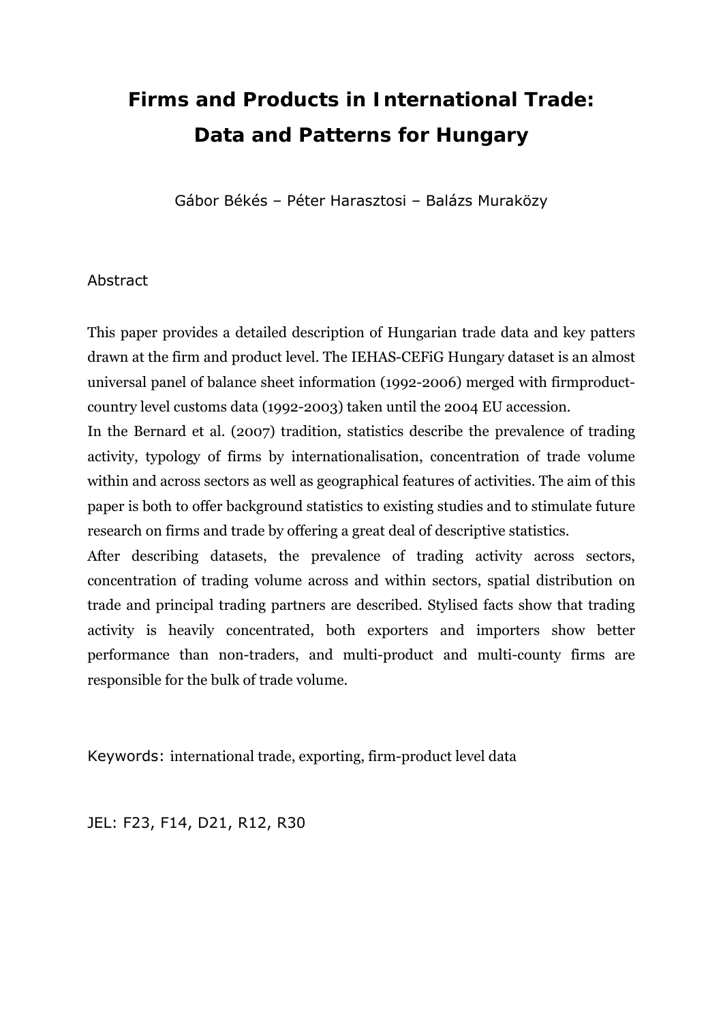# **Firms and Products in International Trade: Data and Patterns for Hungary**

Gábor Békés – Péter Harasztosi – Balázs Muraközy

## Abstract

This paper provides a detailed description of Hungarian trade data and key patters drawn at the firm and product level. The IEHAS-CEFiG Hungary dataset is an almost universal panel of balance sheet information (1992-2006) merged with firmproductcountry level customs data (1992-2003) taken until the 2004 EU accession.

In the Bernard et al. (2007) tradition, statistics describe the prevalence of trading activity, typology of firms by internationalisation, concentration of trade volume within and across sectors as well as geographical features of activities. The aim of this paper is both to offer background statistics to existing studies and to stimulate future research on firms and trade by offering a great deal of descriptive statistics.

After describing datasets, the prevalence of trading activity across sectors, concentration of trading volume across and within sectors, spatial distribution on trade and principal trading partners are described. Stylised facts show that trading activity is heavily concentrated, both exporters and importers show better performance than non-traders, and multi-product and multi-county firms are responsible for the bulk of trade volume.

Keywords: international trade, exporting, firm-product level data

JEL: F23, F14, D21, R12, R30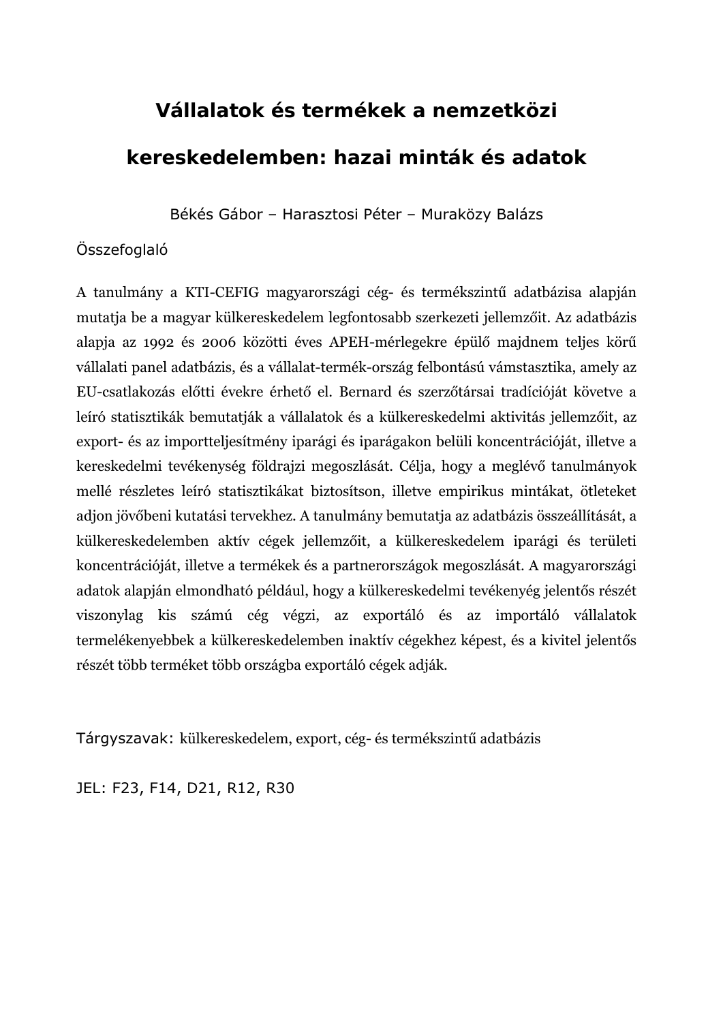# **Vállalatok és termékek a nemzetközi**

# **kereskedelemben: hazai minták és adatok**

Békés Gábor – Harasztosi Péter – Muraközy Balázs

## Összefoglaló

A tanulmány a KTI-CEFIG magyarországi cég- és termékszintű adatbázisa alapján mutatja be a magyar külkereskedelem legfontosabb szerkezeti jellemzőit. Az adatbázis alapja az 1992 és 2006 közötti éves APEH-mérlegekre épülő majdnem teljes körű vállalati panel adatbázis, és a vállalat-termék-ország felbontású vámstasztika, amely az EU-csatlakozás előtti évekre érhető el. Bernard és szerzőtársai tradícióját követve a leíró statisztikák bemutatják a vállalatok és a külkereskedelmi aktivitás jellemzőit, az export- és az importteljesítmény iparági és iparágakon belüli koncentrációját, illetve a kereskedelmi tevékenység földrajzi megoszlását. Célja, hogy a meglévő tanulmányok mellé részletes leíró statisztikákat biztosítson, illetve empirikus mintákat, ötleteket adjon jövőbeni kutatási tervekhez. A tanulmány bemutatja az adatbázis összeállítását, a külkereskedelemben aktív cégek jellemzőit, a külkereskedelem iparági és területi koncentrációját, illetve a termékek és a partnerországok megoszlását. A magyarországi adatok alapján elmondható például, hogy a külkereskedelmi tevékenyég jelentős részét viszonylag kis számú cég végzi, az exportáló és az importáló vállalatok termelékenyebbek a külkereskedelemben inaktív cégekhez képest, és a kivitel jelentős részét több terméket több országba exportáló cégek adják.

Tárgyszavak: külkereskedelem, export, cég- és termékszintű adatbázis

JEL: F23, F14, D21, R12, R30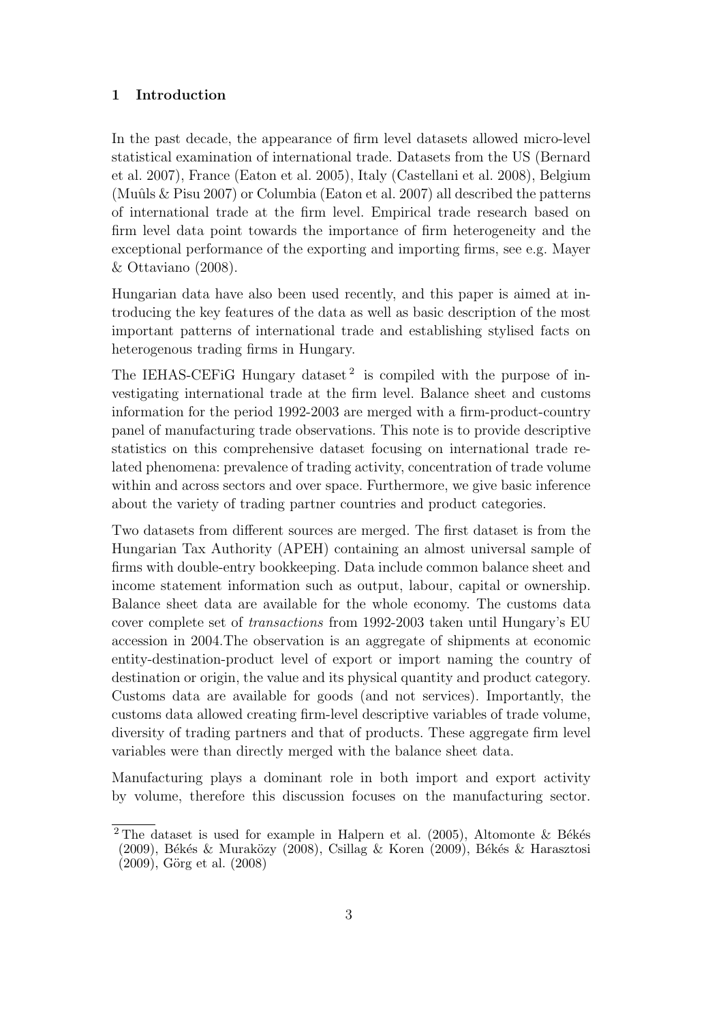#### **1 Introduction**

In the past decade, the appearance of firm level datasets allowed micro-level statistical examination of international trade. Datasets from the US (Bernard et al. 2007), France (Eaton et al. 2005), Italy (Castellani et al. 2008), Belgium (Muûls  $&$  Pisu 2007) or Columbia (Eaton et al. 2007) all described the patterns of international trade at the firm level. Empirical trade research based on firm level data point towards the importance of firm heterogeneity and the exceptional performance of the exporting and importing firms, see e.g. Mayer & Ottaviano (2008).

Hungarian data have also been used recently, and this paper is aimed at introducing the key features of the data as well as basic description of the most important patterns of international trade and establishing stylised facts on heterogenous trading firms in Hungary.

The IEHAS-CEFIG Hungary dataset<sup>2</sup> is compiled with the purpose of investigating international trade at the firm level. Balance sheet and customs information for the period 1992-2003 are merged with a firm-product-country panel of manufacturing trade observations. This note is to provide descriptive statistics on this comprehensive dataset focusing on international trade related phenomena: prevalence of trading activity, concentration of trade volume within and across sectors and over space. Furthermore, we give basic inference about the variety of trading partner countries and product categories.

Two datasets from different sources are merged. The first dataset is from the Hungarian Tax Authority (APEH) containing an almost universal sample of firms with double-entry bookkeeping. Data include common balance sheet and income statement information such as output, labour, capital or ownership. Balance sheet data are available for the whole economy. The customs data cover complete set of *transactions* from 1992-2003 taken until Hungary's EU accession in 2004.The observation is an aggregate of shipments at economic entity-destination-product level of export or import naming the country of destination or origin, the value and its physical quantity and product category. Customs data are available for goods (and not services). Importantly, the customs data allowed creating firm-level descriptive variables of trade volume, diversity of trading partners and that of products. These aggregate firm level variables were than directly merged with the balance sheet data.

Manufacturing plays a dominant role in both import and export activity by volume, therefore this discussion focuses on the manufacturing sector.

<sup>&</sup>lt;sup>2</sup> The dataset is used for example in Halpern et al. (2005), Altomonte & Békés (2009), Békés & Muraközy (2008), Csillag & Koren (2009), Békés & Harasztosi  $(2009)$ , Görg et al.  $(2008)$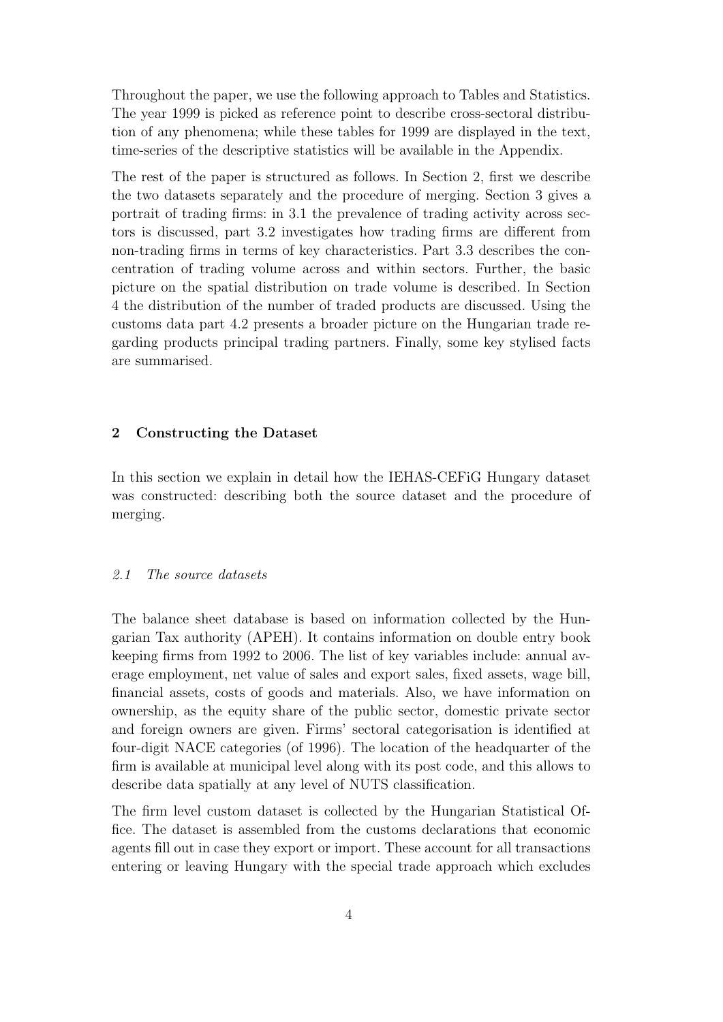Throughout the paper, we use the following approach to Tables and Statistics. The year 1999 is picked as reference point to describe cross-sectoral distribution of any phenomena; while these tables for 1999 are displayed in the text, time-series of the descriptive statistics will be available in the Appendix.

The rest of the paper is structured as follows. In Section 2, first we describe the two datasets separately and the procedure of merging. Section 3 gives a portrait of trading firms: in 3.1 the prevalence of trading activity across sectors is discussed, part 3.2 investigates how trading firms are different from non-trading firms in terms of key characteristics. Part 3.3 describes the concentration of trading volume across and within sectors. Further, the basic picture on the spatial distribution on trade volume is described. In Section 4 the distribution of the number of traded products are discussed. Using the customs data part 4.2 presents a broader picture on the Hungarian trade regarding products principal trading partners. Finally, some key stylised facts are summarised.

### **2 Constructing the Dataset**

In this section we explain in detail how the IEHAS-CEFiG Hungary dataset was constructed: describing both the source dataset and the procedure of merging.

#### *2.1 The source datasets*

The balance sheet database is based on information collected by the Hungarian Tax authority (APEH). It contains information on double entry book keeping firms from 1992 to 2006. The list of key variables include: annual average employment, net value of sales and export sales, fixed assets, wage bill, financial assets, costs of goods and materials. Also, we have information on ownership, as the equity share of the public sector, domestic private sector and foreign owners are given. Firms' sectoral categorisation is identified at four-digit NACE categories (of 1996). The location of the headquarter of the firm is available at municipal level along with its post code, and this allows to describe data spatially at any level of NUTS classification.

The firm level custom dataset is collected by the Hungarian Statistical Office. The dataset is assembled from the customs declarations that economic agents fill out in case they export or import. These account for all transactions entering or leaving Hungary with the special trade approach which excludes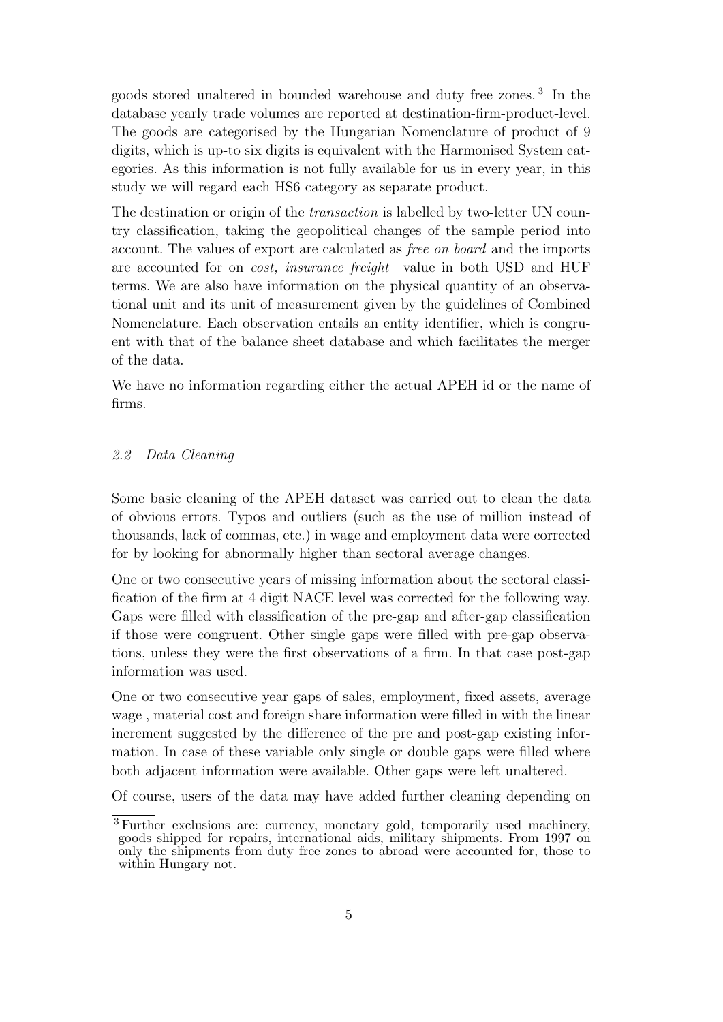goods stored unaltered in bounded warehouse and duty free zones. <sup>3</sup> In the database yearly trade volumes are reported at destination-firm-product-level. The goods are categorised by the Hungarian Nomenclature of product of 9 digits, which is up-to six digits is equivalent with the Harmonised System categories. As this information is not fully available for us in every year, in this study we will regard each HS6 category as separate product.

The destination or origin of the *transaction* is labelled by two-letter UN country classification, taking the geopolitical changes of the sample period into account. The values of export are calculated as *free on board* and the imports are accounted for on *cost, insurance freight* value in both USD and HUF terms. We are also have information on the physical quantity of an observational unit and its unit of measurement given by the guidelines of Combined Nomenclature. Each observation entails an entity identifier, which is congruent with that of the balance sheet database and which facilitates the merger of the data.

We have no information regarding either the actual APEH id or the name of firms.

#### *2.2 Data Cleaning*

Some basic cleaning of the APEH dataset was carried out to clean the data of obvious errors. Typos and outliers (such as the use of million instead of thousands, lack of commas, etc.) in wage and employment data were corrected for by looking for abnormally higher than sectoral average changes.

One or two consecutive years of missing information about the sectoral classification of the firm at 4 digit NACE level was corrected for the following way. Gaps were filled with classification of the pre-gap and after-gap classification if those were congruent. Other single gaps were filled with pre-gap observations, unless they were the first observations of a firm. In that case post-gap information was used.

One or two consecutive year gaps of sales, employment, fixed assets, average wage , material cost and foreign share information were filled in with the linear increment suggested by the difference of the pre and post-gap existing information. In case of these variable only single or double gaps were filled where both adjacent information were available. Other gaps were left unaltered.

Of course, users of the data may have added further cleaning depending on

<sup>&</sup>lt;sup>3</sup> Further exclusions are: currency, monetary gold, temporarily used machinery, goods shipped for repairs, international aids, military shipments. From 1997 on only the shipments from duty free zones to abroad were accounted for, those to within Hungary not.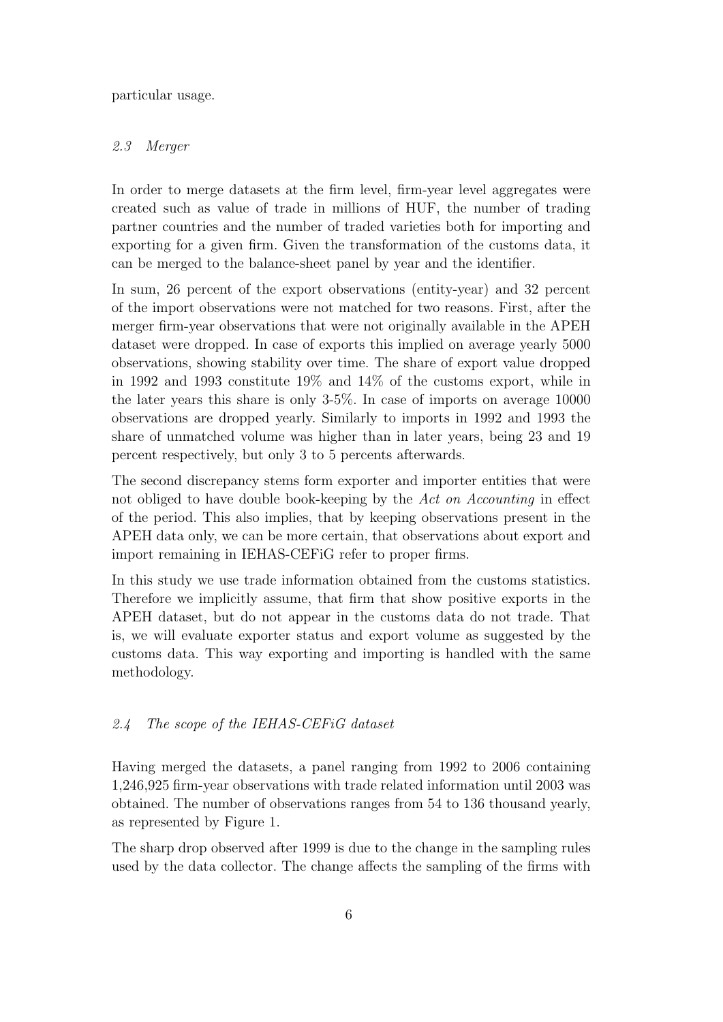particular usage.

#### *2.3 Merger*

In order to merge datasets at the firm level, firm-year level aggregates were created such as value of trade in millions of HUF, the number of trading partner countries and the number of traded varieties both for importing and exporting for a given firm. Given the transformation of the customs data, it can be merged to the balance-sheet panel by year and the identifier.

In sum, 26 percent of the export observations (entity-year) and 32 percent of the import observations were not matched for two reasons. First, after the merger firm-year observations that were not originally available in the APEH dataset were dropped. In case of exports this implied on average yearly 5000 observations, showing stability over time. The share of export value dropped in 1992 and 1993 constitute 19% and 14% of the customs export, while in the later years this share is only 3-5%. In case of imports on average 10000 observations are dropped yearly. Similarly to imports in 1992 and 1993 the share of unmatched volume was higher than in later years, being 23 and 19 percent respectively, but only 3 to 5 percents afterwards.

The second discrepancy stems form exporter and importer entities that were not obliged to have double book-keeping by the *Act on Accounting* in effect of the period. This also implies, that by keeping observations present in the APEH data only, we can be more certain, that observations about export and import remaining in IEHAS-CEFiG refer to proper firms.

In this study we use trade information obtained from the customs statistics. Therefore we implicitly assume, that firm that show positive exports in the APEH dataset, but do not appear in the customs data do not trade. That is, we will evaluate exporter status and export volume as suggested by the customs data. This way exporting and importing is handled with the same methodology.

#### *2.4 The scope of the IEHAS-CEFiG dataset*

Having merged the datasets, a panel ranging from 1992 to 2006 containing 1,246,925 firm-year observations with trade related information until 2003 was obtained. The number of observations ranges from 54 to 136 thousand yearly, as represented by Figure 1.

The sharp drop observed after 1999 is due to the change in the sampling rules used by the data collector. The change affects the sampling of the firms with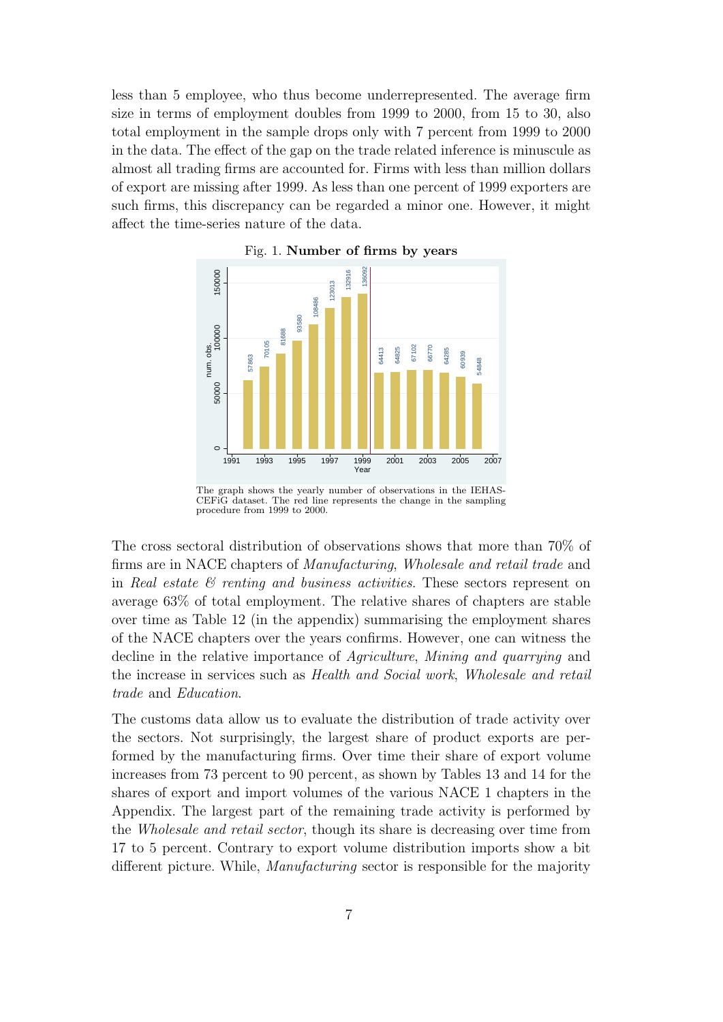less than 5 employee, who thus become underrepresented. The average firm size in terms of employment doubles from 1999 to 2000, from 15 to 30, also total employment in the sample drops only with 7 percent from 1999 to 2000 in the data. The effect of the gap on the trade related inference is minuscule as almost all trading firms are accounted for. Firms with less than million dollars of export are missing after 1999. As less than one percent of 1999 exporters are such firms, this discrepancy can be regarded a minor one. However, it might affect the time-series nature of the data.



Fig. 1. **Number of firms by years**

The graph shows the yearly number of observations in the IEHAS-CEFiG dataset. The red line represents the change in the sampling procedure from 1999 to 2000.

The cross sectoral distribution of observations shows that more than 70% of firms are in NACE chapters of *Manufacturing*, *Wholesale and retail trade* and in *Real estate & renting and business activities*. These sectors represent on average 63% of total employment. The relative shares of chapters are stable over time as Table 12 (in the appendix) summarising the employment shares of the NACE chapters over the years confirms. However, one can witness the decline in the relative importance of *Agriculture*, *Mining and quarrying* and the increase in services such as *Health and Social work*, *Wholesale and retail trade* and *Education*.

The customs data allow us to evaluate the distribution of trade activity over the sectors. Not surprisingly, the largest share of product exports are performed by the manufacturing firms. Over time their share of export volume increases from 73 percent to 90 percent, as shown by Tables 13 and 14 for the shares of export and import volumes of the various NACE 1 chapters in the Appendix. The largest part of the remaining trade activity is performed by the *Wholesale and retail sector*, though its share is decreasing over time from 17 to 5 percent. Contrary to export volume distribution imports show a bit different picture. While, *Manufacturing* sector is responsible for the majority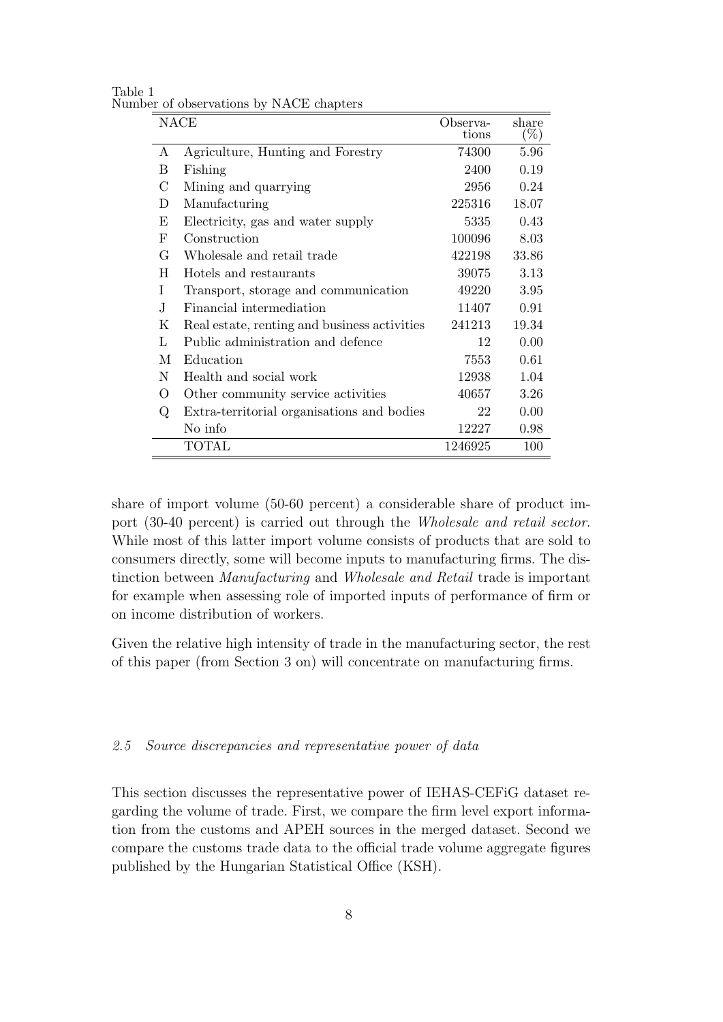| Table 1 |                                         |  |  |
|---------|-----------------------------------------|--|--|
|         | Number of observations by NACE chapters |  |  |

|    | <b>NACE</b>                                  | Observa-<br>tions | share<br>$(\%)$ |
|----|----------------------------------------------|-------------------|-----------------|
| А  | Agriculture, Hunting and Forestry            | 74300             | 5.96            |
|    |                                              |                   |                 |
| Β  | Fishing                                      | 2400              | 0.19            |
| C  | Mining and quarrying                         | 2956              | 0.24            |
| D  | Manufacturing                                | 225316            | 18.07           |
| Ε  | Electricity, gas and water supply            | 5335              | 0.43            |
| F  | Construction                                 | 100096            | 8.03            |
| G  | Wholesale and retail trade                   | 422198            | 33.86           |
| H  | Hotels and restaurants                       | 39075             | 3.13            |
| T  | Transport, storage and communication         | 49220             | 3.95            |
| J. | Financial intermediation                     | 11407             | 0.91            |
| Κ  | Real estate, renting and business activities | 241213            | 19.34           |
| L  | Public administration and defence            | 12                | 0.00            |
| М  | Education                                    | 7553              | 0.61            |
| N  | Health and social work                       | 12938             | 1.04            |
| O  | Other community service activities           | 40657             | 3.26            |
| Q  | Extra-territorial organisations and bodies   | 22                | 0.00            |
|    | No info                                      | 12227             | 0.98            |
|    | <b>TOTAL</b>                                 | 1246925           | 100             |

share of import volume (50-60 percent) a considerable share of product import (30-40 percent) is carried out through the *Wholesale and retail sector*. While most of this latter import volume consists of products that are sold to consumers directly, some will become inputs to manufacturing firms. The distinction between *Manufacturing* and *Wholesale and Retail* trade is important for example when assessing role of imported inputs of performance of firm or on income distribution of workers.

Given the relative high intensity of trade in the manufacturing sector, the rest of this paper (from Section 3 on) will concentrate on manufacturing firms.

#### *2.5 Source discrepancies and representative power of data*

This section discusses the representative power of IEHAS-CEFiG dataset regarding the volume of trade. First, we compare the firm level export information from the customs and APEH sources in the merged dataset. Second we compare the customs trade data to the official trade volume aggregate figures published by the Hungarian Statistical Office (KSH).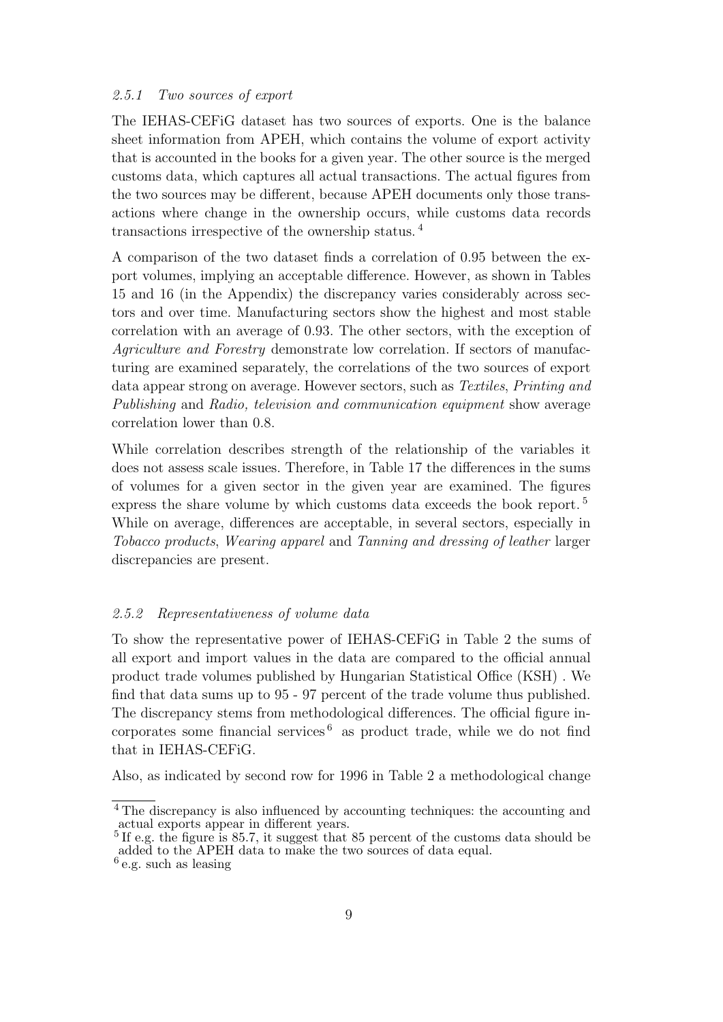#### *2.5.1 Two sources of export*

The IEHAS-CEFiG dataset has two sources of exports. One is the balance sheet information from APEH, which contains the volume of export activity that is accounted in the books for a given year. The other source is the merged customs data, which captures all actual transactions. The actual figures from the two sources may be different, because APEH documents only those transactions where change in the ownership occurs, while customs data records transactions irrespective of the ownership status. <sup>4</sup>

A comparison of the two dataset finds a correlation of 0.95 between the export volumes, implying an acceptable difference. However, as shown in Tables 15 and 16 (in the Appendix) the discrepancy varies considerably across sectors and over time. Manufacturing sectors show the highest and most stable correlation with an average of 0.93. The other sectors, with the exception of *Agriculture and Forestry* demonstrate low correlation. If sectors of manufacturing are examined separately, the correlations of the two sources of export data appear strong on average. However sectors, such as *Textiles*, *Printing and Publishing* and *Radio, television and communication equipment* show average correlation lower than 0.8.

While correlation describes strength of the relationship of the variables it does not assess scale issues. Therefore, in Table 17 the differences in the sums of volumes for a given sector in the given year are examined. The figures express the share volume by which customs data exceeds the book report.<sup>5</sup> While on average, differences are acceptable, in several sectors, especially in *Tobacco products*, *Wearing apparel* and *Tanning and dressing of leather* larger discrepancies are present.

#### *2.5.2 Representativeness of volume data*

To show the representative power of IEHAS-CEFiG in Table 2 the sums of all export and import values in the data are compared to the official annual product trade volumes published by Hungarian Statistical Office (KSH) . We find that data sums up to 95 - 97 percent of the trade volume thus published. The discrepancy stems from methodological differences. The official figure incorporates some financial services<sup> $6$ </sup> as product trade, while we do not find that in IEHAS-CEFiG.

Also, as indicated by second row for 1996 in Table 2 a methodological change

<sup>&</sup>lt;sup>4</sup> The discrepancy is also influenced by accounting techniques: the accounting and actual exports appear in different years.

<sup>&</sup>lt;sup>5</sup> If e.g. the figure is 85.7, it suggest that 85 percent of the customs data should be added to the APEH data to make the two sources of data equal.

<sup>&</sup>lt;sup>6</sup> e.g. such as leasing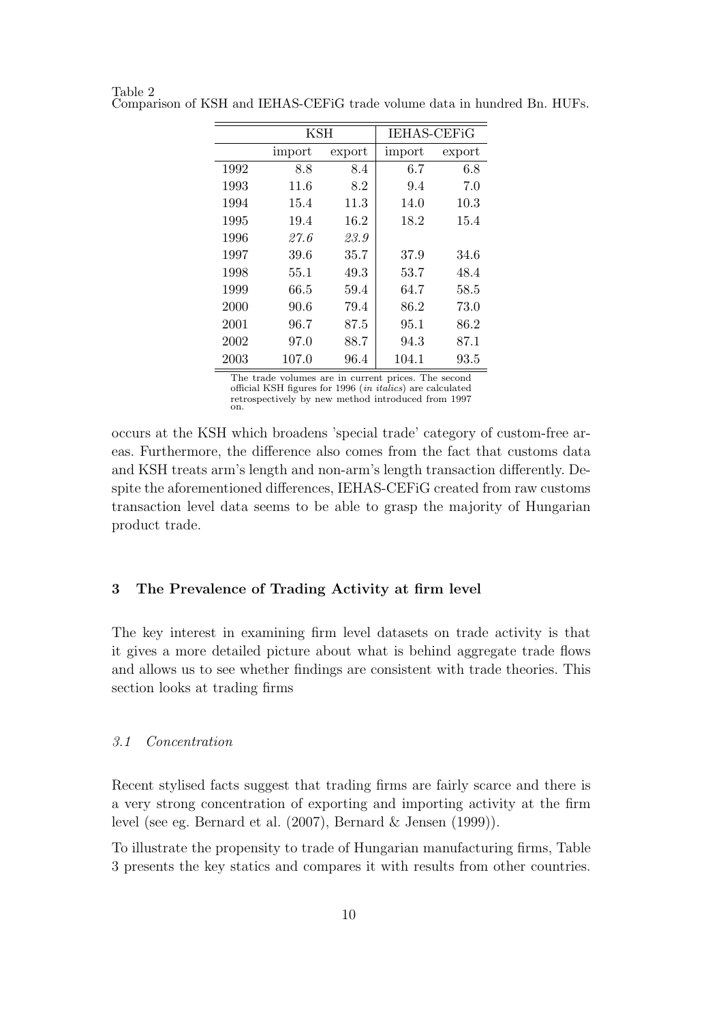|          | KSH    |        | <b>IEHAS-CEFIG</b> |        |  |
|----------|--------|--------|--------------------|--------|--|
|          | import | export | import             | export |  |
| 1992     | 8.8    | 8.4    | 6.7                | 6.8    |  |
| 1993     | 11.6   | 8.2    | 9.4                | 7.0    |  |
| 1994     | 15.4   | 11.3   | 14.0               | 10.3   |  |
| 1995     | 19.4   | 16.2   | 18.2               | 15.4   |  |
| 1996     | 27.6   | 23.9   |                    |        |  |
| 1997     | 39.6   | 35.7   | 37.9               | 34.6   |  |
| 1998     | 55.1   | 49.3   | 53.7               | 48.4   |  |
| 1999     | 66.5   | 59.4   | 64.7               | 58.5   |  |
| 2000     | 90.6   | 79.4   | 86.2               | 73.0   |  |
| 2001     | 96.7   | 87.5   | 95.1               | 86.2   |  |
| 2002     | 97.0   | 88.7   | 94.3               | 87.1   |  |
| $2003\,$ | 107.0  | 96.4   | 104.1              | 93.5   |  |

Table 2 Comparison of KSH and IEHAS-CEFiG trade volume data in hundred Bn. HUFs.

The trade volumes are in current prices. The second official KSH figures for 1996 (*in italics*) are calculated retrospectively by new method introduced from 1997 on.

occurs at the KSH which broadens 'special trade' category of custom-free areas. Furthermore, the difference also comes from the fact that customs data and KSH treats arm's length and non-arm's length transaction differently. Despite the aforementioned differences, IEHAS-CEFiG created from raw customs transaction level data seems to be able to grasp the majority of Hungarian product trade.

#### **3 The Prevalence of Trading Activity at firm level**

The key interest in examining firm level datasets on trade activity is that it gives a more detailed picture about what is behind aggregate trade flows and allows us to see whether findings are consistent with trade theories. This section looks at trading firms

#### *3.1 Concentration*

Recent stylised facts suggest that trading firms are fairly scarce and there is a very strong concentration of exporting and importing activity at the firm level (see eg. Bernard et al. (2007), Bernard & Jensen (1999)).

To illustrate the propensity to trade of Hungarian manufacturing firms, Table 3 presents the key statics and compares it with results from other countries.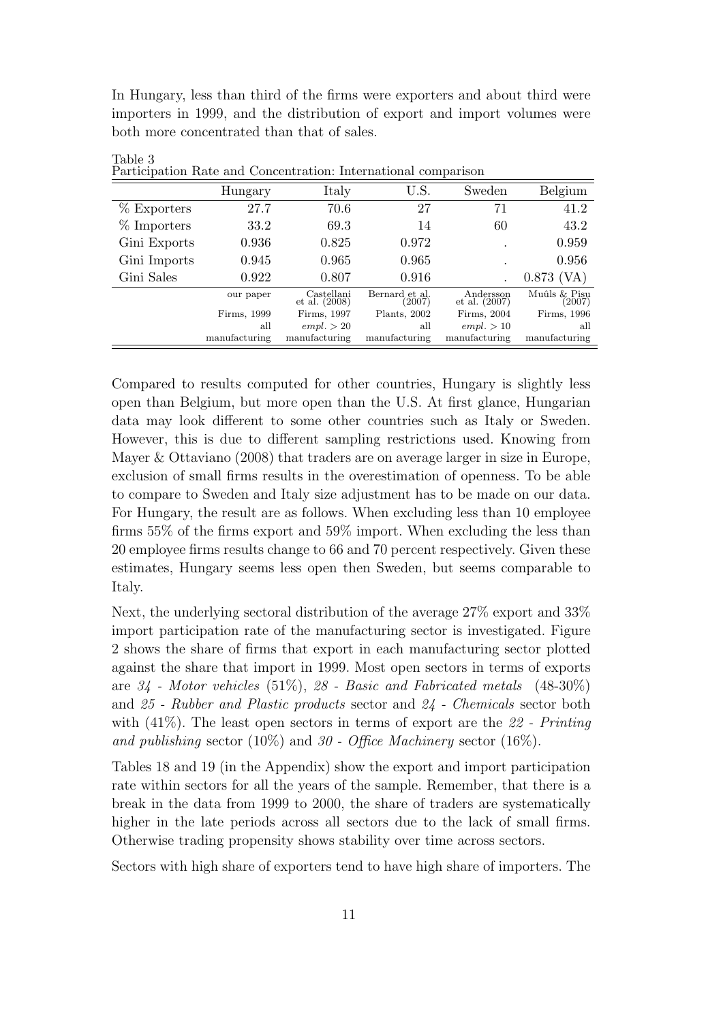In Hungary, less than third of the firms were exporters and about third were importers in 1999, and the distribution of export and import volumes were both more concentrated than that of sales.

| т агыстранон такс ани сонсенитанон. тистианонаг сонгранзон |               |                             |                          |                            |                        |  |  |  |  |
|------------------------------------------------------------|---------------|-----------------------------|--------------------------|----------------------------|------------------------|--|--|--|--|
|                                                            | Hungary       | Italy                       | U.S.                     | Sweden                     | Belgium                |  |  |  |  |
| % Exporters                                                | 27.7          | 70.6                        | 27                       | 71                         | 41.2                   |  |  |  |  |
| $%$ Importers                                              | 33.2          | 69.3                        | 14                       | 60                         | 43.2                   |  |  |  |  |
| Gini Exports                                               | 0.936         | 0.825                       | 0.972                    |                            | 0.959                  |  |  |  |  |
| Gini Imports                                               | 0.945         | 0.965                       | 0.965                    | $\overline{\phantom{a}}$   | 0.956                  |  |  |  |  |
| Gini Sales                                                 | 0.922         | 0.807                       | 0.916                    |                            | $0.873$ (VA)           |  |  |  |  |
|                                                            | our paper     | Castellani<br>et al. (2008) | Bernard et al.<br>(2007) | Andersson<br>et al. (2007) | Muûls & Pisu<br>(2007) |  |  |  |  |
|                                                            | Firms, 1999   | Firms, 1997                 | Plants, 2002             | Firms, 2004                | Firms, 1996            |  |  |  |  |
|                                                            | all           | empl. > 20                  | all                      | empl. > 10                 | all                    |  |  |  |  |
|                                                            | manufacturing | manufacturing               | manufacturing            | manufacturing              | manufacturing          |  |  |  |  |

Table 3 Participation Rate and Concentration: International comparison

Compared to results computed for other countries, Hungary is slightly less open than Belgium, but more open than the U.S. At first glance, Hungarian data may look different to some other countries such as Italy or Sweden. However, this is due to different sampling restrictions used. Knowing from Mayer & Ottaviano (2008) that traders are on average larger in size in Europe, exclusion of small firms results in the overestimation of openness. To be able to compare to Sweden and Italy size adjustment has to be made on our data. For Hungary, the result are as follows. When excluding less than 10 employee firms 55% of the firms export and 59% import. When excluding the less than 20 employee firms results change to 66 and 70 percent respectively. Given these estimates, Hungary seems less open then Sweden, but seems comparable to Italy.

Next, the underlying sectoral distribution of the average 27% export and 33% import participation rate of the manufacturing sector is investigated. Figure 2 shows the share of firms that export in each manufacturing sector plotted against the share that import in 1999. Most open sectors in terms of exports are *34 - Motor vehicles* (51%), *28 - Basic and Fabricated metals* (48-30%) and *25 - Rubber and Plastic products* sector and *24 - Chemicals* sector both with (41%). The least open sectors in terms of export are the *22 - Printing and publishing* sector (10%) and *30 - Office Machinery* sector (16%).

Tables 18 and 19 (in the Appendix) show the export and import participation rate within sectors for all the years of the sample. Remember, that there is a break in the data from 1999 to 2000, the share of traders are systematically higher in the late periods across all sectors due to the lack of small firms. Otherwise trading propensity shows stability over time across sectors.

Sectors with high share of exporters tend to have high share of importers. The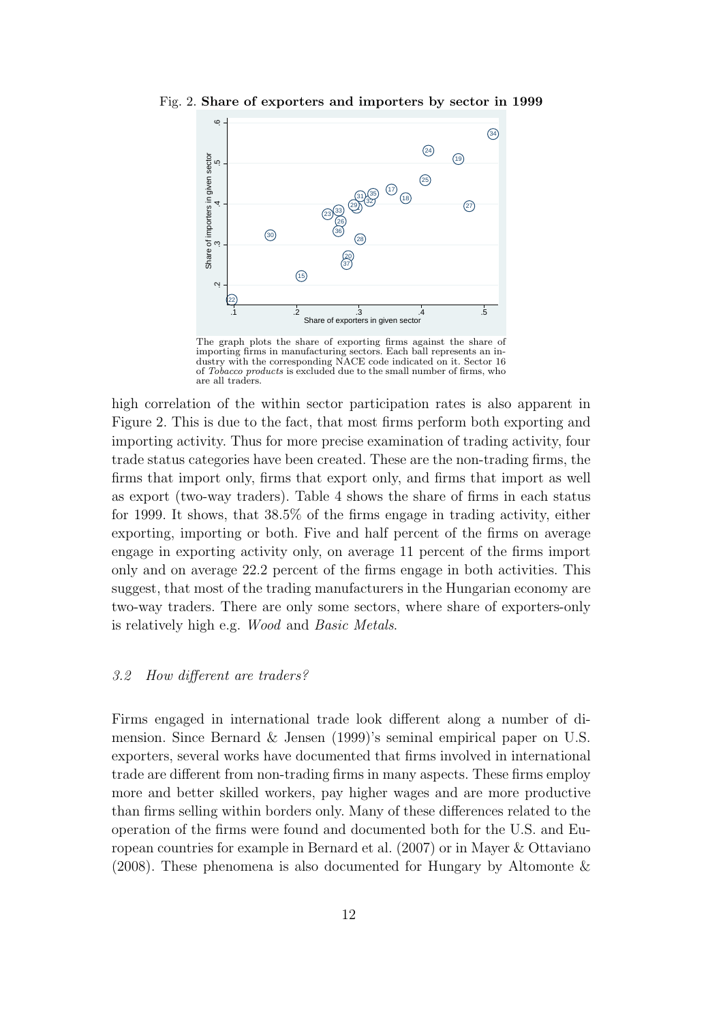.2 .3 .4 .5 .6  $(34)$  $(24)$ Share of importers in given sector<br>3.<br>5.  $\sqrt{19}$ Share of importers in given sector  $(25)$ 17 35 31 18 3Σ,  $\circled{2}$ 29 21 33 23 26  $\circled{30}$ 36 28 20 37  $(15)$  $\ddot{\Omega}$ 22 .1 .2 .3 .4 .5 Share of exporters in given sector

Fig. 2. **Share of exporters and importers by sector in 1999**

The graph plots the share of exporting firms against the share of importing firms in manufacturing sectors. Each ball represents an industry with the corresponding NACE code indicated on it. Sector 16 of *Tobacco products* is excluded due to the small number of firms, who are all traders.

high correlation of the within sector participation rates is also apparent in Figure 2. This is due to the fact, that most firms perform both exporting and importing activity. Thus for more precise examination of trading activity, four trade status categories have been created. These are the non-trading firms, the firms that import only, firms that export only, and firms that import as well as export (two-way traders). Table 4 shows the share of firms in each status for 1999. It shows, that 38.5% of the firms engage in trading activity, either exporting, importing or both. Five and half percent of the firms on average engage in exporting activity only, on average 11 percent of the firms import only and on average 22.2 percent of the firms engage in both activities. This suggest, that most of the trading manufacturers in the Hungarian economy are two-way traders. There are only some sectors, where share of exporters-only is relatively high e.g. *Wood* and *Basic Metals*.

#### *3.2 How different are traders?*

Firms engaged in international trade look different along a number of dimension. Since Bernard & Jensen (1999)'s seminal empirical paper on U.S. exporters, several works have documented that firms involved in international trade are different from non-trading firms in many aspects. These firms employ more and better skilled workers, pay higher wages and are more productive than firms selling within borders only. Many of these differences related to the operation of the firms were found and documented both for the U.S. and European countries for example in Bernard et al. (2007) or in Mayer & Ottaviano (2008). These phenomena is also documented for Hungary by Altomonte  $\&$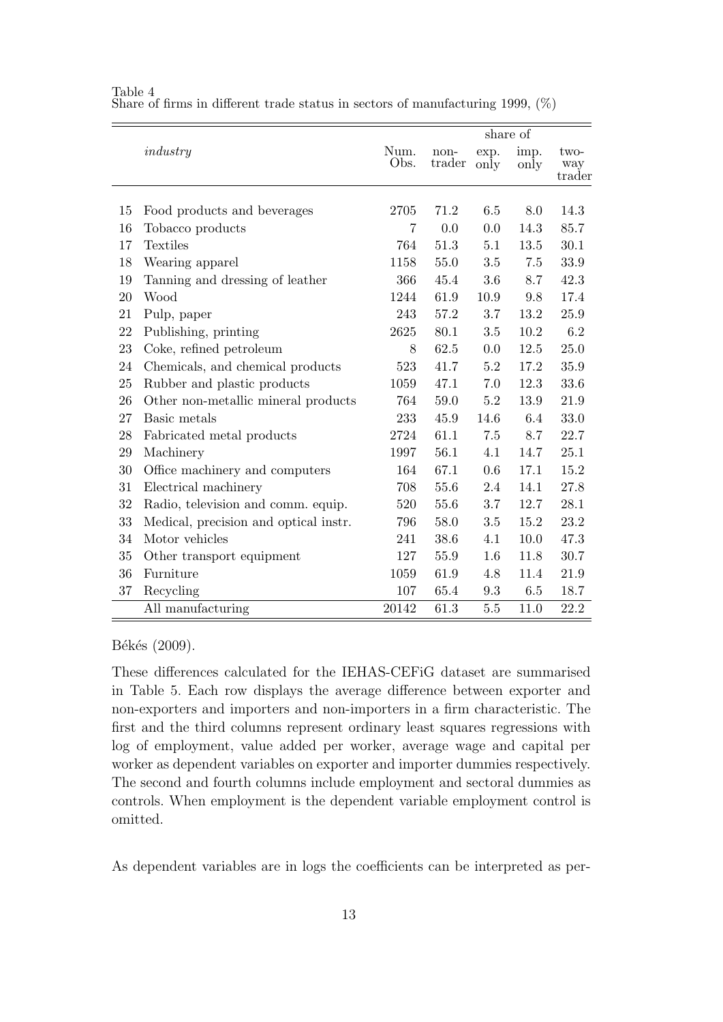|    |                                       |                |                |              | share of     |                       |
|----|---------------------------------------|----------------|----------------|--------------|--------------|-----------------------|
|    | industry                              | Num.<br>Obs.   | non-<br>trader | exp.<br>only | imp.<br>only | two-<br>way<br>trader |
| 15 | Food products and beverages           | 2705           | 71.2           | 6.5          | 8.0          | 14.3                  |
| 16 | Tobacco products                      | $\overline{7}$ | 0.0            | 0.0          | 14.3         | 85.7                  |
| 17 | Textiles                              | 764            | 51.3           | 5.1          | 13.5         | 30.1                  |
| 18 | Wearing apparel                       | 1158           | 55.0           | 3.5          | 7.5          | 33.9                  |
| 19 | Tanning and dressing of leather       | 366            | 45.4           | 3.6          | 8.7          | 42.3                  |
| 20 | Wood                                  | 1244           | 61.9           | 10.9         | 9.8          | 17.4                  |
| 21 | Pulp, paper                           | 243            | 57.2           | 3.7          | 13.2         | 25.9                  |
| 22 | Publishing, printing                  | 2625           | 80.1           | 3.5          | 10.2         | 6.2                   |
| 23 | Coke, refined petroleum               | 8              | 62.5           | 0.0          | 12.5         | 25.0                  |
| 24 | Chemicals, and chemical products      | 523            | 41.7           | 5.2          | 17.2         | 35.9                  |
| 25 | Rubber and plastic products           | 1059           | 47.1           | 7.0          | 12.3         | 33.6                  |
| 26 | Other non-metallic mineral products   | 764            | 59.0           | 5.2          | 13.9         | 21.9                  |
| 27 | Basic metals                          | 233            | 45.9           | 14.6         | 6.4          | 33.0                  |
| 28 | Fabricated metal products             | 2724           | 61.1           | 7.5          | 8.7          | 22.7                  |
| 29 | Machinery                             | 1997           | 56.1           | 4.1          | 14.7         | 25.1                  |
| 30 | Office machinery and computers        | 164            | 67.1           | 0.6          | 17.1         | 15.2                  |
| 31 | Electrical machinery                  | 708            | 55.6           | 2.4          | 14.1         | 27.8                  |
| 32 | Radio, television and comm. equip.    | 520            | 55.6           | 3.7          | 12.7         | 28.1                  |
| 33 | Medical, precision and optical instr. | 796            | 58.0           | 3.5          | 15.2         | 23.2                  |
| 34 | Motor vehicles                        | 241            | 38.6           | 4.1          | 10.0         | 47.3                  |
| 35 | Other transport equipment             | 127            | 55.9           | 1.6          | 11.8         | 30.7                  |
| 36 | Furniture                             | 1059           | 61.9           | 4.8          | 11.4         | 21.9                  |
| 37 | Recycling                             | 107            | 65.4           | 9.3          | $6.5\,$      | 18.7                  |
|    | All manufacturing                     | 20142          | 61.3           | $5.5\,$      | 11.0         | 22.2                  |

Table 4 Share of firms in different trade status in sectors of manufacturing 1999,  $(\%)$ 

Békés (2009).

These differences calculated for the IEHAS-CEFiG dataset are summarised in Table 5. Each row displays the average difference between exporter and non-exporters and importers and non-importers in a firm characteristic. The first and the third columns represent ordinary least squares regressions with log of employment, value added per worker, average wage and capital per worker as dependent variables on exporter and importer dummies respectively. The second and fourth columns include employment and sectoral dummies as controls. When employment is the dependent variable employment control is omitted.

As dependent variables are in logs the coefficients can be interpreted as per-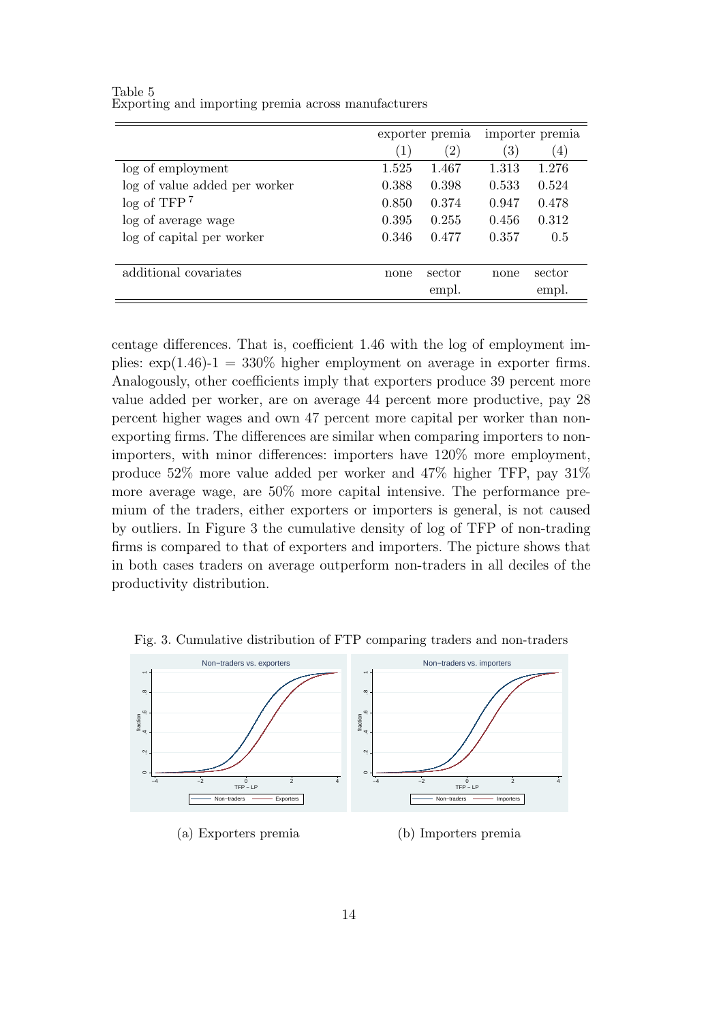|                               | exporter premia |               |                  | importer premia  |
|-------------------------------|-----------------|---------------|------------------|------------------|
|                               | (1)             | $^{\prime}2)$ | $\left(3\right)$ | $\left(4\right)$ |
| log of employment             | 1.525           | 1.467         | 1.313            | 1.276            |
| log of value added per worker | 0.388           | 0.398         | 0.533            | 0.524            |
| log of TFP <sup>7</sup>       | 0.850           | 0.374         | 0.947            | 0.478            |
| log of average wage           | 0.395           | 0.255         | 0.456            | 0.312            |
| log of capital per worker     | 0.346           | 0.477         | 0.357            | 0.5              |
|                               |                 |               |                  |                  |
| additional covariates         | none            | sector        | none             | sector           |
|                               |                 | empl.         |                  | empl.            |

Table 5 Exporting and importing premia across manufacturers

centage differences. That is, coefficient 1.46 with the log of employment implies:  $\exp(1.46) - 1 = 330\%$  higher employment on average in exporter firms. Analogously, other coefficients imply that exporters produce 39 percent more value added per worker, are on average 44 percent more productive, pay 28 percent higher wages and own 47 percent more capital per worker than nonexporting firms. The differences are similar when comparing importers to nonimporters, with minor differences: importers have 120% more employment, produce 52% more value added per worker and 47% higher TFP, pay 31% more average wage, are 50% more capital intensive. The performance premium of the traders, either exporters or importers is general, is not caused by outliers. In Figure 3 the cumulative density of log of TFP of non-trading firms is compared to that of exporters and importers. The picture shows that in both cases traders on average outperform non-traders in all deciles of the productivity distribution.



Fig. 3. Cumulative distribution of FTP comparing traders and non-traders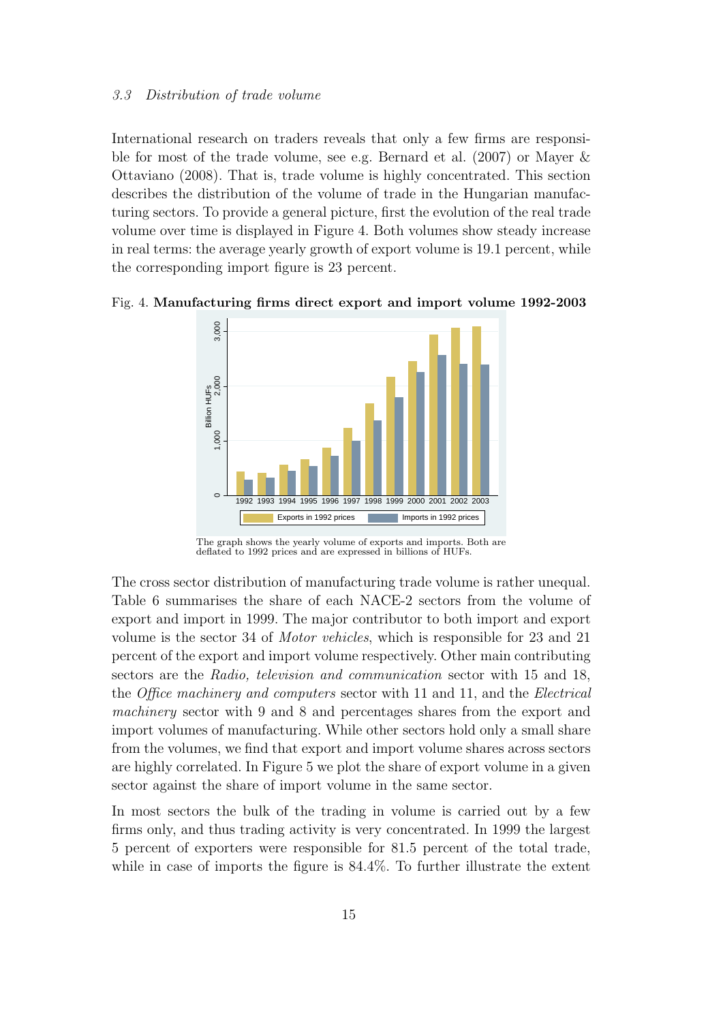#### *3.3 Distribution of trade volume*

International research on traders reveals that only a few firms are responsible for most of the trade volume, see e.g. Bernard et al. (2007) or Mayer & Ottaviano (2008). That is, trade volume is highly concentrated. This section describes the distribution of the volume of trade in the Hungarian manufacturing sectors. To provide a general picture, first the evolution of the real trade volume over time is displayed in Figure 4. Both volumes show steady increase in real terms: the average yearly growth of export volume is 19.1 percent, while the corresponding import figure is 23 percent.



Fig. 4. **Manufacturing firms direct export and import volume 1992-2003**

The cross sector distribution of manufacturing trade volume is rather unequal. Table 6 summarises the share of each NACE-2 sectors from the volume of export and import in 1999. The major contributor to both import and export volume is the sector 34 of *Motor vehicles*, which is responsible for 23 and 21 percent of the export and import volume respectively. Other main contributing sectors are the *Radio, television and communication* sector with 15 and 18, the *Office machinery and computers* sector with 11 and 11, and the *Electrical machinery* sector with 9 and 8 and percentages shares from the export and import volumes of manufacturing. While other sectors hold only a small share from the volumes, we find that export and import volume shares across sectors are highly correlated. In Figure 5 we plot the share of export volume in a given sector against the share of import volume in the same sector.

In most sectors the bulk of the trading in volume is carried out by a few firms only, and thus trading activity is very concentrated. In 1999 the largest 5 percent of exporters were responsible for 81.5 percent of the total trade, while in case of imports the figure is 84.4%. To further illustrate the extent

The graph shows the yearly volume of exports and imports. Both are deflated to 1992 prices and are expressed in billions of HUFs.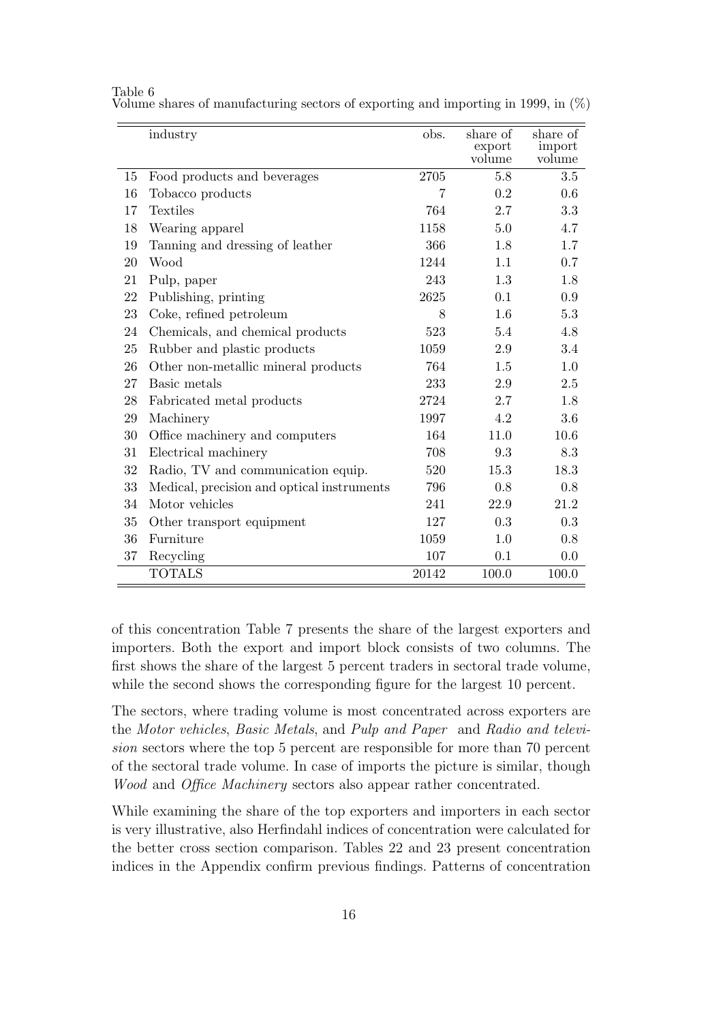|    | industry                                   | obs.  | share of<br>export<br>volume | share of<br>import<br>volume |
|----|--------------------------------------------|-------|------------------------------|------------------------------|
| 15 | Food products and beverages                | 2705  | 5.8                          | 3.5                          |
| 16 | Tobacco products                           | 7     | 0.2                          | 0.6                          |
| 17 | <b>Textiles</b>                            | 764   | 2.7                          | 3.3                          |
| 18 | Wearing apparel                            | 1158  | 5.0                          | 4.7                          |
| 19 | Tanning and dressing of leather            | 366   | 1.8                          | 1.7                          |
| 20 | Wood                                       | 1244  | 1.1                          | 0.7                          |
| 21 | Pulp, paper                                | 243   | 1.3                          | 1.8                          |
| 22 | Publishing, printing                       | 2625  | 0.1                          | 0.9                          |
| 23 | Coke, refined petroleum                    | 8     | 1.6                          | 5.3                          |
| 24 | Chemicals, and chemical products           | 523   | 5.4                          | 4.8                          |
| 25 | Rubber and plastic products                | 1059  | 2.9                          | 3.4                          |
| 26 | Other non-metallic mineral products        | 764   | 1.5                          | 1.0                          |
| 27 | Basic metals                               | 233   | 2.9                          | 2.5                          |
| 28 | Fabricated metal products                  | 2724  | 2.7                          | 1.8                          |
| 29 | Machinery                                  | 1997  | 4.2                          | 3.6                          |
| 30 | Office machinery and computers             | 164   | 11.0                         | 10.6                         |
| 31 | Electrical machinery                       | 708   | 9.3                          | 8.3                          |
| 32 | Radio, TV and communication equip.         | 520   | 15.3                         | 18.3                         |
| 33 | Medical, precision and optical instruments | 796   | 0.8                          | 0.8                          |
| 34 | Motor vehicles                             | 241   | 22.9                         | 21.2                         |
| 35 | Other transport equipment                  | 127   | 0.3                          | 0.3                          |
| 36 | Furniture                                  | 1059  | 1.0                          | 0.8                          |
| 37 | Recycling                                  | 107   | 0.1                          | 0.0                          |
|    | <b>TOTALS</b>                              | 20142 | 100.0                        | 100.0                        |

Table 6 Volume shares of manufacturing sectors of exporting and importing in 1999, in (%)

of this concentration Table 7 presents the share of the largest exporters and importers. Both the export and import block consists of two columns. The first shows the share of the largest 5 percent traders in sectoral trade volume, while the second shows the corresponding figure for the largest 10 percent.

The sectors, where trading volume is most concentrated across exporters are the *Motor vehicles*, *Basic Metals*, and *Pulp and Paper* and *Radio and television* sectors where the top 5 percent are responsible for more than 70 percent of the sectoral trade volume. In case of imports the picture is similar, though *Wood* and *Office Machinery* sectors also appear rather concentrated.

While examining the share of the top exporters and importers in each sector is very illustrative, also Herfindahl indices of concentration were calculated for the better cross section comparison. Tables 22 and 23 present concentration indices in the Appendix confirm previous findings. Patterns of concentration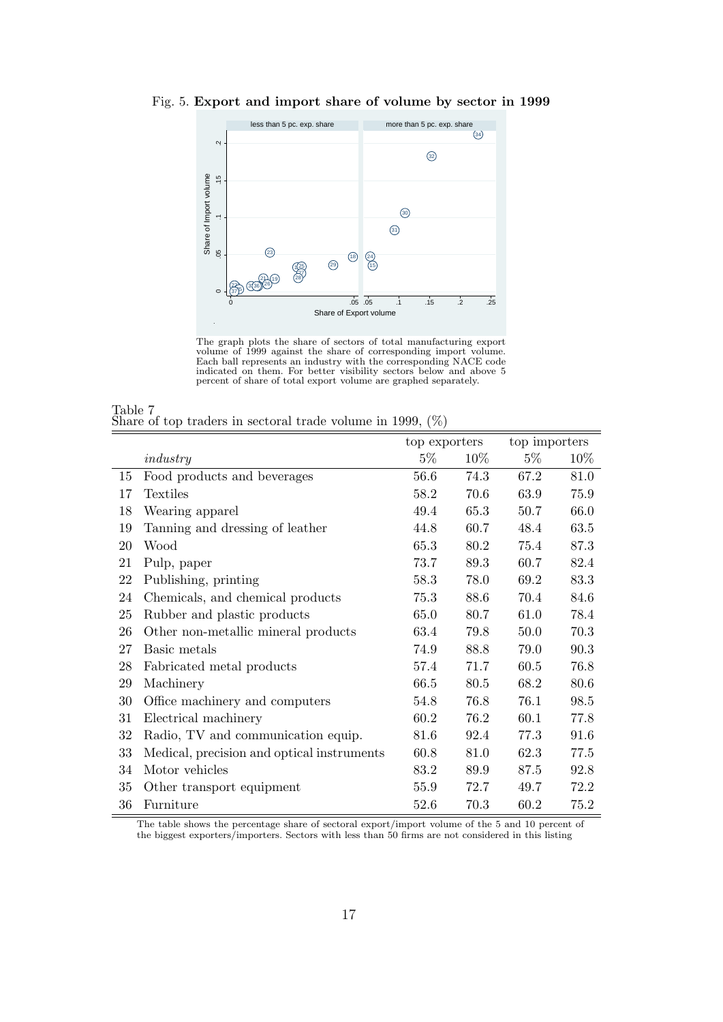

Fig. 5. **Export and import share of volume by sector in 1999**



| Table 7 |  |  |                                                               |  |  |  |
|---------|--|--|---------------------------------------------------------------|--|--|--|
|         |  |  | Share of top traders in sectoral trade volume in 1999, $(\%)$ |  |  |  |

|    |                                            | top exporters |      | top importers |      |
|----|--------------------------------------------|---------------|------|---------------|------|
|    | industry                                   | $5\%$         | 10%  | $5\%$         | 10\% |
| 15 | Food products and beverages                | 56.6          | 74.3 | 67.2          | 81.0 |
| 17 | Textiles                                   | 58.2          | 70.6 | 63.9          | 75.9 |
| 18 | Wearing apparel                            | 49.4          | 65.3 | 50.7          | 66.0 |
| 19 | Tanning and dressing of leather            | 44.8          | 60.7 | 48.4          | 63.5 |
| 20 | Wood                                       | 65.3          | 80.2 | 75.4          | 87.3 |
| 21 | Pulp, paper                                | 73.7          | 89.3 | 60.7          | 82.4 |
| 22 | Publishing, printing                       | 58.3          | 78.0 | 69.2          | 83.3 |
| 24 | Chemicals, and chemical products           | 75.3          | 88.6 | 70.4          | 84.6 |
| 25 | Rubber and plastic products                | 65.0          | 80.7 | 61.0          | 78.4 |
| 26 | Other non-metallic mineral products        | 63.4          | 79.8 | 50.0          | 70.3 |
| 27 | Basic metals                               | 74.9          | 88.8 | 79.0          | 90.3 |
| 28 | Fabricated metal products                  | 57.4          | 71.7 | 60.5          | 76.8 |
| 29 | Machinery                                  | 66.5          | 80.5 | 68.2          | 80.6 |
| 30 | Office machinery and computers             | 54.8          | 76.8 | 76.1          | 98.5 |
| 31 | Electrical machinery                       | 60.2          | 76.2 | 60.1          | 77.8 |
| 32 | Radio, TV and communication equip.         | 81.6          | 92.4 | 77.3          | 91.6 |
| 33 | Medical, precision and optical instruments | 60.8          | 81.0 | 62.3          | 77.5 |
| 34 | Motor vehicles                             | 83.2          | 89.9 | 87.5          | 92.8 |
| 35 | Other transport equipment                  | 55.9          | 72.7 | 49.7          | 72.2 |
| 36 | Furniture                                  | 52.6          | 70.3 | 60.2          | 75.2 |

The table shows the percentage share of sectoral export/import volume of the 5 and 10 percent of the biggest exporters/importers. Sectors with less than 50 firms are not considered in this listing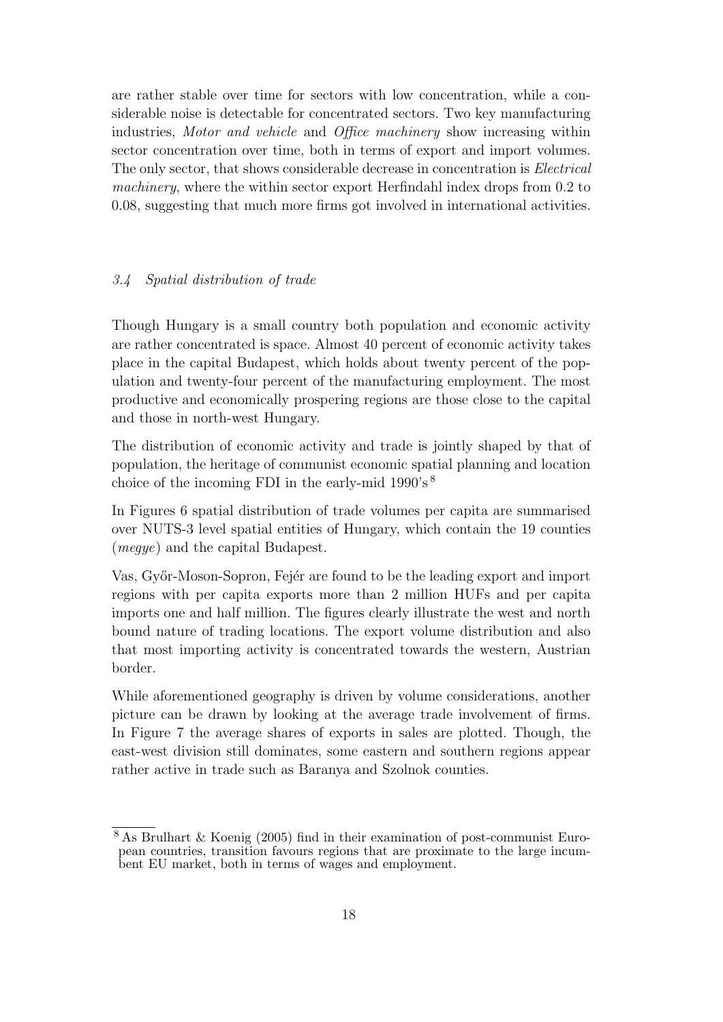are rather stable over time for sectors with low concentration, while a considerable noise is detectable for concentrated sectors. Two key manufacturing industries, *Motor and vehicle* and *Office machinery* show increasing within sector concentration over time, both in terms of export and import volumes. The only sector, that shows considerable decrease in concentration is *Electrical machinery*, where the within sector export Herfindahl index drops from 0.2 to 0.08, suggesting that much more firms got involved in international activities.

#### *3.4 Spatial distribution of trade*

Though Hungary is a small country both population and economic activity are rather concentrated is space. Almost 40 percent of economic activity takes place in the capital Budapest, which holds about twenty percent of the population and twenty-four percent of the manufacturing employment. The most productive and economically prospering regions are those close to the capital and those in north-west Hungary.

The distribution of economic activity and trade is jointly shaped by that of population, the heritage of communist economic spatial planning and location choice of the incoming FDI in the early-mid 1990's <sup>8</sup>

In Figures 6 spatial distribution of trade volumes per capita are summarised over NUTS-3 level spatial entities of Hungary, which contain the 19 counties (*megye*) and the capital Budapest.

Vas, Győr-Moson-Sopron, Fejér are found to be the leading export and import regions with per capita exports more than 2 million HUFs and per capita imports one and half million. The figures clearly illustrate the west and north bound nature of trading locations. The export volume distribution and also that most importing activity is concentrated towards the western, Austrian border.

While aforementioned geography is driven by volume considerations, another picture can be drawn by looking at the average trade involvement of firms. In Figure 7 the average shares of exports in sales are plotted. Though, the east-west division still dominates, some eastern and southern regions appear rather active in trade such as Baranya and Szolnok counties.

<sup>8</sup> As Brulhart & Koenig (2005) find in their examination of post-communist European countries, transition favours regions that are proximate to the large incumbent EU market, both in terms of wages and employment.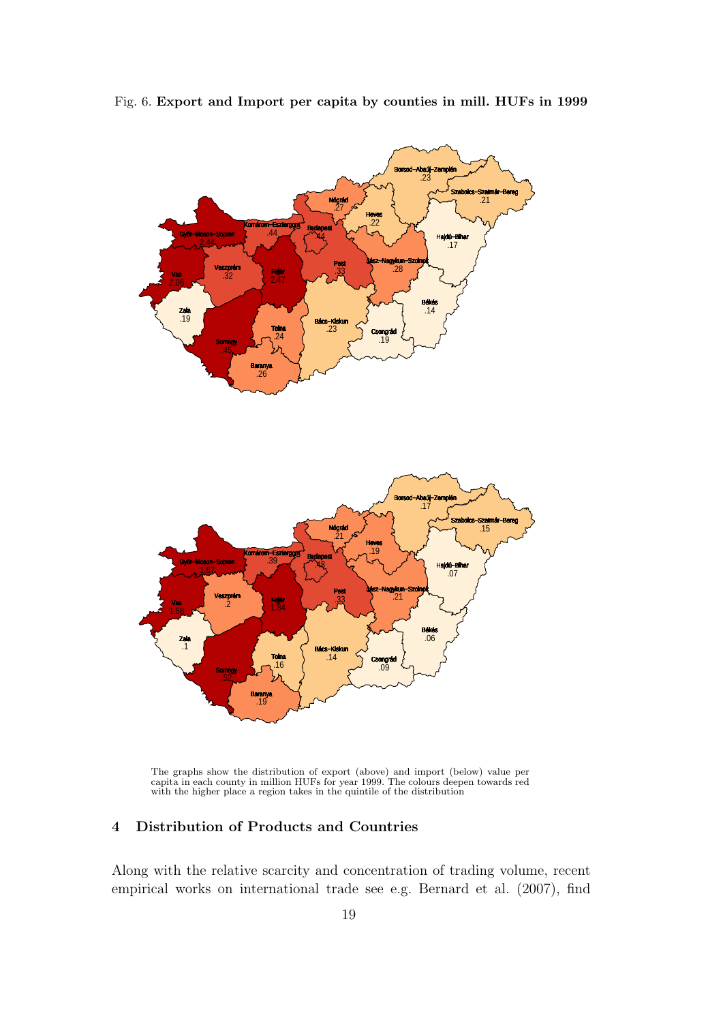

Fig. 6. **Export and Import per capita by counties in mill. HUFs in 1999**

The graphs show the distribution of export (above) and import (below) value per capita in each county in million HUFs for year 1999. The colours deepen towards red with the higher place a region takes in the quintile of the distribution

## **4 Distribution of Products and Countries**

Along with the relative scarcity and concentration of trading volume, recent empirical works on international trade see e.g. Bernard et al. (2007), find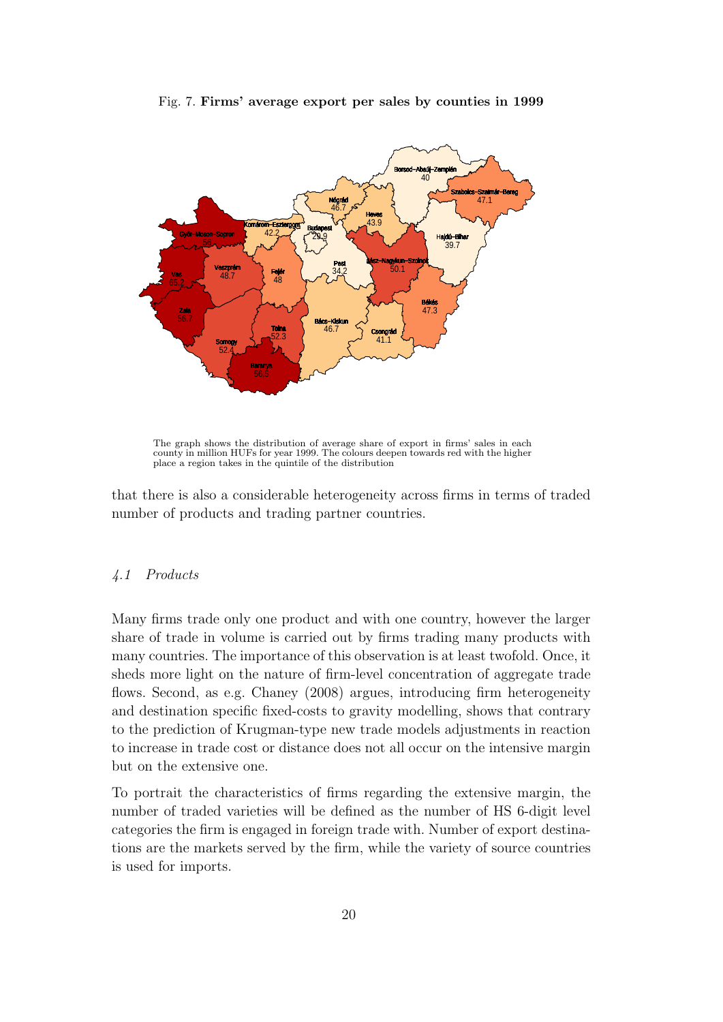

Fig. 7. **Firms' average export per sales by counties in 1999**

The graph shows the distribution of average share of export in firms' sales in each county in million HUFs for year 1999. The colours deepen towards red with the higher place a region takes in the quintile of the distribution

that there is also a considerable heterogeneity across firms in terms of traded number of products and trading partner countries.

#### *4.1 Products*

Many firms trade only one product and with one country, however the larger share of trade in volume is carried out by firms trading many products with many countries. The importance of this observation is at least twofold. Once, it sheds more light on the nature of firm-level concentration of aggregate trade flows. Second, as e.g. Chaney (2008) argues, introducing firm heterogeneity and destination specific fixed-costs to gravity modelling, shows that contrary to the prediction of Krugman-type new trade models adjustments in reaction to increase in trade cost or distance does not all occur on the intensive margin but on the extensive one.

To portrait the characteristics of firms regarding the extensive margin, the number of traded varieties will be defined as the number of HS 6-digit level categories the firm is engaged in foreign trade with. Number of export destinations are the markets served by the firm, while the variety of source countries is used for imports.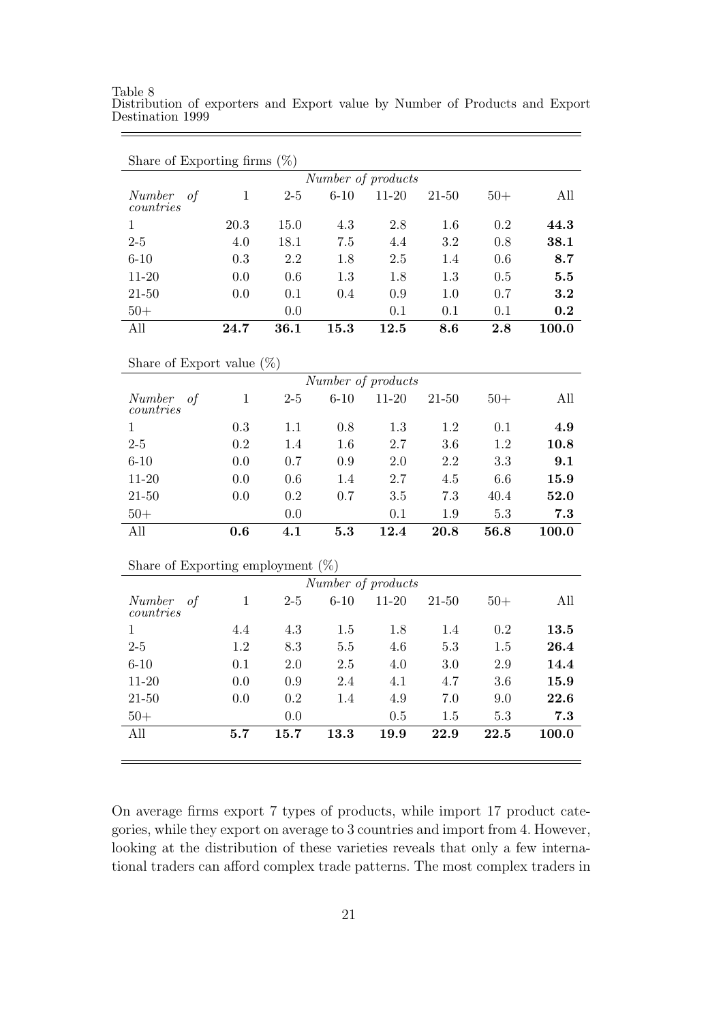Table 8 Distribution of exporters and Export value by Number of Products and Export Destination 1999

| Share of Exporting firms $(\%)$      |              |       |          |                    |           |       |       |
|--------------------------------------|--------------|-------|----------|--------------------|-----------|-------|-------|
|                                      |              |       |          | Number of products |           |       |       |
| Number<br>of<br>countries            | $\mathbf{1}$ | $2-5$ | $6 - 10$ | $11 - 20$          | $21 - 50$ | $50+$ | All   |
| $\mathbf{1}$                         | 20.3         | 15.0  | 4.3      | 2.8                | 1.6       | 0.2   | 44.3  |
| $2-5$                                | 4.0          | 18.1  | 7.5      | 4.4                | 3.2       | 0.8   | 38.1  |
| $6 - 10$                             | 0.3          | 2.2   | 1.8      | $2.5\,$            | 1.4       | 0.6   | 8.7   |
| $11 - 20$                            | 0.0          | 0.6   | 1.3      | 1.8                | 1.3       | 0.5   | 5.5   |
| $21 - 50$                            | 0.0          | 0.1   | 0.4      | 0.9                | $1.0\,$   | 0.7   | 3.2   |
| $50+$                                |              | 0.0   |          | 0.1                | 0.1       | 0.1   | 0.2   |
| All                                  | 24.7         | 36.1  | 15.3     | 12.5               | 8.6       | 2.8   | 100.0 |
| Share of Export value $(\%)$         |              |       |          |                    |           |       |       |
|                                      |              |       |          | Number of products |           |       |       |
| Number<br>of<br>countries            | $\mathbf{1}$ | $2-5$ | $6 - 10$ | $11 - 20$          | $21 - 50$ | $50+$ | All   |
| 1                                    | 0.3          | 1.1   | 0.8      | 1.3                | 1.2       | 0.1   | 4.9   |
| $2-5$                                | 0.2          | 1.4   | 1.6      | 2.7                | 3.6       | 1.2   | 10.8  |
| $6 - 10$                             | 0.0          | 0.7   | 0.9      | 2.0                | 2.2       | 3.3   | 9.1   |
| $11 - 20$                            | 0.0          | 0.6   | 1.4      | 2.7                | 4.5       | 6.6   | 15.9  |
| $21 - 50$                            | 0.0          | 0.2   | 0.7      | 3.5                | 7.3       | 40.4  | 52.0  |
| $50+$                                |              | 0.0   |          | 0.1                | 1.9       | 5.3   | 7.3   |
| All                                  | 0.6          | 4.1   | 5.3      | 12.4               | 20.8      | 56.8  | 100.0 |
| Share of Exporting employment $(\%)$ |              |       |          |                    |           |       |       |
|                                      |              |       |          | Number of products |           |       |       |
| Number<br>of<br>countries            | $\mathbf{1}$ | $2-5$ | $6 - 10$ | $11 - 20$          | $21 - 50$ | $50+$ | All   |
| $\mathbf{1}$                         | 4.4          | 4.3   | 1.5      | 1.8                | 1.4       | 0.2   | 13.5  |
| $2-5$                                | 1.2          | 8.3   | 5.5      | 4.6                | 5.3       | 1.5   | 26.4  |
| $6 - 10$                             | 0.1          | 2.0   | 2.5      | 4.0                | 3.0       | 2.9   | 14.4  |
| $11 - 20$                            | 0.0          | 0.9   | 2.4      | 4.1                | 4.7       | 3.6   | 15.9  |
| $21 - 50$                            | 0.0          | 0.2   | 1.4      | 4.9                | 7.0       | 9.0   | 22.6  |
| $50+$                                |              | 0.0   |          | 0.5                | 1.5       | 5.3   | 7.3   |
| All                                  | 5.7          | 15.7  | 13.3     | 19.9               | 22.9      | 22.5  | 100.0 |
|                                      |              |       |          |                    |           |       |       |

On average firms export 7 types of products, while import 17 product categories, while they export on average to 3 countries and import from 4. However, looking at the distribution of these varieties reveals that only a few international traders can afford complex trade patterns. The most complex traders in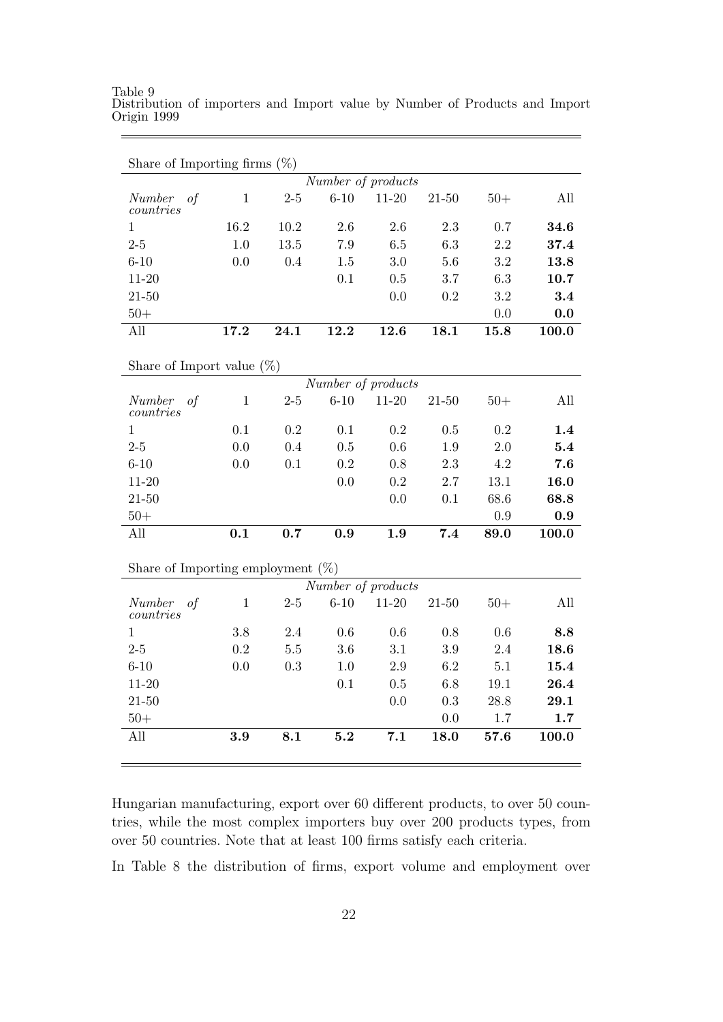Share of Importing firms (%) *Number of products Number of countries* 1 2-5 6-10 11-20 21-50 50+ All 1 16.2 10.2 2.6 2.6 2.3 0.7 **34.6** 2-5 1.0 13.5 7.9 6.5 6.3 2.2 **37.4** 6-10 0.0 0.4 1.5 3.0 5.6 3.2 **13.8** 11-20 0.1 0.5 3.7 6.3 **10.7** 21-50 0.0 0.2 3.2 **3.4** 50+ 0.0 **0.0** All **17.2 24.1 12.2 12.6 18.1 15.8 100.0** Share of Import value (%) *Number of products Number of countries* 1 2-5 6-10 11-20 21-50 50+ All 1 0.1 0.2 0.1 0.2 0.5 0.2 **1.4** 2-5 0.0 0.4 0.5 0.6 1.9 2.0 **5.4** 6-10 0.0 0.1 0.2 0.8 2.3 4.2 **7.6** 11-20 0.0 0.2 2.7 13.1 **16.0** 21-50 0.0 0.1 68.6 **68.8** 50+ 0.9 **0.9** All **0.1 0.7 0.9 1.9 7.4 89.0 100.0** Share of Importing employment  $(\%)$ *Number of products Number of countries* 1 2-5 6-10 11-20 21-50 50+ All 1 3.8 2.4 0.6 0.6 0.8 0.6 **8.8** 2-5 0.2 5.5 3.6 3.1 3.9 2.4 **18.6** 6-10 0.0 0.3 1.0 2.9 6.2 5.1 **15.4** 11-20 0.1 0.5 6.8 19.1 **26.4** 21-50 0.0 0.3 28.8 **29.1** 50+ 0.0 1.7 **1.7** All **3.9 8.1 5.2 7.1 18.0 57.6 100.0**

Table 9 Distribution of importers and Import value by Number of Products and Import Origin 1999

Hungarian manufacturing, export over 60 different products, to over 50 countries, while the most complex importers buy over 200 products types, from over 50 countries. Note that at least 100 firms satisfy each criteria.

In Table 8 the distribution of firms, export volume and employment over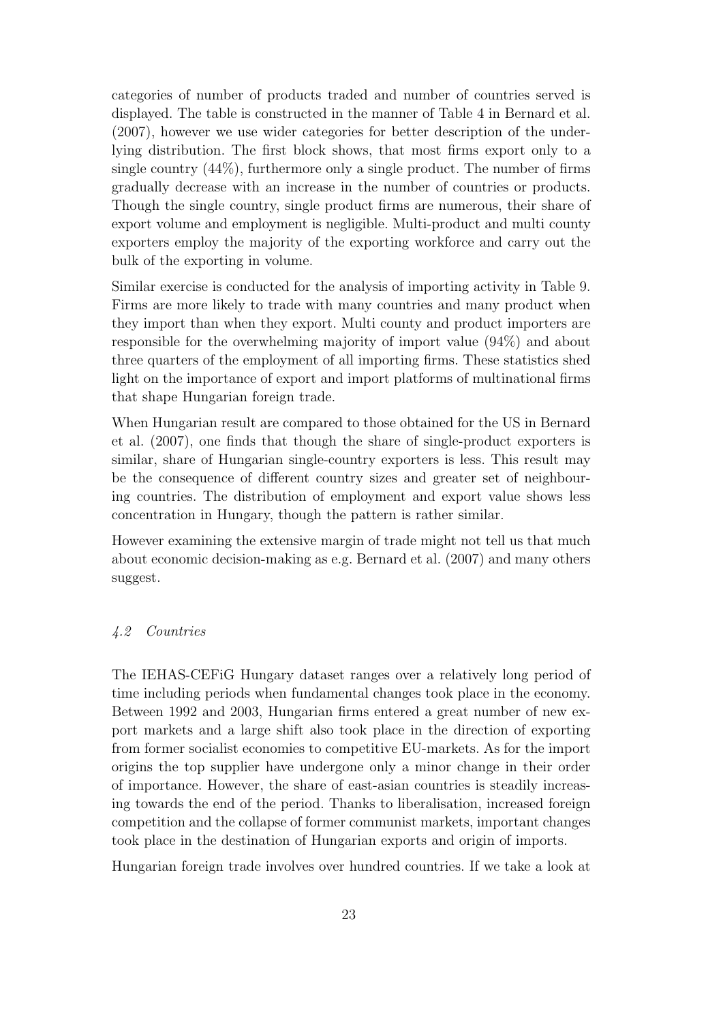categories of number of products traded and number of countries served is displayed. The table is constructed in the manner of Table 4 in Bernard et al. (2007), however we use wider categories for better description of the underlying distribution. The first block shows, that most firms export only to a single country  $(44\%)$ , furthermore only a single product. The number of firms gradually decrease with an increase in the number of countries or products. Though the single country, single product firms are numerous, their share of export volume and employment is negligible. Multi-product and multi county exporters employ the majority of the exporting workforce and carry out the bulk of the exporting in volume.

Similar exercise is conducted for the analysis of importing activity in Table 9. Firms are more likely to trade with many countries and many product when they import than when they export. Multi county and product importers are responsible for the overwhelming majority of import value (94%) and about three quarters of the employment of all importing firms. These statistics shed light on the importance of export and import platforms of multinational firms that shape Hungarian foreign trade.

When Hungarian result are compared to those obtained for the US in Bernard et al. (2007), one finds that though the share of single-product exporters is similar, share of Hungarian single-country exporters is less. This result may be the consequence of different country sizes and greater set of neighbouring countries. The distribution of employment and export value shows less concentration in Hungary, though the pattern is rather similar.

However examining the extensive margin of trade might not tell us that much about economic decision-making as e.g. Bernard et al. (2007) and many others suggest.

#### *4.2 Countries*

The IEHAS-CEFiG Hungary dataset ranges over a relatively long period of time including periods when fundamental changes took place in the economy. Between 1992 and 2003, Hungarian firms entered a great number of new export markets and a large shift also took place in the direction of exporting from former socialist economies to competitive EU-markets. As for the import origins the top supplier have undergone only a minor change in their order of importance. However, the share of east-asian countries is steadily increasing towards the end of the period. Thanks to liberalisation, increased foreign competition and the collapse of former communist markets, important changes took place in the destination of Hungarian exports and origin of imports.

Hungarian foreign trade involves over hundred countries. If we take a look at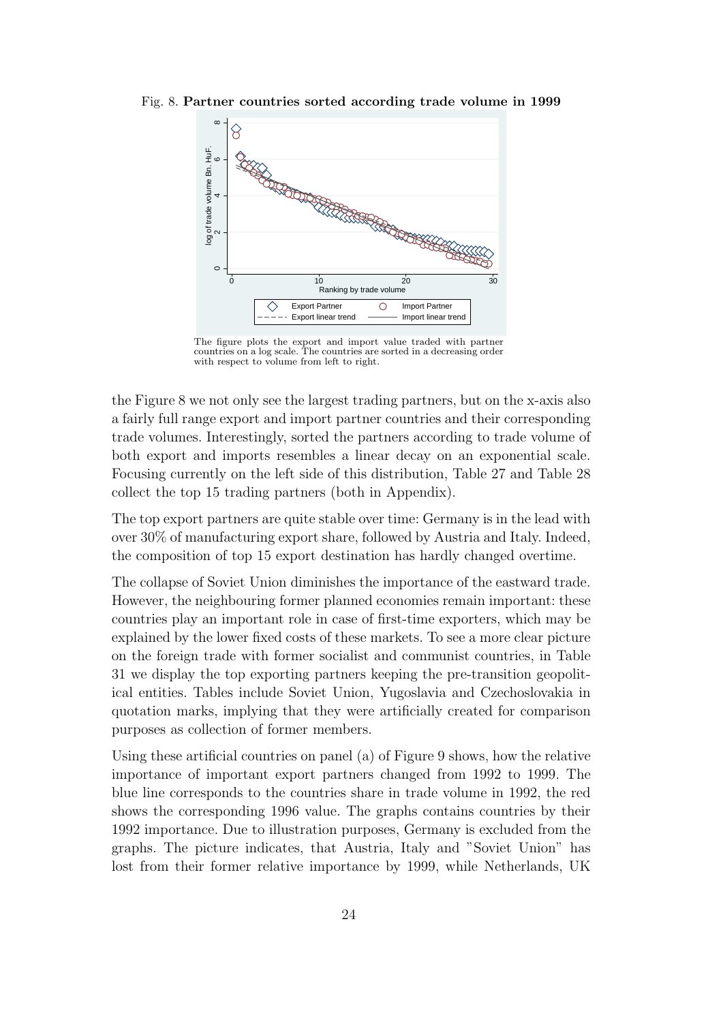Fig. 8. **Partner countries sorted according trade volume in 1999**



The figure plots the export and import value traded with partner countries on a log scale. The countries are sorted in a decreasing order with respect to volume from left to right.

the Figure 8 we not only see the largest trading partners, but on the x-axis also a fairly full range export and import partner countries and their corresponding trade volumes. Interestingly, sorted the partners according to trade volume of both export and imports resembles a linear decay on an exponential scale. Focusing currently on the left side of this distribution, Table 27 and Table 28 collect the top 15 trading partners (both in Appendix).

The top export partners are quite stable over time: Germany is in the lead with over 30% of manufacturing export share, followed by Austria and Italy. Indeed, the composition of top 15 export destination has hardly changed overtime.

The collapse of Soviet Union diminishes the importance of the eastward trade. However, the neighbouring former planned economies remain important: these countries play an important role in case of first-time exporters, which may be explained by the lower fixed costs of these markets. To see a more clear picture on the foreign trade with former socialist and communist countries, in Table 31 we display the top exporting partners keeping the pre-transition geopolitical entities. Tables include Soviet Union, Yugoslavia and Czechoslovakia in quotation marks, implying that they were artificially created for comparison purposes as collection of former members.

Using these artificial countries on panel (a) of Figure 9 shows, how the relative importance of important export partners changed from 1992 to 1999. The blue line corresponds to the countries share in trade volume in 1992, the red shows the corresponding 1996 value. The graphs contains countries by their 1992 importance. Due to illustration purposes, Germany is excluded from the graphs. The picture indicates, that Austria, Italy and "Soviet Union" has lost from their former relative importance by 1999, while Netherlands, UK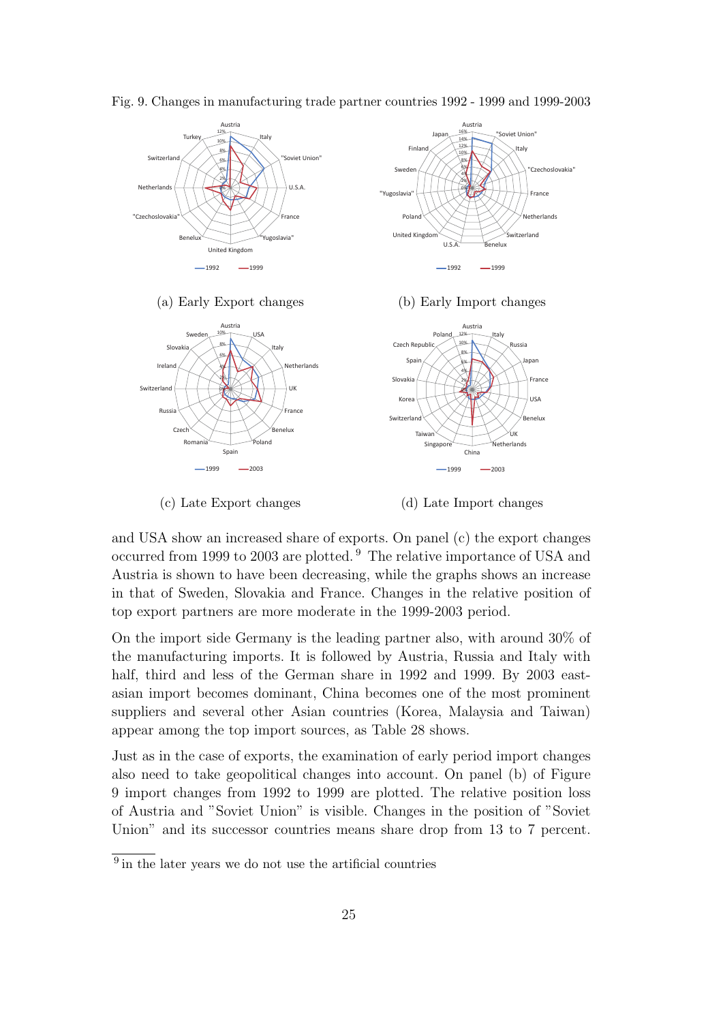

Fig. 9. Changes in manufacturing trade partner countries 1992 - 1999 and 1999-2003

(c) Late Export changes

(d) Late Import changes

and USA show an increased share of exports. On panel (c) the export changes occurred from 1999 to 2003 are plotted. <sup>9</sup> The relative importance of USA and Austria is shown to have been decreasing, while the graphs shows an increase in that of Sweden, Slovakia and France. Changes in the relative position of top export partners are more moderate in the 1999-2003 period.

On the import side Germany is the leading partner also, with around 30% of the manufacturing imports. It is followed by Austria, Russia and Italy with half, third and less of the German share in 1992 and 1999. By 2003 eastasian import becomes dominant, China becomes one of the most prominent suppliers and several other Asian countries (Korea, Malaysia and Taiwan) appear among the top import sources, as Table 28 shows.

Just as in the case of exports, the examination of early period import changes also need to take geopolitical changes into account. On panel (b) of Figure 9 import changes from 1992 to 1999 are plotted. The relative position loss of Austria and "Soviet Union" is visible. Changes in the position of "Soviet Union" and its successor countries means share drop from 13 to 7 percent.

<sup>&</sup>lt;sup>9</sup> in the later years we do not use the artificial countries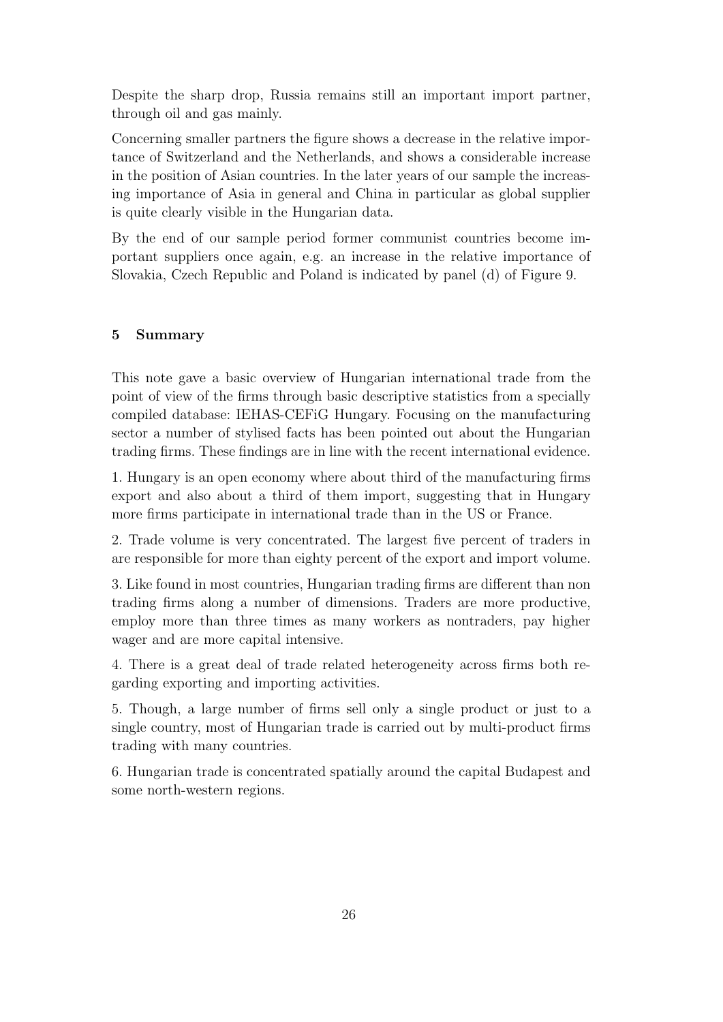Despite the sharp drop, Russia remains still an important import partner, through oil and gas mainly.

Concerning smaller partners the figure shows a decrease in the relative importance of Switzerland and the Netherlands, and shows a considerable increase in the position of Asian countries. In the later years of our sample the increasing importance of Asia in general and China in particular as global supplier is quite clearly visible in the Hungarian data.

By the end of our sample period former communist countries become important suppliers once again, e.g. an increase in the relative importance of Slovakia, Czech Republic and Poland is indicated by panel (d) of Figure 9.

### **5 Summary**

This note gave a basic overview of Hungarian international trade from the point of view of the firms through basic descriptive statistics from a specially compiled database: IEHAS-CEFiG Hungary. Focusing on the manufacturing sector a number of stylised facts has been pointed out about the Hungarian trading firms. These findings are in line with the recent international evidence.

1. Hungary is an open economy where about third of the manufacturing firms export and also about a third of them import, suggesting that in Hungary more firms participate in international trade than in the US or France.

2. Trade volume is very concentrated. The largest five percent of traders in are responsible for more than eighty percent of the export and import volume.

3. Like found in most countries, Hungarian trading firms are different than non trading firms along a number of dimensions. Traders are more productive, employ more than three times as many workers as nontraders, pay higher wager and are more capital intensive.

4. There is a great deal of trade related heterogeneity across firms both regarding exporting and importing activities.

5. Though, a large number of firms sell only a single product or just to a single country, most of Hungarian trade is carried out by multi-product firms trading with many countries.

6. Hungarian trade is concentrated spatially around the capital Budapest and some north-western regions.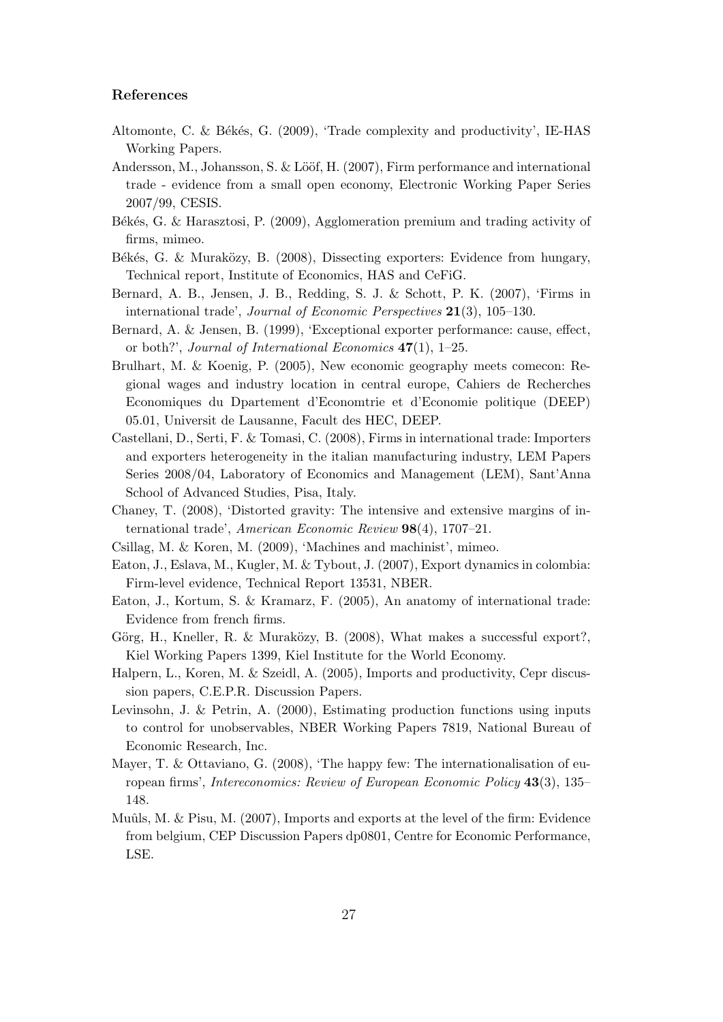#### **References**

- Altomonte, C. & Békés, G. (2009), 'Trade complexity and productivity', IE-HAS Working Papers.
- Andersson, M., Johansson, S. & Lööf, H. (2007), Firm performance and international trade - evidence from a small open economy, Electronic Working Paper Series 2007/99, CESIS.
- Békés, G. & Harasztosi, P. (2009), Agglomeration premium and trading activity of firms, mimeo.
- Békés, G. & Muraközy, B. (2008), Dissecting exporters: Evidence from hungary, Technical report, Institute of Economics, HAS and CeFiG.
- Bernard, A. B., Jensen, J. B., Redding, S. J. & Schott, P. K. (2007), 'Firms in international trade', *Journal of Economic Perspectives* **21**(3), 105–130.
- Bernard, A. & Jensen, B. (1999), 'Exceptional exporter performance: cause, effect, or both?', *Journal of International Economics* **47**(1), 1–25.
- Brulhart, M. & Koenig, P. (2005), New economic geography meets comecon: Regional wages and industry location in central europe, Cahiers de Recherches Economiques du Dpartement d'Economtrie et d'Economie politique (DEEP) 05.01, Universit de Lausanne, Facult des HEC, DEEP.
- Castellani, D., Serti, F. & Tomasi, C. (2008), Firms in international trade: Importers and exporters heterogeneity in the italian manufacturing industry, LEM Papers Series 2008/04, Laboratory of Economics and Management (LEM), Sant'Anna School of Advanced Studies, Pisa, Italy.
- Chaney, T. (2008), 'Distorted gravity: The intensive and extensive margins of international trade', *American Economic Review* **98**(4), 1707–21.
- Csillag, M. & Koren, M. (2009), 'Machines and machinist', mimeo.
- Eaton, J., Eslava, M., Kugler, M. & Tybout, J. (2007), Export dynamics in colombia: Firm-level evidence, Technical Report 13531, NBER.
- Eaton, J., Kortum, S. & Kramarz, F. (2005), An anatomy of international trade: Evidence from french firms.
- Görg, H., Kneller, R. & Muraközy, B. (2008), What makes a successful export?, Kiel Working Papers 1399, Kiel Institute for the World Economy.
- Halpern, L., Koren, M. & Szeidl, A. (2005), Imports and productivity, Cepr discussion papers, C.E.P.R. Discussion Papers.
- Levinsohn, J. & Petrin, A. (2000), Estimating production functions using inputs to control for unobservables, NBER Working Papers 7819, National Bureau of Economic Research, Inc.
- Mayer, T. & Ottaviano, G. (2008), 'The happy few: The internationalisation of european firms', *Intereconomics: Review of European Economic Policy* **43**(3), 135– 148.
- Muûls, M.  $\&$  Pisu, M. (2007), Imports and exports at the level of the firm: Evidence from belgium, CEP Discussion Papers dp0801, Centre for Economic Performance, LSE.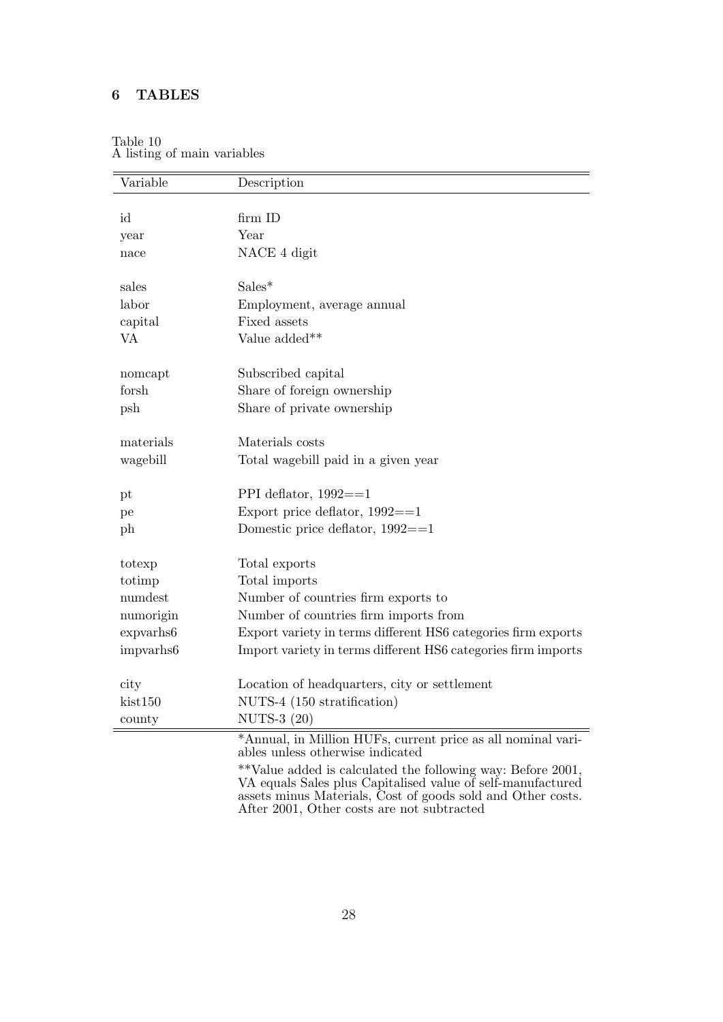## **6 TABLES**

| Variable    | Description                                                                                                                                                                               |
|-------------|-------------------------------------------------------------------------------------------------------------------------------------------------------------------------------------------|
|             |                                                                                                                                                                                           |
| id          | firm ID                                                                                                                                                                                   |
| year        | Year                                                                                                                                                                                      |
| nace        | NACE 4 digit                                                                                                                                                                              |
| sales       | $Sales*$                                                                                                                                                                                  |
| labor       | Employment, average annual                                                                                                                                                                |
| capital     | Fixed assets                                                                                                                                                                              |
| VA          | Value added**                                                                                                                                                                             |
| nomcapt     | Subscribed capital                                                                                                                                                                        |
| forsh       | Share of foreign ownership                                                                                                                                                                |
| psh         | Share of private ownership                                                                                                                                                                |
| materials   | Materials costs                                                                                                                                                                           |
| wagebill    | Total wagebill paid in a given year                                                                                                                                                       |
| $_{\rm pt}$ | PPI deflator, $1992 == 1$                                                                                                                                                                 |
| pe          | Export price deflator, $1992 == 1$                                                                                                                                                        |
| ph          | Domestic price deflator, $1992 == 1$                                                                                                                                                      |
| totexp      | Total exports                                                                                                                                                                             |
| totimp      | Total imports                                                                                                                                                                             |
| numdest     | Number of countries firm exports to                                                                                                                                                       |
| numorigin   | Number of countries firm imports from                                                                                                                                                     |
| expvarhs6   | Export variety in terms different HS6 categories firm exports                                                                                                                             |
| impvarhs6   | Import variety in terms different HS6 categories firm imports                                                                                                                             |
| city        | Location of headquarters, city or settlement                                                                                                                                              |
| kist150     | NUTS-4 (150 stratification)                                                                                                                                                               |
| county      | NUTS-3 (20)                                                                                                                                                                               |
|             | *Annual, in Million HUFs, current price as all nominal vari-<br>ables unless otherwise indicated                                                                                          |
|             | **Value added is calculated the following way: Before 2001,<br>VA equals Sales plus Capitalised value of self-manufactured<br>assets minus Materials, Cost of goods sold and Other costs. |

#### Table 10 A listing of main variables

After 2001, Other costs are not subtracted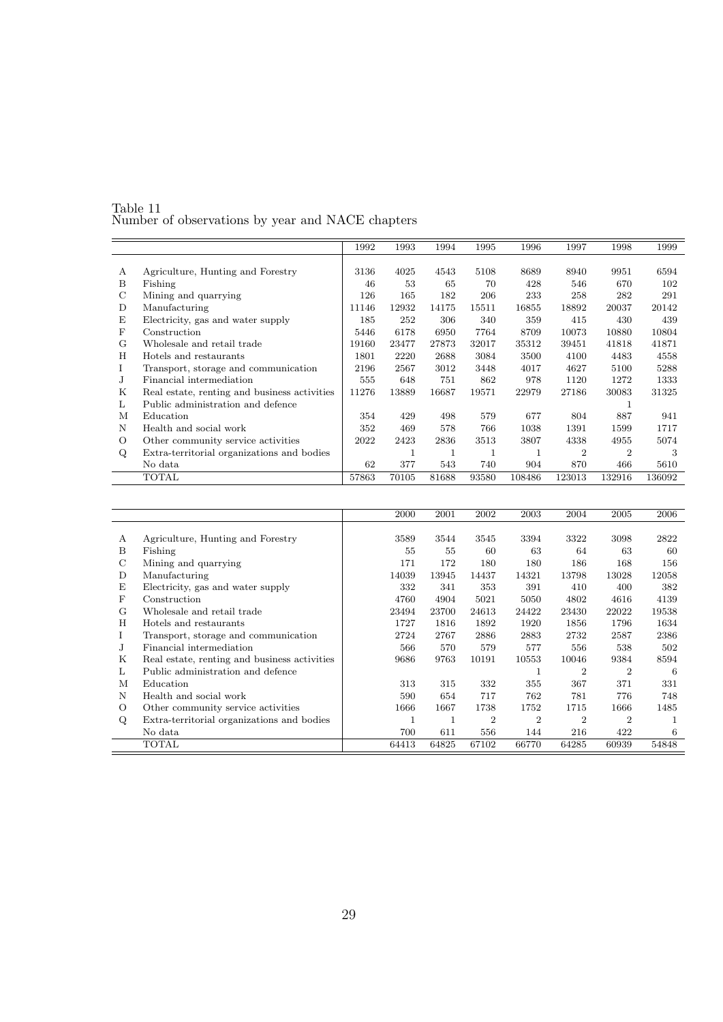| Table 11                                         |  |  |
|--------------------------------------------------|--|--|
| Number of observations by year and NACE chapters |  |  |

|   |                                              | 1992  | 1993  | 1994  | 1995  | 1996   | 1997           | 1998           | 1999   |
|---|----------------------------------------------|-------|-------|-------|-------|--------|----------------|----------------|--------|
|   |                                              |       |       |       |       |        |                |                |        |
| А | Agriculture, Hunting and Forestry            | 3136  | 4025  | 4543  | 5108  | 8689   | 8940           | 9951           | 6594   |
| B | Fishing                                      | 46    | 53    | 65    | 70    | 428    | 546            | 670            | 102    |
| C | Mining and quarrying                         | 126   | 165   | 182   | 206   | 233    | 258            | 282            | 291    |
| D | Manufacturing                                | 11146 | 12932 | 14175 | 15511 | 16855  | 18892          | 20037          | 20142  |
| E | Electricity, gas and water supply            | 185   | 252   | 306   | 340   | 359    | 415            | 430            | 439    |
| F | Construction                                 | 5446  | 6178  | 6950  | 7764  | 8709   | 10073          | 10880          | 10804  |
| G | Wholesale and retail trade                   | 19160 | 23477 | 27873 | 32017 | 35312  | 39451          | 41818          | 41871  |
| H | Hotels and restaurants                       | 1801  | 2220  | 2688  | 3084  | 3500   | 4100           | 4483           | 4558   |
| L | Transport, storage and communication         | 2196  | 2567  | 3012  | 3448  | 4017   | 4627           | 5100           | 5288   |
| J | Financial intermediation                     | 555   | 648   | 751   | 862   | 978    | 1120           | 1272           | 1333   |
| Κ | Real estate, renting and business activities | 11276 | 13889 | 16687 | 19571 | 22979  | 27186          | 30083          | 31325  |
| L | Public administration and defence            |       |       |       |       |        |                |                |        |
| М | Education                                    | 354   | 429   | 498   | 579   | 677    | 804            | 887            | 941    |
| N | Health and social work                       | 352   | 469   | 578   | 766   | 1038   | 1391           | 1599           | 1717   |
| O | Other community service activities           | 2022  | 2423  | 2836  | 3513  | 3807   | 4338           | 4955           | 5074   |
| Q | Extra-territorial organizations and bodies   |       | 1     | 1     |       | 1      | $\overline{2}$ | $\overline{2}$ | 3      |
|   | No data                                      | 62    | 377   | 543   | 740   | 904    | 870            | 466            | 5610   |
|   | TOTAL                                        | 57863 | 70105 | 81688 | 93580 | 108486 | 123013         | 132916         | 136092 |

|    |                                              | 2000  | 2001  | 2002           | 2003           | 2004           | 2005           | 2006  |
|----|----------------------------------------------|-------|-------|----------------|----------------|----------------|----------------|-------|
|    |                                              |       |       |                |                |                |                |       |
| А  | Agriculture, Hunting and Forestry            | 3589  | 3544  | 3545           | 3394           | 3322           | 3098           | 2822  |
| B  | Fishing                                      | 55    | 55    | 60             | 63             | 64             | 63             | 60    |
| C  | Mining and quarrying                         | 171   | 172   | 180            | 180            | 186            | 168            | 156   |
| D  | Manufacturing                                | 14039 | 13945 | 14437          | 14321          | 13798          | 13028          | 12058 |
| Ε  | Electricity, gas and water supply            | 332   | 341   | 353            | 391            | 410            | 400            | 382   |
| F  | Construction                                 | 4760  | 4904  | 5021           | 5050           | 4802           | 4616           | 4139  |
| G  | Wholesale and retail trade                   | 23494 | 23700 | 24613          | 24422          | 23430          | 22022          | 19538 |
| H  | Hotels and restaurants                       | 1727  | 1816  | 1892           | 1920           | 1856           | 1796           | 1634  |
| Ι. | Transport, storage and communication         | 2724  | 2767  | 2886           | 2883           | 2732           | 2587           | 2386  |
| J. | Financial intermediation                     | 566   | 570   | 579            | 577            | 556            | 538            | 502   |
| Κ  | Real estate, renting and business activities | 9686  | 9763  | 10191          | 10553          | 10046          | 9384           | 8594  |
| L  | Public administration and defence            |       |       |                |                | 2              | 2              | 6     |
| М  | Education                                    | 313   | 315   | 332            | 355            | 367            | 371            | 331   |
| N  | Health and social work                       | 590   | 654   | 717            | 762            | 781            | 776            | 748   |
| О  | Other community service activities           | 1666  | 1667  | 1738           | 1752           | 1715           | 1666           | 1485  |
| Q  | Extra-territorial organizations and bodies   |       | 1     | $\overline{2}$ | $\overline{2}$ | $\overline{2}$ | $\overline{2}$ |       |
|    | No data                                      | 700   | 611   | 556            | 144            | 216            | 422            | 6     |
|    | TOTAL                                        | 64413 | 64825 | 67102          | 66770          | 64285          | 60939          | 54848 |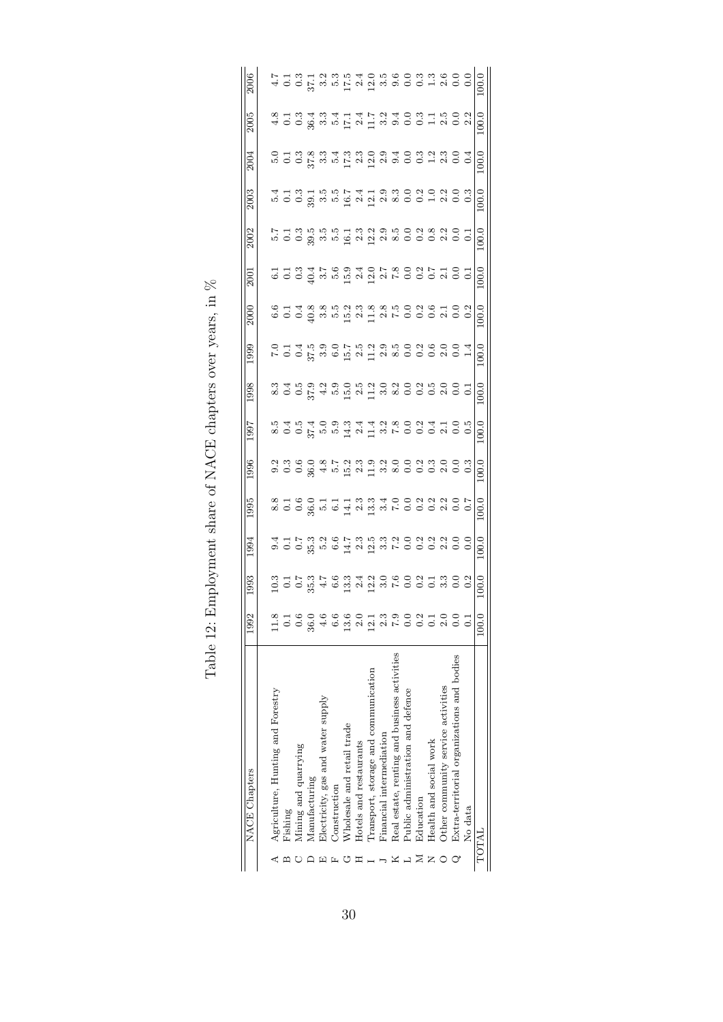| <b>NACE</b> Chapters                         | 1992             | 1993        | 1994  | 1995 | 996  | <b>L661</b> | 1998 | .999                                     | 2000                                                                         | 2001                                        | 2002 | 2003 | 2004                                                                             | 2005                                                                                                     | 2006 |
|----------------------------------------------|------------------|-------------|-------|------|------|-------------|------|------------------------------------------|------------------------------------------------------------------------------|---------------------------------------------|------|------|----------------------------------------------------------------------------------|----------------------------------------------------------------------------------------------------------|------|
| Agriculture, Hunting and Forestry            | 11.8             |             |       |      |      |             |      |                                          |                                                                              |                                             |      |      |                                                                                  |                                                                                                          |      |
| Fishing                                      | 0.1              |             |       |      |      |             |      |                                          |                                                                              |                                             |      |      |                                                                                  |                                                                                                          |      |
| Mining and quarrying                         | 0.6              |             |       |      |      |             |      |                                          |                                                                              |                                             |      |      |                                                                                  |                                                                                                          |      |
| Manufacturing                                | 36.0             |             |       |      |      |             |      | c コュミックアミンショックスのつい」<br>こうしいということをいいことのこと | c - 4 8 8 9 9 9 9 9 9 9 9 9 9 9 9 9 9<br>C - 4 8 9 9 9 9 9 9 9 9 9 9 9 9 9 9 | 5 5 6 7 7 7 8 9 7 8 9 7 8 9 9 7 5 6 7 6 9 7 |      |      | c T a w a i a i a d a 4 0 0 1 4 0 0<br>p 0 0 2 2 3 4 5 6 7 7 8 9 9 9 0 0 1 9 0 0 | 8 - 1 8 - 1 8 - 1 9 - 1 9 - 1 9 - 1 9 - 1 9 - 1<br>8 - 1 9 - 1 9 - 1 9 - 1 9 - 1 9 - 1 9 - 1 9 - 1 9 - 1 |      |
| Electricity, gas and water supply            | 4.6              |             |       |      |      |             |      |                                          |                                                                              |                                             |      |      |                                                                                  |                                                                                                          |      |
| Construction                                 | 6.6              |             |       |      |      |             |      |                                          |                                                                              |                                             |      |      |                                                                                  |                                                                                                          |      |
| Wholesale and retail trade                   | 13.6             |             |       |      |      |             |      |                                          |                                                                              |                                             |      |      |                                                                                  |                                                                                                          |      |
| Hotels and restaurants                       | 2.0              |             |       |      |      |             |      |                                          |                                                                              |                                             |      |      |                                                                                  |                                                                                                          |      |
| Transport, storage and communication         | 12.1             |             |       |      |      |             |      |                                          |                                                                              |                                             |      |      |                                                                                  |                                                                                                          |      |
| Financial intermediation                     | 2.3              |             |       |      |      |             |      |                                          |                                                                              |                                             |      |      |                                                                                  |                                                                                                          |      |
| Real estate, renting and business activities | 7.9              |             |       |      |      |             |      |                                          |                                                                              |                                             |      |      |                                                                                  |                                                                                                          |      |
| Public administration and defence            | 0.0              |             |       |      |      |             |      |                                          |                                                                              |                                             |      |      |                                                                                  |                                                                                                          |      |
| Education                                    | $0.\overline{2}$ |             |       |      |      |             |      |                                          |                                                                              |                                             |      |      |                                                                                  |                                                                                                          |      |
| Health and social work                       | 0.1              |             |       |      |      |             |      |                                          |                                                                              |                                             |      |      |                                                                                  |                                                                                                          |      |
| Other community service activities           | 2.0              |             |       |      |      |             |      |                                          |                                                                              |                                             |      |      |                                                                                  |                                                                                                          |      |
| Extra-territorial organizations and bodies   | 0.0              |             |       |      |      |             |      |                                          |                                                                              |                                             |      |      |                                                                                  |                                                                                                          |      |
| No data                                      | $\overline{0}$   |             |       |      |      |             |      |                                          |                                                                              |                                             |      |      |                                                                                  |                                                                                                          |      |
| TOTAL                                        | 100.0            | $\rm{0.00}$ | .00.0 | 0.0  | 0.00 | 0.00        | 0.0  | 0.00                                     | 0.0                                                                          | 0.00                                        | 0.00 | 0.00 | 0.00                                                                             | .00.0                                                                                                    |      |
|                                              |                  |             |       |      |      |             |      |                                          |                                                                              |                                             |      |      |                                                                                  |                                                                                                          |      |

Table 12: Employment share of NACE chapters over years, in  $\%$ Table 12: Employment share of NACE chapters over years, in %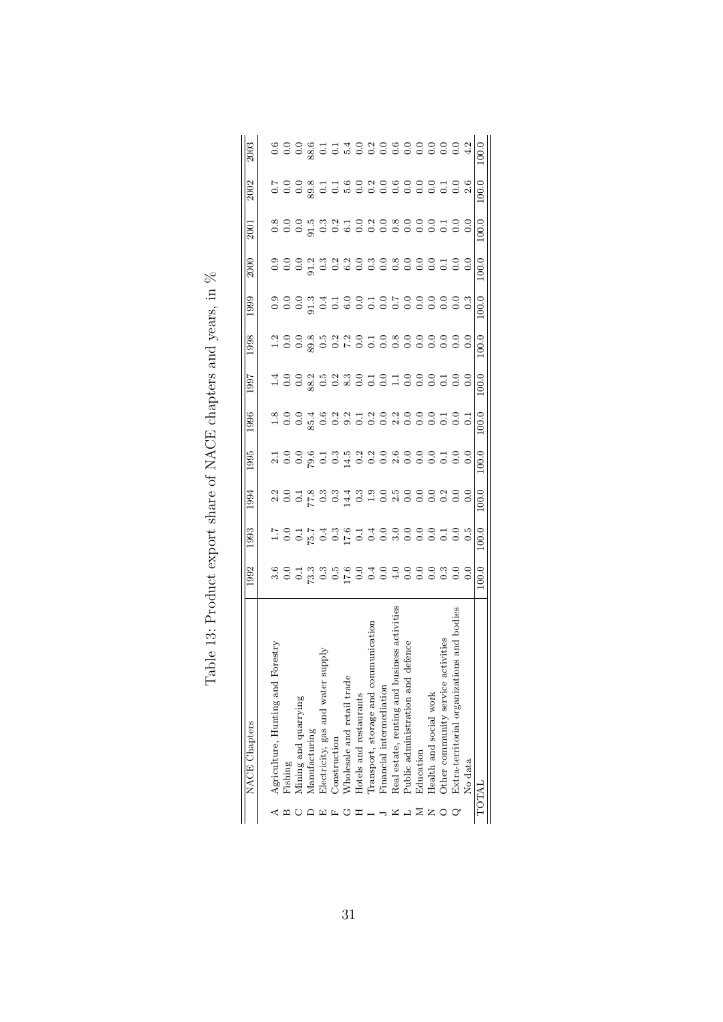| 2003          |                                     |         | 8 8 8 8 7 7 7 8 8 9 8 8 8 9 8 9 8 9                         |               |                                     |                     |                            |                        |                           |                          |                            |                                      |           |                                         |                         |                                             |                                   | 100.0 |
|---------------|-------------------------------------|---------|-------------------------------------------------------------|---------------|-------------------------------------|---------------------|----------------------------|------------------------|---------------------------|--------------------------|----------------------------|--------------------------------------|-----------|-----------------------------------------|-------------------------|---------------------------------------------|-----------------------------------|-------|
| 2002          |                                     |         |                                                             |               |                                     |                     |                            |                        |                           |                          |                            |                                      |           |                                         |                         |                                             | voo x dis voor die die voor die k | 100.0 |
| 2001          |                                     |         |                                                             |               |                                     |                     |                            |                        |                           |                          |                            |                                      |           |                                         |                         |                                             |                                   | 100.0 |
| 2000          |                                     |         |                                                             |               |                                     |                     |                            |                        |                           |                          |                            |                                      |           |                                         |                         |                                             |                                   | 100.0 |
| 1999          |                                     |         |                                                             |               |                                     |                     |                            |                        |                           |                          |                            |                                      |           |                                         |                         |                                             |                                   | 100.0 |
| 1998          |                                     |         |                                                             |               |                                     |                     |                            |                        |                           |                          |                            |                                      |           |                                         |                         |                                             |                                   | 100.0 |
| 1997          |                                     |         |                                                             |               |                                     |                     |                            |                        |                           |                          |                            |                                      |           |                                         |                         |                                             |                                   | 100.0 |
| 1996          |                                     |         | 8.004 9.004 5.004 5.004 9.004 5.004 5.004 5.004 5.004 5.005 |               |                                     |                     |                            |                        |                           |                          |                            |                                      |           |                                         |                         |                                             |                                   | 100.0 |
| 1995          |                                     |         | 1009139200000001000                                         |               |                                     |                     |                            |                        |                           |                          |                            |                                      |           |                                         |                         |                                             |                                   | 100.0 |
| 1994          |                                     |         |                                                             |               |                                     |                     |                            |                        |                           |                          |                            |                                      |           |                                         |                         |                                             |                                   | 100.0 |
| 1993          |                                     |         |                                                             |               |                                     |                     |                            |                        |                           |                          |                            |                                      |           |                                         |                         |                                             | ICOUNTRE COOROCOCO                | 100.0 |
| 1992          |                                     |         |                                                             |               |                                     |                     |                            |                        |                           |                          |                            |                                      |           |                                         |                         |                                             |                                   | 100.0 |
| NACE Chapters | orestry<br>Agriculture, Hunting and | Pishing | Aining and quarrying                                        | Manufacturing | deans<br>Electricity, gas and water | <b>Construction</b> | Wholesale and retail trade | Hotels and restaurants | Transport, storage and co | Financial intermediation | Real estate, renting and b | defence<br>Public administration and | Education | $\operatorname{Health}$ and social work | Other community service | ions and boo<br>Extra-territorial organizat | No data                           | TOTAL |

| Table 13: Product export share of NACE chapters and years, in % |
|-----------------------------------------------------------------|
|                                                                 |
|                                                                 |
|                                                                 |
|                                                                 |
|                                                                 |
|                                                                 |
|                                                                 |
|                                                                 |
|                                                                 |
|                                                                 |
|                                                                 |
|                                                                 |
|                                                                 |
|                                                                 |
|                                                                 |
|                                                                 |
|                                                                 |
|                                                                 |
|                                                                 |
|                                                                 |
|                                                                 |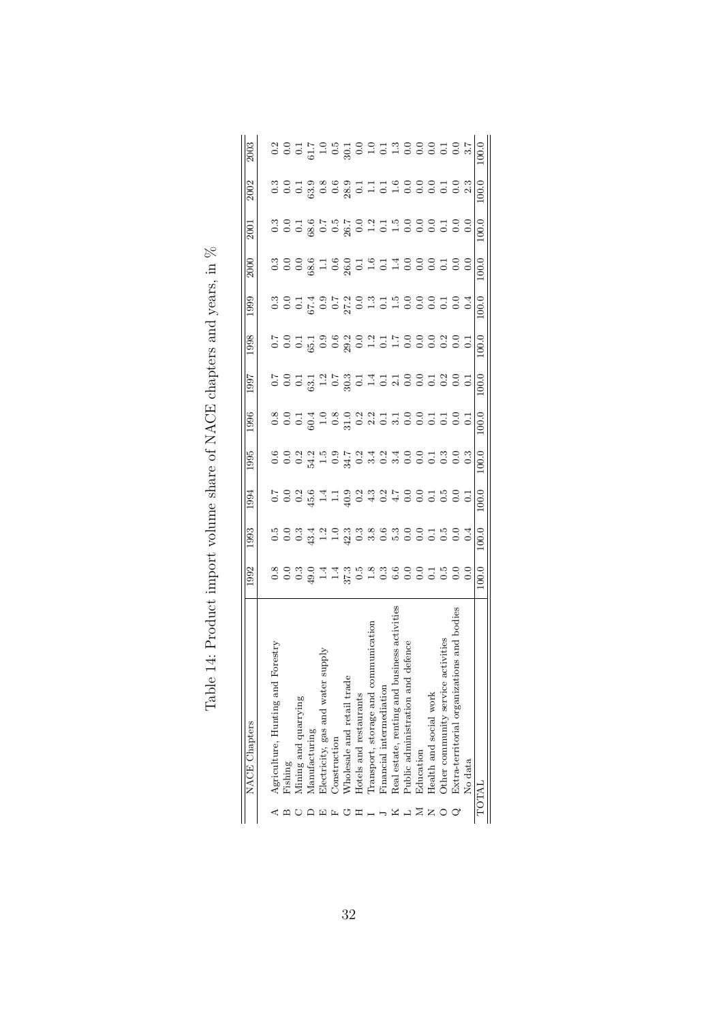| 2003                 |                                      |         |                                     |               |                                      |                     |                            |                        |                                          |                          |                            |                                      |           |                        |                         |                                                |         | 100.0        |
|----------------------|--------------------------------------|---------|-------------------------------------|---------------|--------------------------------------|---------------------|----------------------------|------------------------|------------------------------------------|--------------------------|----------------------------|--------------------------------------|-----------|------------------------|-------------------------|------------------------------------------------|---------|--------------|
| 2002                 |                                      |         |                                     |               |                                      |                     |                            |                        |                                          |                          |                            |                                      |           |                        |                         |                                                |         | 100.0        |
| 2001                 |                                      |         |                                     |               |                                      |                     |                            |                        |                                          |                          |                            |                                      |           |                        |                         |                                                |         | 100.0        |
| 2000                 |                                      |         |                                     |               |                                      |                     |                            |                        |                                          |                          |                            |                                      |           |                        |                         |                                                |         | 100.0        |
| 1999                 |                                      |         | cookookououoooooooo                 |               |                                      |                     |                            |                        |                                          |                          |                            |                                      |           |                        |                         |                                                |         | 100.0        |
| 1998                 |                                      |         |                                     |               |                                      |                     |                            |                        |                                          |                          |                            |                                      |           |                        |                         |                                                |         | 100.0        |
| <b>L661</b>          |                                      |         |                                     |               |                                      |                     |                            |                        |                                          |                          |                            |                                      |           |                        |                         |                                                |         | 100.0        |
| .996                 |                                      |         | 8 9 5 7 9 8 9 8 8 1 5 5 6 9 5 5 6 6 |               |                                      |                     |                            |                        |                                          |                          |                            |                                      |           |                        |                         |                                                |         | 100.0        |
| 1995                 |                                      |         |                                     |               |                                      |                     |                            |                        |                                          |                          |                            |                                      |           |                        |                         |                                                |         | 100.0        |
| 1994                 |                                      |         |                                     |               |                                      |                     |                            |                        |                                          |                          |                            |                                      |           |                        |                         |                                                |         | 100.0        |
| .993                 |                                      |         |                                     |               |                                      |                     |                            |                        |                                          |                          |                            |                                      |           |                        |                         |                                                |         | 100.0        |
| 1992                 |                                      |         |                                     |               |                                      |                     |                            |                        |                                          |                          |                            |                                      |           |                        |                         |                                                |         | 100.0        |
| <b>NACE</b> Chapters | Forestry<br>Agriculture, Hunting and | lishing | Aining and quarrying                | Manufacturing | supply<br>Electricity, gas and water | <b>Construction</b> | Wholesale and retail trade | Hotels and restaurants | nmunication<br>Transport, storage and co | Financial intermediation | Real estate, renting and b | defence<br>Public administration and | Education | Health and social work | Other community service | ions and bodies<br>Extra-territorial organizat | No data | <b>TOTAL</b> |

| NACE charters and wars in V<br>/ HIT WAS STRAINED AND A THE THROUGH AND A STRAINED OF THE STRAINED OF THE STRAINED OF THE THROUGH AND A STRAINED OF THE THROUGH AND A STRAINED OF THE THE THROUGH AND THE THE THROUGH AND THE THE THROUGH AND THE THROUGH A S |
|---------------------------------------------------------------------------------------------------------------------------------------------------------------------------------------------------------------------------------------------------------------|
|                                                                                                                                                                                                                                                               |
|                                                                                                                                                                                                                                                               |
|                                                                                                                                                                                                                                                               |
|                                                                                                                                                                                                                                                               |
|                                                                                                                                                                                                                                                               |
| 4. Deadnot impart walume share of                                                                                                                                                                                                                             |
| ſ                                                                                                                                                                                                                                                             |
| $\sim$ $\sim$ $\sim$<br>.<br>ב-<br>i                                                                                                                                                                                                                          |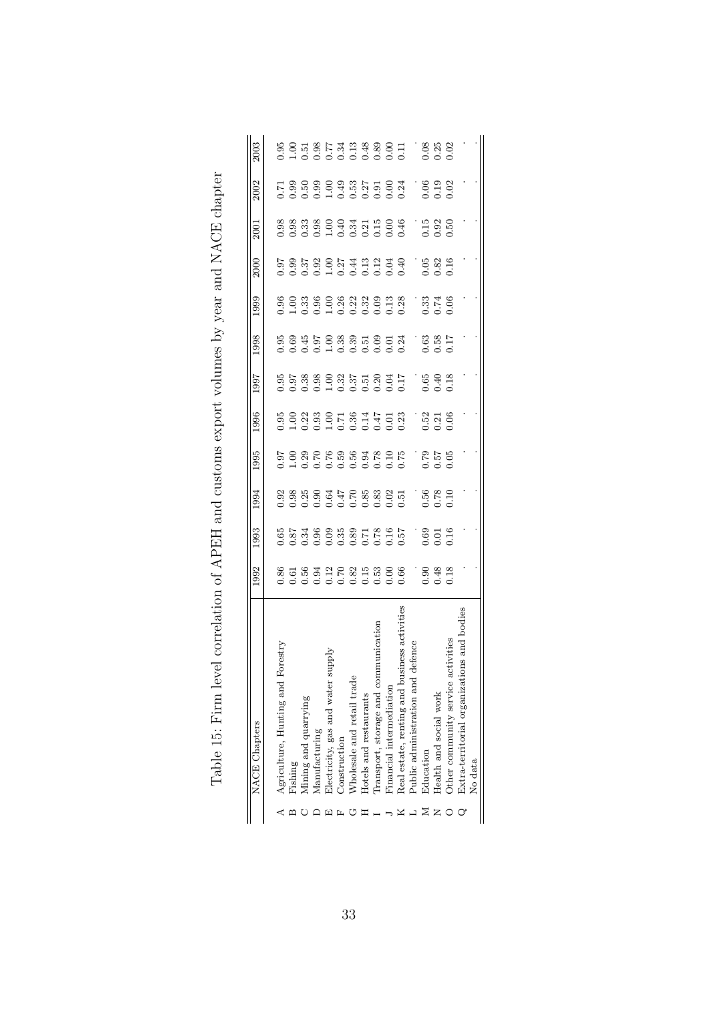| NACE Chapters                                     | .992             | 1993                                        | 1994                                             | 1995                                             | 1996                  | 766                                                                        | 1998            | 1999                                               | 2000                                                  | 2001             | 2002                         | 2003                                             |
|---------------------------------------------------|------------------|---------------------------------------------|--------------------------------------------------|--------------------------------------------------|-----------------------|----------------------------------------------------------------------------|-----------------|----------------------------------------------------|-------------------------------------------------------|------------------|------------------------------|--------------------------------------------------|
|                                                   |                  |                                             |                                                  |                                                  |                       |                                                                            |                 |                                                    |                                                       |                  |                              |                                                  |
| Forestry<br>Agriculture, Hunting and              |                  |                                             |                                                  |                                                  |                       |                                                                            |                 |                                                    |                                                       |                  |                              |                                                  |
| lishing                                           |                  |                                             |                                                  |                                                  |                       |                                                                            |                 |                                                    |                                                       |                  |                              |                                                  |
| Viining and quarrying                             |                  |                                             |                                                  |                                                  |                       |                                                                            |                 |                                                    |                                                       |                  |                              |                                                  |
| Manufacturing                                     |                  |                                             |                                                  |                                                  |                       |                                                                            |                 |                                                    |                                                       |                  |                              |                                                  |
| ylddns<br>Dectricity, gas and water               |                  | 55<br>55 36 36 36 37 38<br>5 36 36 36 37 39 | 3 3 3 3 3 4 5 8 3 3 3 5<br>3 3 3 3 5 4 5 8 3 3 5 | 31<br>2008 2009 2009 2009<br>2009 2009 2009 2009 |                       | 55 38 30 31 5 5 30 5 5<br>5 5 3 3 5 5 5 5 5 6 5 6<br>5 5 6 5 5 6 5 6 6 6 7 |                 | 8 8 8 8 8 8 8 8 9 8 9 8<br>6 9 8 8 9 8 8 9 8 9 8 9 | 5<br>5 5 5 6 5 6 7 4 5 6 7 6<br>5 6 6 6 6 6 6 6 7 7 6 |                  | 136389355834<br>136389355583 | 8.8 5 8 5 7 3 9 8 8 9 5<br>8 9 5 6 7 3 9 8 9 6 7 |
| <b>Construction</b>                               |                  |                                             |                                                  |                                                  |                       |                                                                            |                 |                                                    |                                                       |                  |                              |                                                  |
| Vholesale and retail trade                        |                  |                                             |                                                  |                                                  |                       |                                                                            |                 |                                                    |                                                       |                  |                              |                                                  |
| Hotels and restaurants                            |                  |                                             |                                                  |                                                  |                       |                                                                            |                 |                                                    |                                                       |                  |                              |                                                  |
| mmunication<br>Iransport, storage and co          |                  |                                             |                                                  |                                                  |                       |                                                                            |                 |                                                    |                                                       |                  |                              |                                                  |
| <sup>7</sup> inancial intermediation              |                  |                                             |                                                  |                                                  |                       |                                                                            |                 |                                                    |                                                       |                  |                              |                                                  |
| usiness activities<br>Real estate, renting and br |                  |                                             |                                                  |                                                  |                       |                                                                            |                 |                                                    |                                                       |                  |                              |                                                  |
| defence<br>Public administration and              |                  |                                             |                                                  | $\mathbf{r}$                                     |                       |                                                                            |                 |                                                    |                                                       | Ĩ,               |                              |                                                  |
| Education                                         |                  |                                             |                                                  |                                                  |                       |                                                                            |                 |                                                    |                                                       |                  |                              |                                                  |
| Health and social work                            | $3,48$<br>$0.48$ | 0.69                                        | 2.58<br>83.58<br>0.10                            | 357<br>757<br>757                                | 3.3<br>3.3.16<br>3.06 | 3.48                                                                       | $-3.58$<br>3.58 | 33<br>27<br>20                                     | $0.05$<br>$0.82$<br>$0.16$                            | $1.50$<br>$0.50$ | 9.92<br>9.102<br>9.102       | 38.83<br>2010<br>2010                            |
| activities<br>Other community service             |                  | 0.16                                        |                                                  |                                                  |                       |                                                                            |                 |                                                    |                                                       |                  |                              |                                                  |
| ions and bodies<br>Extra-territorial organizat    |                  |                                             |                                                  |                                                  |                       |                                                                            |                 |                                                    |                                                       |                  |                              |                                                  |
| No data                                           |                  |                                             |                                                  |                                                  |                       |                                                                            |                 |                                                    |                                                       |                  |                              |                                                  |
|                                                   |                  |                                             |                                                  |                                                  |                       |                                                                            |                 |                                                    |                                                       |                  |                              |                                                  |

| $\begin{array}{c} \n\downarrow \\ \n\downarrow \n\end{array}$<br>֖֖֪ׅ֧֚֚֚֚֚֚֚֚֚֚֚֚֚֚֚֚֚֚֚֚֚֚֚֡֝֝֝֝֝֝֝֝֝֝֝֓֝                                                                                                                                      |  |
|--------------------------------------------------------------------------------------------------------------------------------------------------------------------------------------------------------------------------------------------------|--|
|                                                                                                                                                                                                                                                  |  |
| Contrate the contrate that the control control control control control control control control control control control control control control control control control control control control control control control control<br>$\overline{a}$ |  |
| <br> <br> <br>                                                                                                                                                                                                                                   |  |
|                                                                                                                                                                                                                                                  |  |
|                                                                                                                                                                                                                                                  |  |
| י<br>ו<br>$\frac{1}{2}$                                                                                                                                                                                                                          |  |
| ์<br>י<br>$-2$<br>$\frac{1}{2}$<br>くこく くうくく へいしん くくりょう                                                                                                                                                                                           |  |
|                                                                                                                                                                                                                                                  |  |
|                                                                                                                                                                                                                                                  |  |
| $\frac{1}{2}$                                                                                                                                                                                                                                    |  |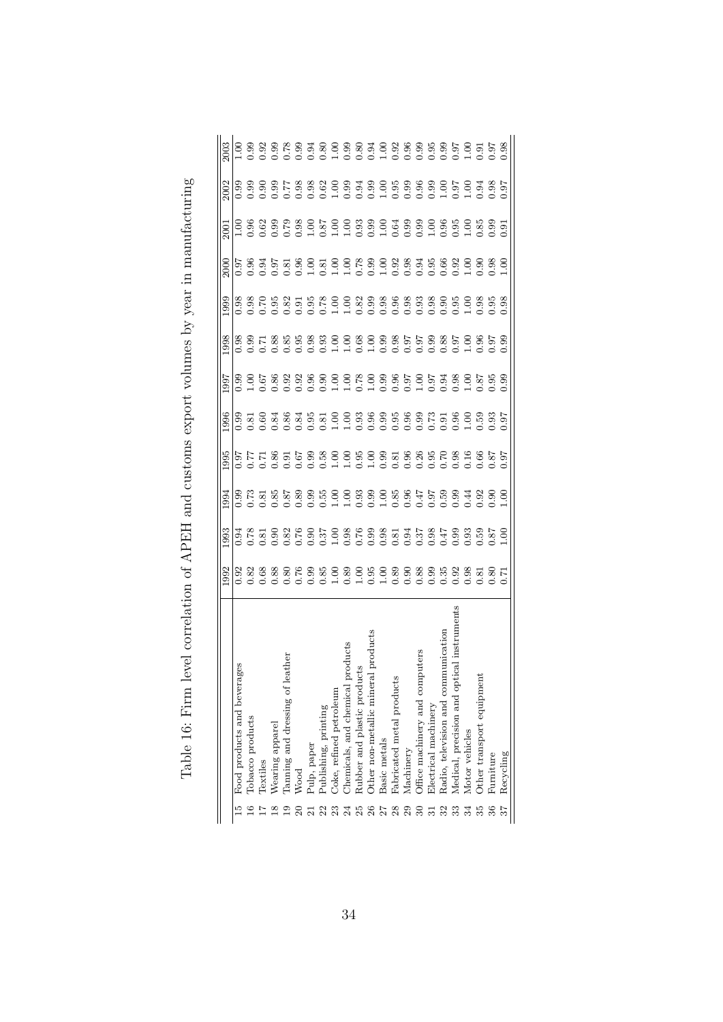|              |                                                                 | 992            | 993                                    | 994  | 995                                                | 996  | 997  | 998  | 999          | 2000          | 2001 | 2002 | 2003 |
|--------------|-----------------------------------------------------------------|----------------|----------------------------------------|------|----------------------------------------------------|------|------|------|--------------|---------------|------|------|------|
|              | ges<br>Food products and bevera                                 |                |                                        | 0.99 |                                                    | 0.99 |      |      | 0.98         |               |      |      |      |
|              | Tobacco products                                                |                |                                        |      |                                                    |      |      |      |              |               |      |      |      |
|              | Textiles                                                        |                | 3. 8. 8.<br>3. 8. 8. 9.<br>9. 9. 9. 9. |      |                                                    |      |      |      |              |               |      |      |      |
| $\infty$     | Wearing apparel                                                 |                |                                        |      |                                                    |      |      |      | 3.85<br>3.75 |               |      |      |      |
|              | ather<br>Tanning and dressing of le                             |                |                                        |      | 77787698009909388068868777778778788800987888888888 |      |      |      |              |               |      |      |      |
|              | Wood                                                            |                |                                        |      |                                                    |      |      |      |              |               |      |      |      |
|              | Pulp, paper                                                     |                |                                        |      |                                                    |      |      |      |              |               |      |      |      |
| $\mathbf{z}$ | Publishing, printing                                            |                |                                        |      |                                                    |      |      |      |              |               |      |      |      |
|              | Coke, refined petroleum<br>Chemicals, and chemical <sub>I</sub> |                |                                        |      |                                                    |      |      |      |              |               |      |      |      |
|              | products                                                        |                |                                        |      |                                                    |      |      |      |              |               |      |      |      |
|              | icts<br>Rubber and plastic produ                                |                |                                        |      |                                                    |      |      |      |              |               |      |      |      |
|              | Other non-metallic mineral products                             |                |                                        |      |                                                    |      |      |      |              |               |      |      |      |
|              | Basic metals                                                    |                |                                        |      |                                                    |      |      |      |              |               |      |      |      |
| 28           | Pabricated metal products                                       |                |                                        |      |                                                    |      |      |      |              |               |      |      |      |
|              | Machinery                                                       |                |                                        |      |                                                    |      |      |      |              |               |      |      |      |
|              | puters<br>Office machinery and com                              |                |                                        |      |                                                    |      |      |      |              |               |      |      |      |
|              | Electrical machinery                                            |                |                                        |      |                                                    |      |      |      |              |               |      |      |      |
| 32           | Radio, television and communication                             |                |                                        |      |                                                    |      |      |      |              |               |      |      |      |
| 33           | ical instruments<br>Medical, precision and opt                  |                |                                        |      |                                                    |      |      |      |              |               |      |      |      |
| 34           | Motor vehicles                                                  |                |                                        |      |                                                    |      |      |      |              |               |      |      |      |
| $35^{\circ}$ | Other transport equipment                                       |                | 0.59                                   | 0.92 |                                                    |      |      |      |              |               |      |      |      |
|              | Furniture                                                       | $\overline{8}$ | $\frac{1.00}{5.6}$                     |      |                                                    | 0.93 |      |      | 0.95         |               |      |      |      |
|              | Recycling                                                       | 77             |                                        | ş    |                                                    | 0.97 | 0.99 | 0.99 | 0.98         | $\frac{6}{1}$ | 0.91 |      | 0.98 |
|              |                                                                 |                |                                        |      |                                                    |      |      |      |              |               |      |      |      |

Table 16: Firm level correlation of APEH and customs export volumes by year in manufacturing Table 16: Firm level correlation of APEH and customs export volumes by year in manufacturing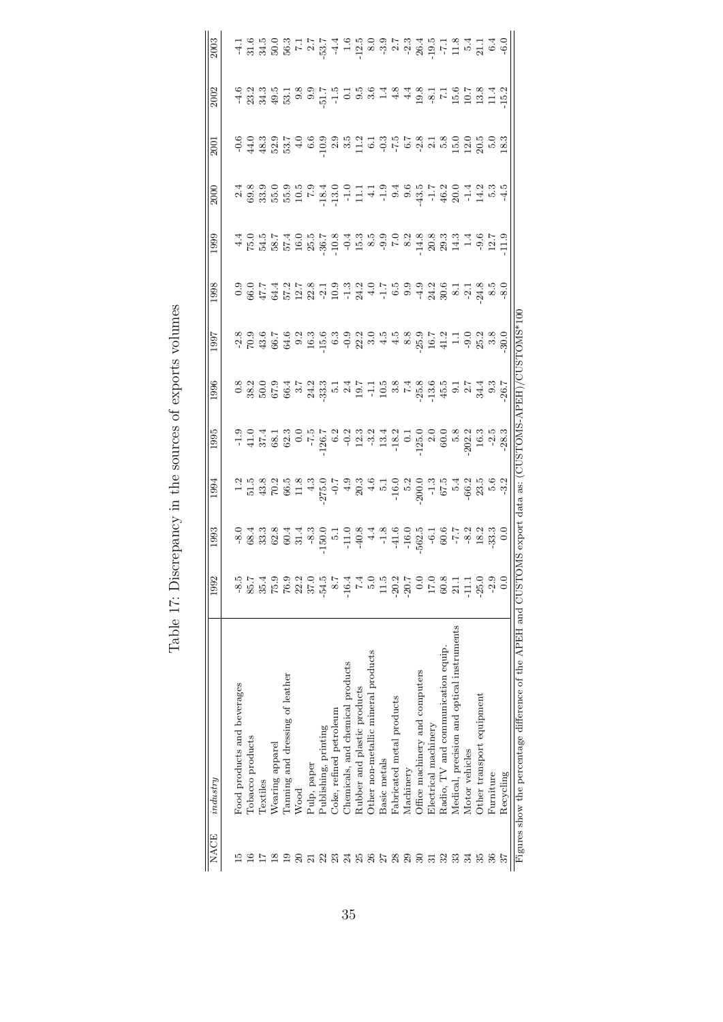| <b>NACE</b>                | industry                                                     | 1992    | 1993                          | 1994                                                                                                                                                                                                                                                                                                        | 1995                      | 1996 | 1997 | 1998                                                                                                                                                                                                                             | 1999 | 2000 | 2001 | 2002 | 2003 |
|----------------------------|--------------------------------------------------------------|---------|-------------------------------|-------------------------------------------------------------------------------------------------------------------------------------------------------------------------------------------------------------------------------------------------------------------------------------------------------------|---------------------------|------|------|----------------------------------------------------------------------------------------------------------------------------------------------------------------------------------------------------------------------------------|------|------|------|------|------|
|                            | Food products and beverages                                  | $-8.5$  |                               |                                                                                                                                                                                                                                                                                                             |                           |      |      |                                                                                                                                                                                                                                  |      |      |      |      |      |
| $\mathbf{\underline{\Xi}}$ | <b><i><u>Cobacco</u></i></b> products                        | 85.7    |                               | $\frac{1}{12}$ $\frac{1}{12}$ $\frac{1}{32}$ $\frac{1}{62}$ $\frac{1}{62}$ $\frac{1}{62}$ $\frac{1}{62}$ $\frac{1}{62}$ $\frac{1}{62}$ $\frac{1}{62}$ $\frac{1}{62}$ $\frac{1}{62}$ $\frac{1}{62}$ $\frac{1}{62}$ $\frac{1}{62}$ $\frac{1}{62}$ $\frac{1}{62}$ $\frac{1}{62}$ $\frac{1}{62}$ $\frac{1}{62}$ |                           |      |      | 0.0017 4 51 52 61 61 61 61 61 61 61 61 62 63 64 65 66 67 67 68 69 60 61 7 62 63 64 65 65 66 67 7 70 70 71 72 7<br>- 0.00 72 73 74 75 76 77 78 79 70 71 72 73 74 75 76 77 78 79 79 70 71 72 73 74 75 75 76 77 78 79 70 71 71 72 7 |      |      |      |      |      |
|                            | Textiles                                                     | 35.4    |                               |                                                                                                                                                                                                                                                                                                             |                           |      |      |                                                                                                                                                                                                                                  |      |      |      |      |      |
|                            | Wearing apparel                                              | 75.9    |                               |                                                                                                                                                                                                                                                                                                             |                           |      |      |                                                                                                                                                                                                                                  |      |      |      |      |      |
|                            | Taming and dressing of leather                               | 76.9    |                               |                                                                                                                                                                                                                                                                                                             |                           |      |      |                                                                                                                                                                                                                                  |      |      |      |      |      |
|                            | Wood                                                         | 22.2    |                               |                                                                                                                                                                                                                                                                                                             |                           |      |      |                                                                                                                                                                                                                                  |      |      |      |      |      |
|                            | Pulp, paper                                                  | 37.0    |                               |                                                                                                                                                                                                                                                                                                             |                           |      |      |                                                                                                                                                                                                                                  |      |      |      |      |      |
|                            | Publishing, printing                                         | $-54.5$ |                               |                                                                                                                                                                                                                                                                                                             |                           |      |      |                                                                                                                                                                                                                                  |      |      |      |      |      |
|                            | Coke, refined petroleum                                      | 8.7     |                               |                                                                                                                                                                                                                                                                                                             |                           |      |      |                                                                                                                                                                                                                                  |      |      |      |      |      |
|                            | Chemicals, and chemical products                             | $-16.4$ |                               |                                                                                                                                                                                                                                                                                                             |                           |      |      |                                                                                                                                                                                                                                  |      |      |      |      |      |
|                            | Rubber and plastic products                                  | 7.4     |                               |                                                                                                                                                                                                                                                                                                             |                           |      |      |                                                                                                                                                                                                                                  |      |      |      |      |      |
| 26                         | Other non-metallic mineral products                          | 5.0     |                               |                                                                                                                                                                                                                                                                                                             |                           |      |      |                                                                                                                                                                                                                                  |      |      |      |      |      |
|                            | Basic metals                                                 | 11.5    |                               |                                                                                                                                                                                                                                                                                                             |                           |      |      |                                                                                                                                                                                                                                  |      |      |      |      |      |
| 28                         | Fabricated metal products                                    | $-20.2$ |                               |                                                                                                                                                                                                                                                                                                             |                           |      |      |                                                                                                                                                                                                                                  |      |      |      |      |      |
| 29                         | Machinery                                                    | $-20.7$ |                               |                                                                                                                                                                                                                                                                                                             |                           |      |      |                                                                                                                                                                                                                                  |      |      |      |      |      |
| $\mathbb{S}^2$             | Office machinery and computers                               | 0.0     |                               |                                                                                                                                                                                                                                                                                                             |                           |      |      |                                                                                                                                                                                                                                  |      |      |      |      |      |
| ಸ                          | Electrical machinery                                         | 17.0    |                               |                                                                                                                                                                                                                                                                                                             |                           |      |      |                                                                                                                                                                                                                                  |      |      |      |      |      |
| 32                         | Radio, TV and communication equip.                           | 60.8    |                               |                                                                                                                                                                                                                                                                                                             |                           |      |      |                                                                                                                                                                                                                                  |      |      |      |      |      |
|                            | Medical, precision and optical instruments                   | 21.1    |                               |                                                                                                                                                                                                                                                                                                             |                           |      |      |                                                                                                                                                                                                                                  |      |      |      |      |      |
| 34                         | Motor vehicles                                               | $-11.1$ |                               |                                                                                                                                                                                                                                                                                                             |                           |      |      |                                                                                                                                                                                                                                  |      |      |      |      |      |
|                            | Other transport equipment                                    | $-25.0$ |                               |                                                                                                                                                                                                                                                                                                             |                           |      |      |                                                                                                                                                                                                                                  |      |      |      |      |      |
|                            | Furniture                                                    | $-2.9$  |                               |                                                                                                                                                                                                                                                                                                             |                           |      |      |                                                                                                                                                                                                                                  |      |      |      |      |      |
|                            | Recycling                                                    | 0.0     |                               |                                                                                                                                                                                                                                                                                                             |                           |      |      |                                                                                                                                                                                                                                  |      |      |      |      |      |
|                            | Figures show the percentage difference of the APEH and CUSTO |         | export data as:<br><b>NIS</b> |                                                                                                                                                                                                                                                                                                             | (CUSTOMS-APEH)/CUSTOMS*10 |      |      |                                                                                                                                                                                                                                  |      |      |      |      |      |

Table 17: Discrepancy in the sources of exports volumes Table 17: Discrepancy in the sources of exports volumes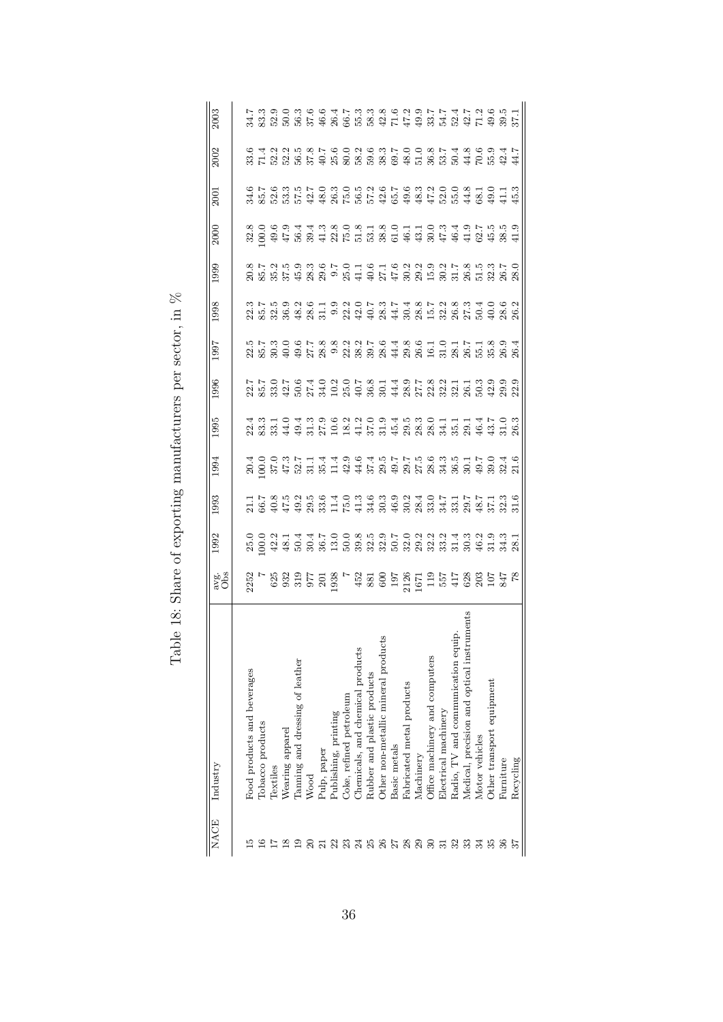|                | NACE Industry                                                                    | avg.<br>Obs | 1992 | 1993 | 1994 | 1995 | 1996                                                                   | 1997 | 1998 | 1999                                                                                                                                                                                                                             | <b>2000</b>                                                                                                | 2001 | 2002 | 2003 |
|----------------|----------------------------------------------------------------------------------|-------------|------|------|------|------|------------------------------------------------------------------------|------|------|----------------------------------------------------------------------------------------------------------------------------------------------------------------------------------------------------------------------------------|------------------------------------------------------------------------------------------------------------|------|------|------|
|                |                                                                                  |             |      |      |      |      |                                                                        |      |      |                                                                                                                                                                                                                                  |                                                                                                            |      |      |      |
|                | Food products and beverages                                                      |             |      |      |      |      |                                                                        |      |      |                                                                                                                                                                                                                                  |                                                                                                            |      |      |      |
|                | Tobacco products                                                                 |             |      |      |      |      |                                                                        |      |      |                                                                                                                                                                                                                                  |                                                                                                            |      |      |      |
|                | Textiles                                                                         |             |      |      |      |      |                                                                        |      |      |                                                                                                                                                                                                                                  |                                                                                                            |      |      |      |
|                | Wearing apparel                                                                  |             |      |      |      |      |                                                                        |      |      |                                                                                                                                                                                                                                  |                                                                                                            |      |      |      |
|                | Tanning and dressing of leather                                                  |             |      |      |      |      |                                                                        |      |      |                                                                                                                                                                                                                                  |                                                                                                            |      |      |      |
|                | Wood                                                                             |             |      |      |      |      | てての76402078149782113999. ここの スリートの インストラン しょうしょう こうしょう こうきょうこう さんこうきょう |      |      | 8. 1. 2. 1. 9. 9. 9. 1. 9. 1. 9. 1. 9. 2. 2. 3. 3. 3. 3. 3. 3. 3. 3. 3. 3. 4. 3. 4. 4. 5. 6. 4. 4. 4. 5. 6. 5.<br>Standard Standard Standard Standard Standard Standard Standard Standard Standard Standard Standard Standard St | 8 0 0 0 0 1 1 0 8 0 8 1 8 0 1 1 0 0 1 1 0 8 1 9 1 0 8 1 0 8<br>8 0 9 1 5 8 9 1 8 1 8 5 6 7 8 6 9 7 8 7 9 7 |      |      |      |
|                | Pulp, paper                                                                      |             |      |      |      |      |                                                                        |      |      |                                                                                                                                                                                                                                  |                                                                                                            |      |      |      |
|                | Publishing, printing                                                             |             |      |      |      |      |                                                                        |      |      |                                                                                                                                                                                                                                  |                                                                                                            |      |      |      |
| $^{23}$        | Coke, refined petroleum                                                          |             |      |      |      |      |                                                                        |      |      |                                                                                                                                                                                                                                  |                                                                                                            |      |      |      |
| $\mathbb{Z}^4$ | Chemicals, and chemical products                                                 |             |      |      |      |      |                                                                        |      |      |                                                                                                                                                                                                                                  |                                                                                                            |      |      |      |
| 25             | Rubber and plastic products                                                      |             |      |      |      |      |                                                                        |      |      |                                                                                                                                                                                                                                  |                                                                                                            |      |      |      |
| 26             | Other non-metallic mineral products                                              |             |      |      |      |      |                                                                        |      |      |                                                                                                                                                                                                                                  |                                                                                                            |      |      |      |
| 27             | Basic metals                                                                     |             |      |      |      |      |                                                                        |      |      |                                                                                                                                                                                                                                  |                                                                                                            |      |      |      |
| 28             | Fabricated metal products                                                        |             |      |      |      |      |                                                                        |      |      |                                                                                                                                                                                                                                  |                                                                                                            |      |      |      |
| 29             | Machinery                                                                        |             |      |      |      |      |                                                                        |      |      |                                                                                                                                                                                                                                  |                                                                                                            |      |      |      |
| 30             | Office machinery and computers                                                   |             |      |      |      |      |                                                                        |      |      |                                                                                                                                                                                                                                  |                                                                                                            |      |      |      |
| $\overline{5}$ | Electrical machinery                                                             |             |      |      |      |      |                                                                        |      |      |                                                                                                                                                                                                                                  |                                                                                                            |      |      |      |
| 32             |                                                                                  |             |      |      |      |      |                                                                        |      |      |                                                                                                                                                                                                                                  |                                                                                                            |      |      |      |
|                | Radio, TV and communication equip.<br>Medical, precision and optical instruments |             |      |      |      |      |                                                                        |      |      |                                                                                                                                                                                                                                  |                                                                                                            |      |      |      |
| 34             | Motor vehicles                                                                   |             |      |      |      |      |                                                                        |      |      |                                                                                                                                                                                                                                  |                                                                                                            |      |      |      |
|                | Other transport equipment                                                        |             |      |      |      |      |                                                                        |      |      |                                                                                                                                                                                                                                  |                                                                                                            |      |      |      |
|                | Furniture                                                                        |             |      |      |      |      |                                                                        |      |      |                                                                                                                                                                                                                                  |                                                                                                            |      |      |      |
|                | Recycling                                                                        |             |      |      |      |      |                                                                        |      |      |                                                                                                                                                                                                                                  |                                                                                                            |      |      |      |

Table 18: Share of exporting manufacturers per sector, in<br>  $\%$ Table 18: Share of exporting manufacturers per sector, in  $\%$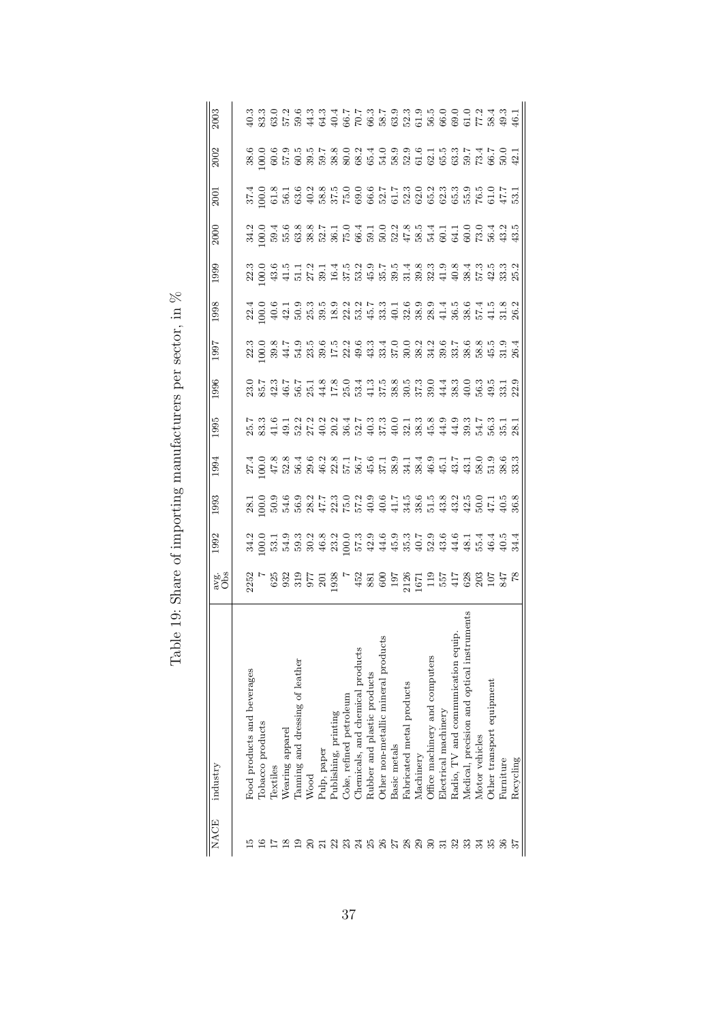| <b>NACE</b>    | industry                                   | avg.<br>Obs | 1992 | 1993                                                                                                  | 1994 | 1995 | 1996                                                                                                                                                                          | 1997 | 1998 | 1999 | 2000 | <b>2001</b> | 2002 | 2003 |
|----------------|--------------------------------------------|-------------|------|-------------------------------------------------------------------------------------------------------|------|------|-------------------------------------------------------------------------------------------------------------------------------------------------------------------------------|------|------|------|------|-------------|------|------|
|                |                                            |             |      |                                                                                                       |      |      |                                                                                                                                                                               |      |      |      |      |             |      |      |
|                | Food products and beverages                |             |      |                                                                                                       |      |      |                                                                                                                                                                               |      |      |      |      |             |      |      |
|                | Tobacco products                           |             |      |                                                                                                       |      |      |                                                                                                                                                                               |      |      |      |      |             |      |      |
|                | Textiles                                   |             |      |                                                                                                       |      |      |                                                                                                                                                                               |      |      |      |      |             |      |      |
|                | Wearing apparel                            |             |      |                                                                                                       |      |      |                                                                                                                                                                               |      |      |      |      |             |      |      |
|                | Tanning and dressing of leather            |             |      | 10999921530215305558321505158351595851595851595851595851595851595851595851595851595851595851595851595 |      |      | O 1 - 6 1 - 1 - 8 8 O 4 6 10 10 8 10 0 4 6 0 4 6 0 5 10 8<br>6 10 4 5 6 6 4 1 1 1 1 1 1 1 2 3 6 6 7 8 7 8 9 6 9 6 7 8<br>8 10 4 5 6 7 4 1 2 8 6 7 8 7 8 7 8 7 8 9 8 9 8 9 8 9 |      |      |      |      |             |      |      |
|                | Wood                                       |             |      |                                                                                                       |      |      |                                                                                                                                                                               |      |      |      |      |             |      |      |
|                | Pulp, paper                                |             |      |                                                                                                       |      |      |                                                                                                                                                                               |      |      |      |      |             |      |      |
|                | Publishing, printing                       |             |      |                                                                                                       |      |      |                                                                                                                                                                               |      |      |      |      |             |      |      |
| $^{23}$        | Coke, refined petroleum                    |             |      |                                                                                                       |      |      |                                                                                                                                                                               |      |      |      |      |             |      |      |
| $\mathfrak{A}$ | Chemicals, and chemical products           |             |      |                                                                                                       |      |      |                                                                                                                                                                               |      |      |      |      |             |      |      |
| 25             | Rubber and plastic products                |             |      |                                                                                                       |      |      |                                                                                                                                                                               |      |      |      |      |             |      |      |
| 26             | Other non-metallic mineral products        |             |      |                                                                                                       |      |      |                                                                                                                                                                               |      |      |      |      |             |      |      |
| 27             | Basic metals                               |             |      |                                                                                                       |      |      |                                                                                                                                                                               |      |      |      |      |             |      |      |
| $^{28}$        | Fabricated metal products                  |             |      |                                                                                                       |      |      |                                                                                                                                                                               |      |      |      |      |             |      |      |
| 29             | Machinery                                  |             |      |                                                                                                       |      |      |                                                                                                                                                                               |      |      |      |      |             |      |      |
| 30             | Office machinery and computers             |             |      |                                                                                                       |      |      |                                                                                                                                                                               |      |      |      |      |             |      |      |
|                | Electrical machinery                       |             |      |                                                                                                       |      |      |                                                                                                                                                                               |      |      |      |      |             |      |      |
| 32             | Radio, TV and communication equip.         |             |      |                                                                                                       |      |      |                                                                                                                                                                               |      |      |      |      |             |      |      |
| 33             | Medical, precision and optical instruments |             |      |                                                                                                       |      |      |                                                                                                                                                                               |      |      |      |      |             |      |      |
| 34             | Motor vehicles                             |             |      |                                                                                                       |      |      |                                                                                                                                                                               |      |      |      |      |             |      |      |
|                | Other transport equipment                  |             |      |                                                                                                       |      |      |                                                                                                                                                                               |      |      |      |      |             |      |      |
|                | Furniture                                  |             |      |                                                                                                       |      |      |                                                                                                                                                                               |      |      |      |      |             |      |      |
| 57             | Recycling                                  |             |      |                                                                                                       |      |      |                                                                                                                                                                               |      |      |      |      |             |      |      |

Table 19: Share of importing manufacturers per sector, in<br>  $\%$ Table 19: Share of importing manufacturers per sector, in  $\%$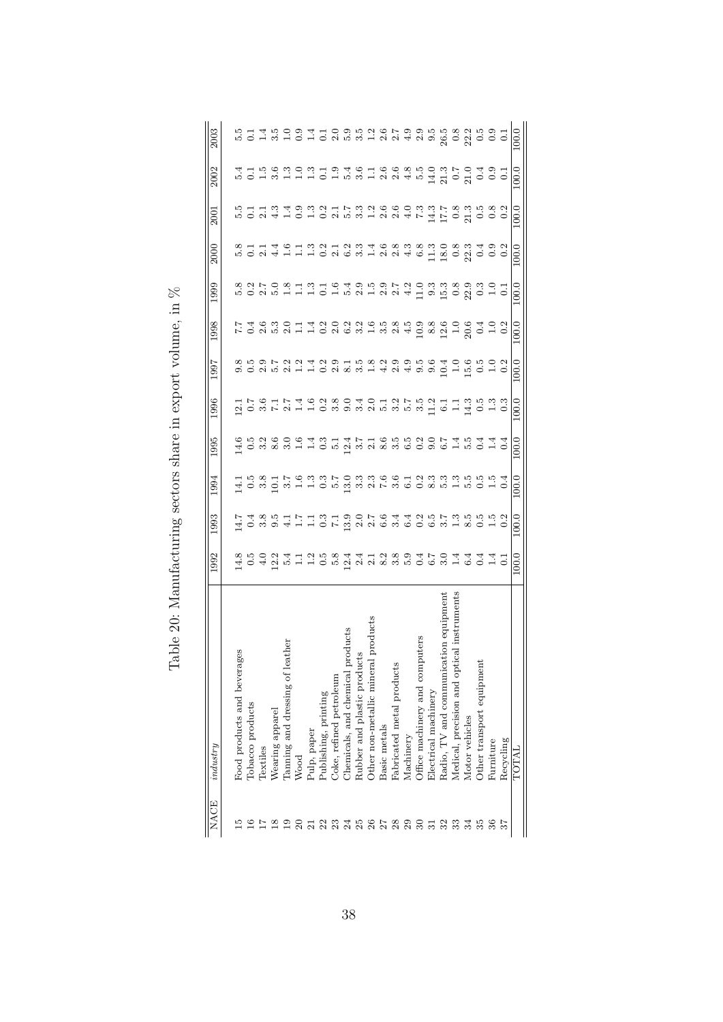| <b>NACE</b>    | industry                                   | 1992  | 1993                                                  | 1994  | 1995                                               | 1996  | 1997                     | 1998  | 1999          | 2000  | 2001                                          | 2002                                                        | 2003                                                |
|----------------|--------------------------------------------|-------|-------------------------------------------------------|-------|----------------------------------------------------|-------|--------------------------|-------|---------------|-------|-----------------------------------------------|-------------------------------------------------------------|-----------------------------------------------------|
|                |                                            |       |                                                       |       |                                                    |       |                          |       |               |       |                                               |                                                             |                                                     |
|                | ages<br>Food products and bever:           |       |                                                       |       |                                                    |       |                          |       |               |       |                                               |                                                             |                                                     |
|                | Tobacco products                           |       |                                                       |       |                                                    |       |                          |       |               |       |                                               |                                                             |                                                     |
|                | Textiles                                   |       |                                                       |       |                                                    |       |                          |       |               |       |                                               |                                                             |                                                     |
|                | Wearing apparel                            |       |                                                       |       |                                                    |       | 8 15 15 16<br>8 16 16 16 |       |               |       |                                               |                                                             |                                                     |
|                | leather<br>Tanning and dressing of         |       |                                                       |       |                                                    |       |                          |       |               |       |                                               |                                                             |                                                     |
|                | Wood                                       |       | けん 8 ほけにはいてほ 2 でんしょうじゅうしょうじょう さんしょう こうしゅうしょう こうしゅうしゅう |       | はのる8300年314716552074544461010588110523888000015010 |       |                          |       |               |       | この2410102531224747835000500110102531221100000 | は は ほ あ ほ い ほ は い は ほ ほ こ ほ る る み よ よ こ い は る は こ と る は る よ | 5 T T B O D T T O D B B R R R R T T B O D T T R R R |
|                | Pulp, paper                                |       |                                                       |       |                                                    |       |                          |       |               |       |                                               |                                                             |                                                     |
|                | Publishing, printing                       |       |                                                       |       |                                                    |       |                          |       |               |       |                                               |                                                             |                                                     |
|                | Coke, refined petroleum                    |       |                                                       |       |                                                    |       |                          |       |               |       |                                               |                                                             |                                                     |
|                | products<br>Chemicals, and chemical        |       |                                                       |       |                                                    |       |                          |       |               |       |                                               |                                                             |                                                     |
|                | ucts<br>Rubber and plastic produ           |       |                                                       |       |                                                    |       |                          |       |               |       |                                               |                                                             |                                                     |
| 23.3388582     | Other non-metallic mineral products        |       |                                                       |       |                                                    |       |                          |       |               |       |                                               |                                                             |                                                     |
|                | Basic metals                               |       |                                                       |       |                                                    |       |                          |       |               |       |                                               |                                                             |                                                     |
|                | Fabricated metal product                   |       |                                                       |       |                                                    |       |                          |       |               |       |                                               |                                                             |                                                     |
|                | Machinery                                  |       |                                                       |       |                                                    |       |                          |       | $\frac{2}{4}$ |       |                                               |                                                             | $\frac{0}{4}$                                       |
| $\mathfrak{S}$ | puters<br>Office machinery and com         |       |                                                       |       |                                                    |       |                          |       |               |       |                                               | 5.G                                                         |                                                     |
| $\overline{3}$ | Electrical machinery                       |       |                                                       |       |                                                    |       |                          |       |               |       |                                               |                                                             |                                                     |
| 32             | ation equipment<br>Radio, TV and communic  |       |                                                       |       |                                                    |       |                          |       |               |       |                                               |                                                             |                                                     |
|                | Medical, precision and optical instruments |       |                                                       |       |                                                    |       |                          |       |               |       |                                               |                                                             |                                                     |
| 34             | Motor vehicles                             |       |                                                       |       |                                                    |       |                          |       |               |       |                                               |                                                             |                                                     |
| 35             | Other transport equipment                  |       |                                                       |       |                                                    |       |                          |       |               |       |                                               | 9 m 1 0 1 0 1 0 1<br>1 1 0 1 0 0 0 0 1                      |                                                     |
| 36             | Furniture                                  |       |                                                       |       |                                                    |       |                          |       |               |       |                                               |                                                             |                                                     |
|                | Recycling                                  |       |                                                       |       |                                                    |       |                          |       |               |       |                                               |                                                             |                                                     |
|                | TOTAL                                      | 100.0 | 100.0                                                 | 100.0 | 100.0                                              | 100.0 | 100.0                    | 100.0 | 100.0         | 100.0 | 100.0                                         | 100.0                                                       | 100.0                                               |
|                |                                            |       |                                                       |       |                                                    |       |                          |       |               |       |                                               |                                                             |                                                     |

Table 20: Manufacturing sectors share in export volume, in  $\%$ Table 20: Manufacturing sectors share in export volume, in  $\%$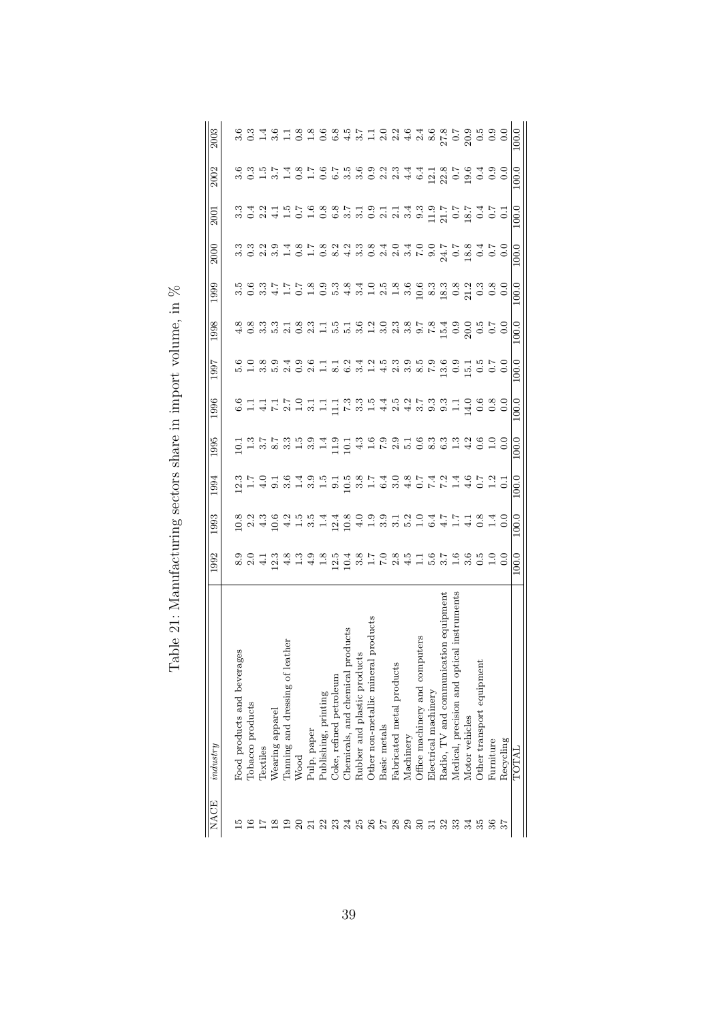| <b>NACE</b>     | industry                                        | 1992  | 1993  | 1994  | 1995                                                    | 1996                                                                                               | <b>L66</b>                                                                                                                                                                                                                      | 1998  | 1999  | 2000  | 2001  | 2002                                                                     | 2003                                                                   |
|-----------------|-------------------------------------------------|-------|-------|-------|---------------------------------------------------------|----------------------------------------------------------------------------------------------------|---------------------------------------------------------------------------------------------------------------------------------------------------------------------------------------------------------------------------------|-------|-------|-------|-------|--------------------------------------------------------------------------|------------------------------------------------------------------------|
|                 |                                                 |       |       |       |                                                         |                                                                                                    |                                                                                                                                                                                                                                 |       |       |       |       |                                                                          |                                                                        |
|                 | ges<br>Food products and bevera                 |       |       |       |                                                         |                                                                                                    |                                                                                                                                                                                                                                 |       |       |       |       |                                                                          |                                                                        |
|                 | Tobacco products                                |       |       |       |                                                         |                                                                                                    |                                                                                                                                                                                                                                 |       |       |       |       |                                                                          |                                                                        |
|                 | Textiles                                        |       |       |       |                                                         |                                                                                                    |                                                                                                                                                                                                                                 |       |       |       |       |                                                                          |                                                                        |
| $^{8}$          | Wearing apparel                                 |       |       |       |                                                         |                                                                                                    |                                                                                                                                                                                                                                 |       |       |       |       |                                                                          |                                                                        |
|                 | eather<br>Tanning and dressing of               |       |       |       |                                                         |                                                                                                    |                                                                                                                                                                                                                                 |       |       |       |       |                                                                          |                                                                        |
|                 | Wood                                            |       |       |       | ロコミアアミラム コロコムトアクラロ るうじょうしついち する きょうしん しょうせいしょう しょうしょうしゅ | c H 4 F 8 H 4 H F F 8 H 4 9 4 8 9 9 H 4 9 0 0 0<br>C H 4 F 9 H 4 H 5 6 9 H 4 9 4 9 9 9 H 4 9 0 0 0 | co o o o do codido de codido do codido do codido do codido do codido do codido do codido do codido do codido d<br>Codido do codido do codido do codido do codido do codido do codido do codido do codido do codido do codido do |       |       |       |       | con prancipio provinta di Sicolo o<br>con prancipio provinta di Sicolo o | conternace controlada di contendo<br>conternace controlada di contendo |
|                 | Pulp, paper                                     |       |       |       |                                                         |                                                                                                    |                                                                                                                                                                                                                                 |       |       |       |       |                                                                          |                                                                        |
| $\frac{23}{23}$ | Publishing, printing                            |       |       |       |                                                         |                                                                                                    |                                                                                                                                                                                                                                 |       |       |       |       |                                                                          |                                                                        |
|                 | Coke, refined petroleum                         |       |       |       |                                                         |                                                                                                    |                                                                                                                                                                                                                                 |       |       |       |       |                                                                          |                                                                        |
| 388             | products<br>Chemicals, and chemical             |       |       |       |                                                         |                                                                                                    |                                                                                                                                                                                                                                 |       |       |       |       |                                                                          |                                                                        |
|                 | Rubber and plastic products                     |       |       |       |                                                         |                                                                                                    |                                                                                                                                                                                                                                 |       |       |       |       |                                                                          |                                                                        |
|                 | al products<br>Other non-metallic miner         |       |       |       |                                                         |                                                                                                    |                                                                                                                                                                                                                                 |       |       |       |       |                                                                          |                                                                        |
| 77              | Basic metals                                    |       |       |       |                                                         |                                                                                                    |                                                                                                                                                                                                                                 |       |       |       |       |                                                                          |                                                                        |
| $\frac{8}{29}$  | Fabricated metal products                       |       |       |       |                                                         |                                                                                                    |                                                                                                                                                                                                                                 |       |       |       |       |                                                                          |                                                                        |
|                 | Machinery                                       |       |       |       |                                                         |                                                                                                    |                                                                                                                                                                                                                                 |       |       |       |       |                                                                          |                                                                        |
| $30^{\circ}$    | puters<br>Office machinery and com              |       |       |       |                                                         |                                                                                                    |                                                                                                                                                                                                                                 |       |       |       |       |                                                                          |                                                                        |
| 31              | Electrical machinery                            |       |       |       |                                                         |                                                                                                    |                                                                                                                                                                                                                                 |       |       |       |       |                                                                          |                                                                        |
| 32              | ation equipment<br>Radio, TV and communic       |       |       |       |                                                         |                                                                                                    |                                                                                                                                                                                                                                 |       |       |       |       |                                                                          |                                                                        |
| 33              | tical instruments<br>Medical, precision and opt |       |       |       |                                                         |                                                                                                    |                                                                                                                                                                                                                                 |       |       |       |       |                                                                          |                                                                        |
| $\frac{34}{5}$  | Motor vehicles                                  |       |       |       |                                                         |                                                                                                    |                                                                                                                                                                                                                                 |       |       |       |       |                                                                          |                                                                        |
| 35              | Other transport equipment                       |       |       |       |                                                         |                                                                                                    |                                                                                                                                                                                                                                 |       |       |       |       |                                                                          |                                                                        |
| 36              | Furniture                                       |       |       |       |                                                         |                                                                                                    |                                                                                                                                                                                                                                 |       |       |       |       |                                                                          |                                                                        |
|                 | Recycling                                       |       |       |       |                                                         |                                                                                                    |                                                                                                                                                                                                                                 |       |       |       |       |                                                                          |                                                                        |
|                 | TOTAL                                           | 100.0 | 100.0 | 100.0 | 100.0                                                   | 100.0                                                                                              | 100.0                                                                                                                                                                                                                           | 100.0 | 100.0 | 100.0 | 100.0 | 100.0                                                                    | 100.0                                                                  |
|                 |                                                 |       |       |       |                                                         |                                                                                                    |                                                                                                                                                                                                                                 |       |       |       |       |                                                                          |                                                                        |

Table 21: Manufacturing sectors share in import volume, in  $\%$ Table 21: Manufacturing sectors share in import volume, in  $\%$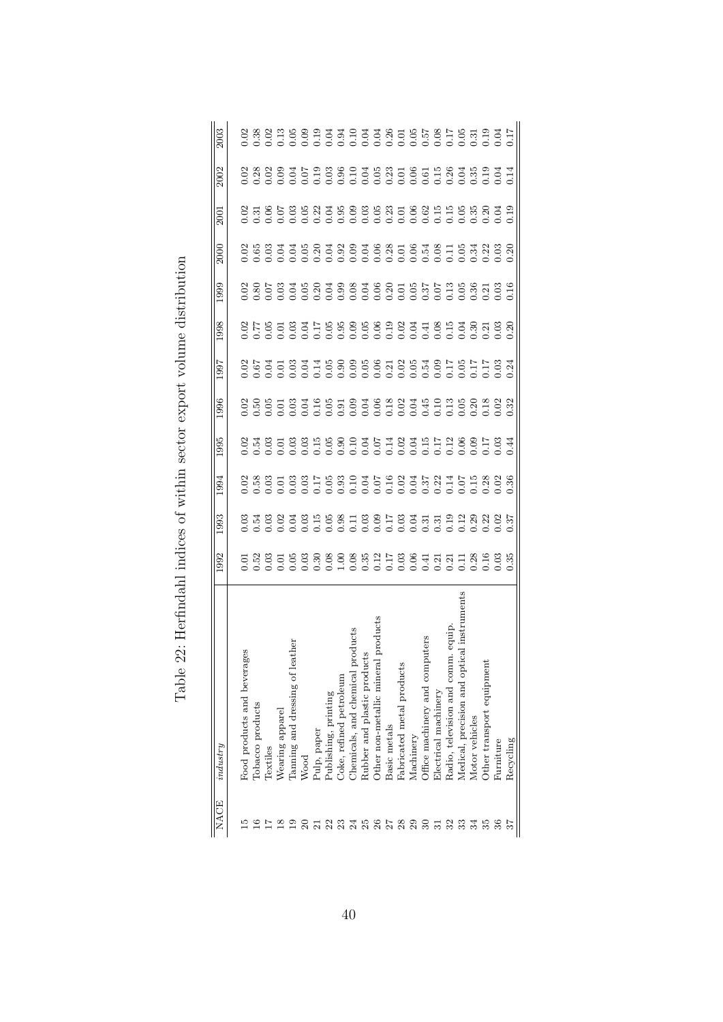| <b>NACE</b> | industry                                   | 1992 | 993 | 1994 | 1995 | 996 | 1997 | 1998 | 1999 | 2000 | 2001 | 2002 | 2003 |
|-------------|--------------------------------------------|------|-----|------|------|-----|------|------|------|------|------|------|------|
|             |                                            |      |     |      |      |     |      |      |      |      |      |      |      |
|             | ges<br>Food products and bevera            |      |     |      |      |     |      |      |      |      |      |      |      |
|             | Tobacco products                           |      |     |      |      |     |      |      |      |      |      |      |      |
|             | Textiles                                   |      |     |      |      |     |      |      |      |      |      |      |      |
|             | Wearing apparel                            |      |     |      |      |     |      |      |      |      |      |      |      |
|             | Tanning and dressing of leather            |      |     |      |      |     |      |      |      |      |      |      |      |
|             | Wood                                       |      |     |      |      |     |      |      |      |      |      |      |      |
|             | Pulp, paper                                |      |     |      |      |     |      |      |      |      |      |      |      |
| 23          | Publishing, printing                       |      |     |      |      |     |      |      |      |      |      |      |      |
|             | Coke, refined petroleum                    |      |     |      |      |     |      |      |      |      |      |      |      |
| 388         | products<br>Chemicals, and chemical        |      |     |      |      |     |      |      |      |      |      |      |      |
|             | Rubber and plastic products                |      |     |      |      |     |      |      |      |      |      |      |      |
|             | al products<br>Other non-metallic miner    |      |     |      |      |     |      |      |      |      |      |      |      |
|             | Basic metals                               |      |     |      |      |     |      |      |      |      |      |      |      |
| 5888        | Fabricated metal products                  |      |     |      |      |     |      |      |      |      |      |      |      |
|             | Machinery                                  |      |     |      |      |     |      |      |      |      |      |      |      |
|             | Office machinery and computers             |      |     |      |      |     |      |      |      |      |      |      |      |
| 51          | Electrical machinery                       |      |     |      |      |     |      |      |      |      |      |      |      |
| 32          | Radio, television and comm. equip          |      |     |      |      |     |      |      |      |      |      |      |      |
| 33          | Medical, precision and optical instruments |      |     |      |      |     |      |      |      |      |      |      |      |
| 34          | Motor vehicles                             |      |     |      |      |     |      |      |      |      |      |      |      |
|             | Other transport equipment                  |      |     |      |      |     |      |      |      |      |      |      |      |
| 36          | Furniture                                  |      |     |      |      |     |      |      |      |      |      |      |      |
|             | Recycling                                  |      |     |      |      |     |      |      |      |      |      |      |      |

Table 22: Herfindahl indices of within sector export volume distribution Table 22: Herfindahl indices of within sector export volume distribution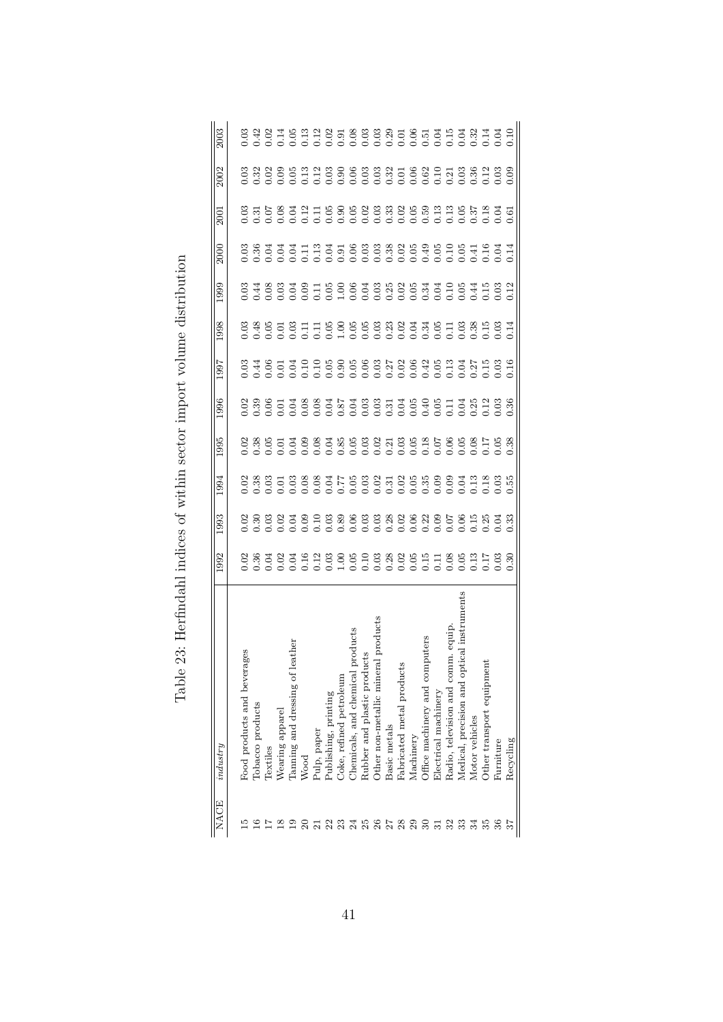| <b>NACE</b> | industry                                   | 1992 | 993 | 1994 | 1995 | 996 | 1997 | 1998                                                                                                           | 1999 | 2000 | 2001 | 2002 | 2003 |
|-------------|--------------------------------------------|------|-----|------|------|-----|------|----------------------------------------------------------------------------------------------------------------|------|------|------|------|------|
|             |                                            |      |     |      |      |     |      |                                                                                                                |      |      |      |      |      |
|             | ges<br>Food products and bevera            |      |     |      |      |     |      |                                                                                                                |      |      |      |      |      |
|             | Tobacco products                           |      |     |      |      |     |      |                                                                                                                |      |      |      |      |      |
|             | Textiles                                   |      |     |      |      |     |      |                                                                                                                |      |      |      |      |      |
|             | Wearing apparel                            |      |     |      |      |     |      |                                                                                                                |      |      |      |      |      |
|             | Tanning and dressing of leather            |      |     |      |      |     |      | 0. 3 3 3 3 3 4 5 6 6 6 6 7 8 9 7 8 7 9 7 9 8 9 7 8 9 7 8 9 7 8 9 7 8 9 7 8 9 7 8 9 7 8 9 7 8 9 7 8 9 7 8 9 7 8 |      |      |      |      |      |
|             | Wood                                       |      |     |      |      |     |      |                                                                                                                |      |      |      |      |      |
|             | Pulp, paper                                |      |     |      |      |     |      |                                                                                                                |      |      |      |      |      |
| 23          | Publishing, printing                       |      |     |      |      |     |      |                                                                                                                |      |      |      |      |      |
|             | Coke, refined petroleum                    |      |     |      |      |     |      |                                                                                                                |      |      |      |      |      |
|             | products<br>Chemicals, and chemical        |      |     |      |      |     |      |                                                                                                                |      |      |      |      |      |
| 388         | Rubber and plastic products                |      |     |      |      |     |      |                                                                                                                |      |      |      |      |      |
|             | al products<br>Other non-metallic miner    |      |     |      |      |     |      |                                                                                                                |      |      |      |      |      |
|             | Basic metals                               |      |     |      |      |     |      |                                                                                                                |      |      |      |      |      |
| 5888        | Fabricated metal products                  |      |     |      |      |     |      |                                                                                                                |      |      |      |      |      |
|             | Machinery                                  |      |     |      |      |     |      |                                                                                                                |      |      |      |      |      |
|             | Office machinery and computers             |      |     |      |      |     |      |                                                                                                                |      |      |      |      |      |
| 51          | Electrical machinery                       |      |     |      |      |     |      |                                                                                                                |      |      |      |      |      |
| 32          | Radio, television and comm. equip          |      |     |      |      |     |      |                                                                                                                |      |      |      |      |      |
| 33          | Medical, precision and optical instruments |      |     |      |      |     |      |                                                                                                                |      |      |      |      |      |
| 34          | Motor vehicles                             |      |     |      |      |     |      |                                                                                                                |      |      |      |      |      |
|             | Other transport equipment                  |      |     |      |      |     |      |                                                                                                                |      |      |      |      |      |
| 36          | Furniture                                  |      |     |      |      |     |      |                                                                                                                |      |      |      |      |      |
|             | Recycling                                  |      |     |      |      |     |      |                                                                                                                |      |      |      |      |      |

Table 23: Herfindahl indices of within sector import volume distribution Table 23: Herfindahl indices of within sector import volume distribution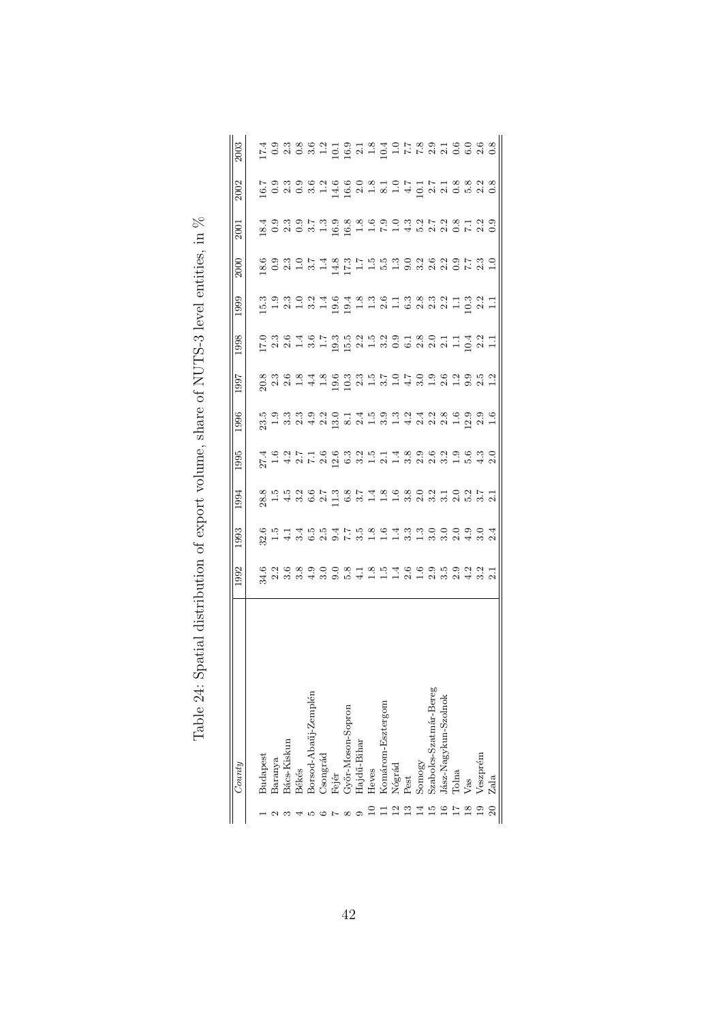| : Unto                 | 1992                                | 1993                                         | 1994                                                                                                  | 1995 | 1996 | 1997 | 998 | 1999 | 2000 | 2001 | 2002 | 2003                                                                        |
|------------------------|-------------------------------------|----------------------------------------------|-------------------------------------------------------------------------------------------------------|------|------|------|-----|------|------|------|------|-----------------------------------------------------------------------------|
| Budapest               |                                     |                                              |                                                                                                       |      |      |      |     |      |      |      |      |                                                                             |
| Baranya                |                                     |                                              |                                                                                                       |      |      |      |     |      |      |      |      |                                                                             |
| 3ács-Kiskun            | という。<br>という。 しいという。 こうはいいつ。 こうじょうこう | らち14554758043300090402 シュームののスリアンストームのことをした。 | 82 エム。 02 アミックアム。 02 アルス。 02 アルス。 02 アル・02 アル・02 アル・02 アル・02 アル・02 アル・02 アル・02 アル・02 アル・02 アル・02 アル・0 |      |      |      |     |      |      |      |      | は 9 3 8 8 2 1 9 1 8 4 0 7 8 9 1 6 0 6 8 8 0 1 9 1 8 4 0 7 8 9 1 8 9 0 6 8 0 |
| <b>Békés</b>           |                                     |                                              |                                                                                                       |      |      |      |     |      |      |      |      |                                                                             |
| Borsod-Abaúj-Zemplén   |                                     |                                              |                                                                                                       |      |      |      |     |      |      |      |      |                                                                             |
| <b>Congrad</b>         |                                     |                                              |                                                                                                       |      |      |      |     |      |      |      |      |                                                                             |
| Fejér                  |                                     |                                              |                                                                                                       |      |      |      |     |      |      |      |      |                                                                             |
| Győr-Moson-Sopron      |                                     |                                              |                                                                                                       |      |      |      |     |      |      |      |      |                                                                             |
| Hajdű-Bihar            |                                     |                                              |                                                                                                       |      |      |      |     |      |      |      |      |                                                                             |
| Heves                  |                                     |                                              |                                                                                                       |      |      |      |     |      |      |      |      |                                                                             |
| Komárom-Esztergom      |                                     |                                              |                                                                                                       |      |      |      |     |      |      |      |      |                                                                             |
| Nógrád                 |                                     |                                              |                                                                                                       |      |      |      |     |      |      |      |      |                                                                             |
| Pest                   |                                     |                                              |                                                                                                       |      |      |      |     |      |      |      |      |                                                                             |
| Somogy                 |                                     |                                              |                                                                                                       |      |      |      |     |      |      |      |      |                                                                             |
| Szabolcs-Szatmár-Bereg |                                     |                                              |                                                                                                       |      |      |      |     |      |      |      |      |                                                                             |
| Jász-Nagykun-Szolnok   |                                     |                                              |                                                                                                       |      |      |      |     |      |      |      |      |                                                                             |
| Tolna                  |                                     |                                              |                                                                                                       |      |      |      |     |      |      |      |      |                                                                             |
| Vas                    |                                     |                                              |                                                                                                       |      |      |      |     |      |      |      |      |                                                                             |
| Veszprém               |                                     |                                              |                                                                                                       |      |      |      |     |      |      |      |      |                                                                             |
| Zala                   |                                     |                                              |                                                                                                       |      |      |      |     |      |      |      |      |                                                                             |

| Į                                                   |
|-----------------------------------------------------|
|                                                     |
| tities, in $\lambda$<br>・・・・ ・・ ・・ ・                |
|                                                     |
| hare of NUTS-3 level                                |
|                                                     |
| ו<br>ני                                             |
|                                                     |
|                                                     |
|                                                     |
|                                                     |
| Table 24: Spatial distribution of export volume, s' |
|                                                     |
|                                                     |
|                                                     |
|                                                     |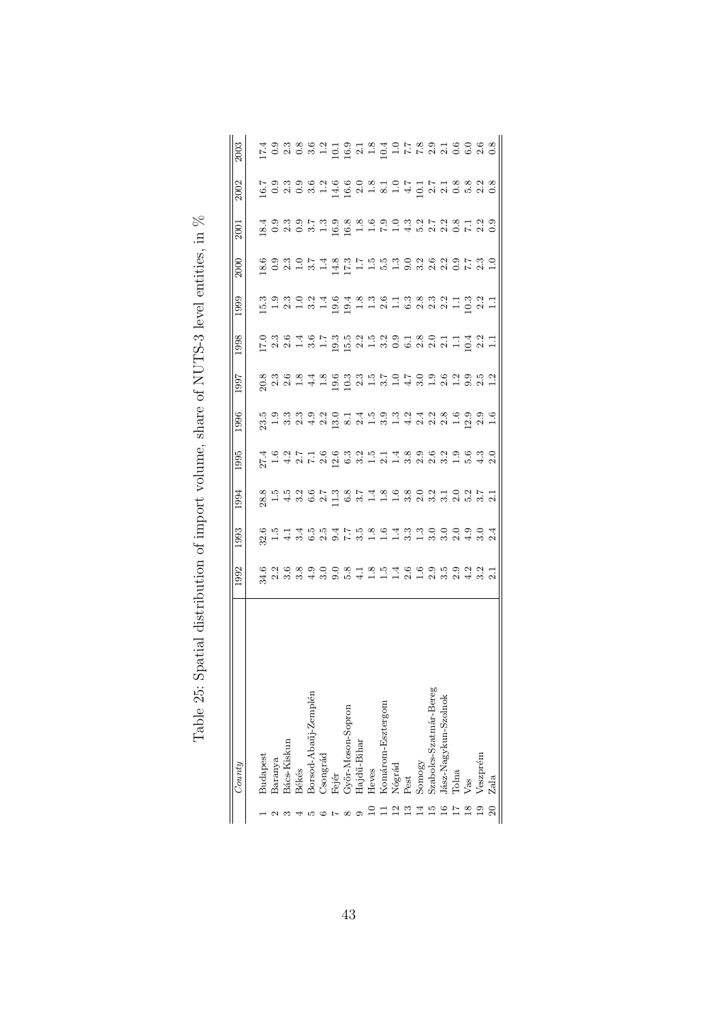| County                 | 1992                                       | .993                                                                            | .994                                              | 1995                                                                                           | 1996 | 1997 | 998 | <b>666</b> | 2000 | 2001 | 2002 | 2003                                                    |
|------------------------|--------------------------------------------|---------------------------------------------------------------------------------|---------------------------------------------------|------------------------------------------------------------------------------------------------|------|------|-----|------------|------|------|------|---------------------------------------------------------|
| Budapest               |                                            |                                                                                 |                                                   |                                                                                                |      |      |     |            |      |      |      |                                                         |
| Baranya                | 626890081854669592216218108111111111111111 | 8. ちょうほうはている s c は c s c o o o o o d st c ようこう c d st c ようこう c d st c d c のかのよう | 82 エムさいアルスタイムをおおところにアニメントには、そうには、それは、それは、それは、それは、 | 4 6 9 1 5 1 6 6 7 9 9 1 6 1 4 8 9 6 6 7 9 6 7 8<br>K 1 4 8 1 6 8 9 6 8 7 8 7 8 9 8 9 8 9 8 9 8 |      |      |     |            |      |      |      | はのます。 いいにはよいはんてきます しょうきょうけい こうきょうほう こうしゅう こうしょう こうこうしょう |
| Bács-Kiskun            |                                            |                                                                                 |                                                   |                                                                                                |      |      |     |            |      |      |      |                                                         |
| <b>Békés</b>           |                                            |                                                                                 |                                                   |                                                                                                |      |      |     |            |      |      |      |                                                         |
| Borsod-Abaüj-Zemplén   |                                            |                                                                                 |                                                   |                                                                                                |      |      |     |            |      |      |      |                                                         |
| <b>Congrád</b>         |                                            |                                                                                 |                                                   |                                                                                                |      |      |     |            |      |      |      |                                                         |
| Fejér                  |                                            |                                                                                 |                                                   |                                                                                                |      |      |     |            |      |      |      |                                                         |
| Győr-Moson-Sopron      |                                            |                                                                                 |                                                   |                                                                                                |      |      |     |            |      |      |      |                                                         |
| Hajdű-Bihar            |                                            |                                                                                 |                                                   |                                                                                                |      |      |     |            |      |      |      |                                                         |
| Heves                  |                                            |                                                                                 |                                                   |                                                                                                |      |      |     |            |      |      |      |                                                         |
| Komárom-Esztergom      |                                            |                                                                                 |                                                   |                                                                                                |      |      |     |            |      |      |      |                                                         |
|                        |                                            |                                                                                 |                                                   |                                                                                                |      |      |     |            |      |      |      |                                                         |
| Nógrád<br>Pest         |                                            |                                                                                 |                                                   |                                                                                                |      |      |     |            |      |      |      |                                                         |
| Somogy                 |                                            |                                                                                 |                                                   |                                                                                                |      |      |     |            |      |      |      |                                                         |
| Szabolcs-Szatmár-Bereg |                                            |                                                                                 |                                                   |                                                                                                |      |      |     |            |      |      |      |                                                         |
| Jász-Nagykun-Szolnok   |                                            |                                                                                 |                                                   |                                                                                                |      |      |     |            |      |      |      |                                                         |
| Tolna                  |                                            |                                                                                 |                                                   |                                                                                                |      |      |     |            |      |      |      |                                                         |
| Vas                    |                                            |                                                                                 |                                                   |                                                                                                |      |      |     |            |      |      |      |                                                         |
| Veszprém               |                                            |                                                                                 |                                                   |                                                                                                |      |      |     |            |      |      |      |                                                         |
| Zala                   |                                            |                                                                                 |                                                   |                                                                                                |      |      |     |            |      |      |      |                                                         |

| ۱.<br>با<br>st of the stream control of the stream control of the stream control of the stream control of the stream control of the stream control of the stream control of the stream control of the stream control of the stream control<br>こく てしょしょう<br>į<br>he Machine distantion of the contractor of the story of the concern<br>֧֖֚֚֚֡֬֝<br>֧֖֖֖֚֚֚֚֚֚֚֚֝<br>֧֚֚֝<br>$T_{\alpha}$ , $I_{\alpha}$ , $\Omega_{\alpha}$ , $\Omega_{\alpha}$ , $\cdots$ |  |
|------------------------------------------------------------------------------------------------------------------------------------------------------------------------------------------------------------------------------------------------------------------------------------------------------------------------------------------------------------------------------------------------------------------------------------------------------------|--|
|                                                                                                                                                                                                                                                                                                                                                                                                                                                            |  |
|                                                                                                                                                                                                                                                                                                                                                                                                                                                            |  |
|                                                                                                                                                                                                                                                                                                                                                                                                                                                            |  |
|                                                                                                                                                                                                                                                                                                                                                                                                                                                            |  |
|                                                                                                                                                                                                                                                                                                                                                                                                                                                            |  |
|                                                                                                                                                                                                                                                                                                                                                                                                                                                            |  |
|                                                                                                                                                                                                                                                                                                                                                                                                                                                            |  |
|                                                                                                                                                                                                                                                                                                                                                                                                                                                            |  |
|                                                                                                                                                                                                                                                                                                                                                                                                                                                            |  |
|                                                                                                                                                                                                                                                                                                                                                                                                                                                            |  |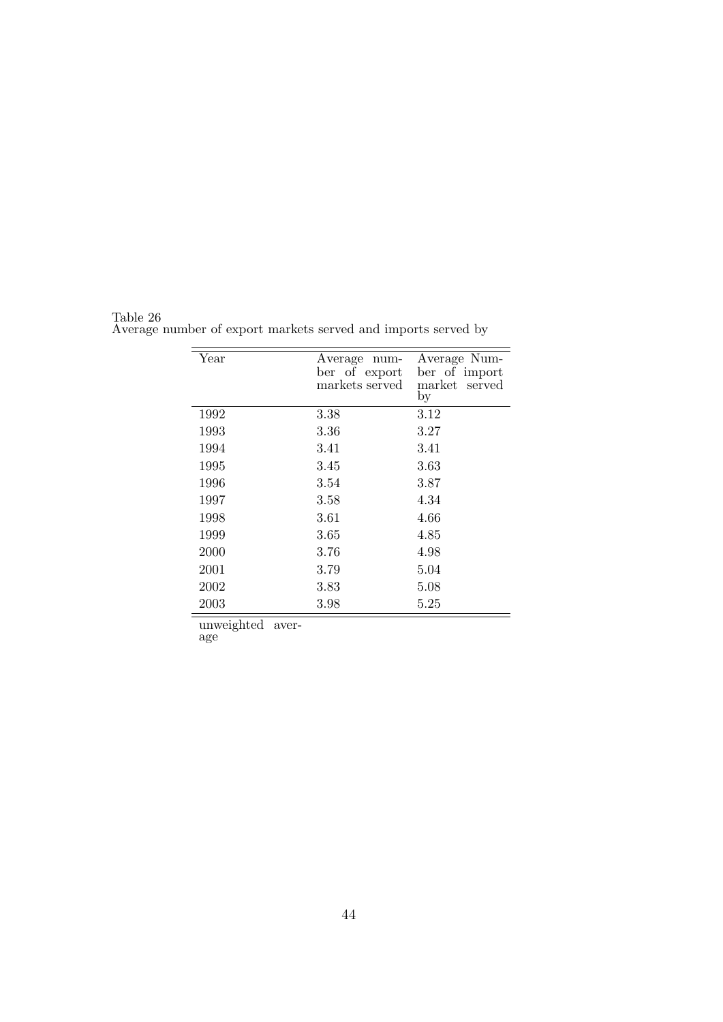| Year | Average<br>num-<br>ber of export<br>markets served | Average Num-<br>ber of import<br>market served<br>by |
|------|----------------------------------------------------|------------------------------------------------------|
| 1992 | 3.38                                               | 3.12                                                 |
| 1993 | 3.36                                               | 3.27                                                 |
| 1994 | 3.41                                               | 3.41                                                 |
| 1995 | 3.45                                               | 3.63                                                 |
| 1996 | 3.54                                               | 3.87                                                 |
| 1997 | 3.58                                               | 4.34                                                 |
| 1998 | 3.61                                               | 4.66                                                 |
| 1999 | 3.65                                               | 4.85                                                 |
| 2000 | 3.76                                               | 4.98                                                 |
| 2001 | 3.79                                               | 5.04                                                 |
| 2002 | 3.83                                               | 5.08                                                 |
| 2003 | 3.98                                               | 5.25                                                 |

Table 26 Average number of export markets served and imports served by

unweighted aver-

age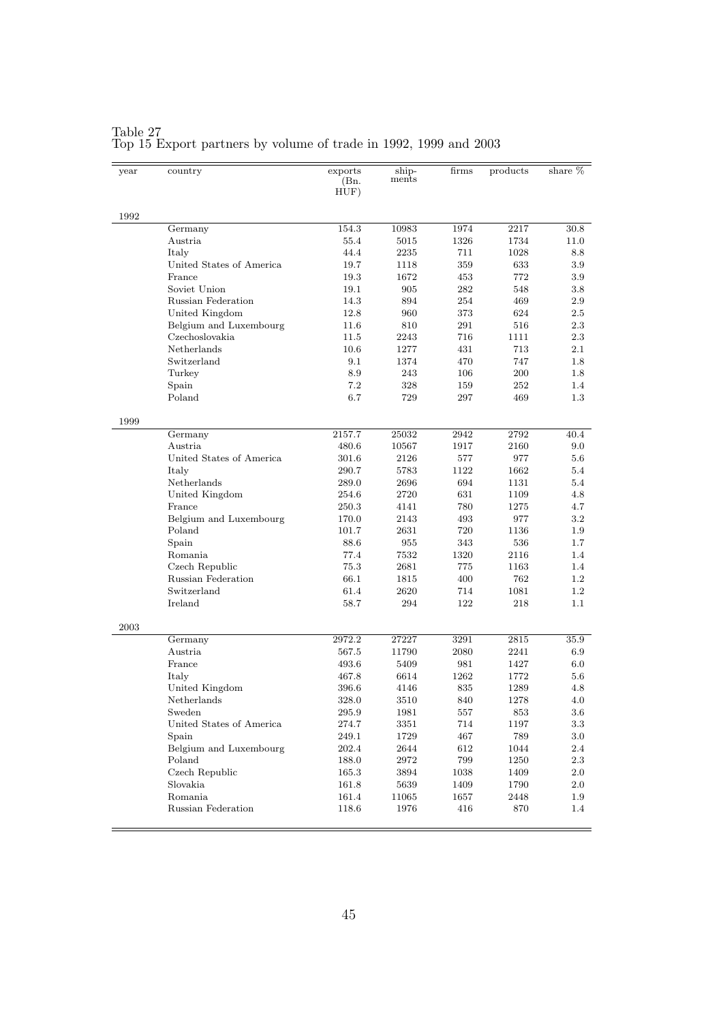| year | country                       | exports<br>(Bn.<br>HUF) | ship-<br>ments | firms       | products    | share %        |
|------|-------------------------------|-------------------------|----------------|-------------|-------------|----------------|
| 1992 |                               |                         |                |             |             |                |
|      | Germany                       | 154.3                   | 10983          | 1974        | 2217        | 30.8           |
|      | Austria                       | 55.4                    | 5015           | 1326        | 1734        | 11.0           |
|      | Italy                         | 44.4                    | 2235           | 711         | 1028        | 8.8            |
|      | United States of America      | 19.7                    | 1118           | 359         | 633         | $3.9\,$        |
|      | France                        | 19.3                    | 1672           | 453         | 772         | $3.9\,$        |
|      | Soviet Union                  | 19.1                    | 905            | 282         | 548         | $3.8\,$        |
|      | Russian Federation            | 14.3                    | 894            | 254         | 469         | $2.9\,$        |
|      | United Kingdom                | 12.8                    | 960            | 373         | 624         | $2.5\,$        |
|      | Belgium and Luxembourg        | 11.6                    | 810            | 291         | 516         | $2.3\,$        |
|      | Czechoslovakia                | 11.5                    | 2243           | 716         | 1111        | $2.3\,$        |
|      | Netherlands                   | 10.6                    | 1277           | 431         | 713         | $2.1\,$        |
|      | Switzerland                   | 9.1                     | 1374           | 470         | 747         | 1.8            |
|      | Turkey                        | 8.9                     | 243            | 106         | 200         | 1.8            |
|      | Spain                         | 7.2                     | 328            | 159         | 252         | 1.4            |
|      | Poland                        | 6.7                     | 729            | 297         | 469         | $1.3\,$        |
| 1999 |                               |                         |                |             |             |                |
|      | Germany                       | 2157.7                  | 25032          | 2942        | 2792        | 40.4           |
|      | Austria                       | 480.6                   | 10567          | 1917        | 2160        | 9.0            |
|      | United States of America      | 301.6                   | 2126           | 577         | 977         | $5.6\,$        |
|      | Italy                         | 290.7                   | 5783           | 1122        | 1662        | 5.4            |
|      | Netherlands                   | 289.0                   | 2696           | 694         | 1131        | 5.4            |
|      | United Kingdom                | 254.6                   | 2720           | 631         | 1109        | 4.8            |
|      | France                        | 250.3                   | 4141           | 780         | 1275        | 4.7            |
|      | Belgium and Luxembourg        | 170.0                   | 2143           | 493         | 977         | $3.2\,$        |
|      | Poland                        | 101.7                   | 2631           | 720         | 1136        | $1.9\,$        |
|      | Spain                         | 88.6                    | 955            | 343         | 536         | 1.7            |
|      | Romania                       | 77.4                    | 7532           | 1320        | 2116        | 1.4            |
|      | Czech Republic                | 75.3                    | 2681           | 775         | 1163        | 1.4            |
|      | Russian Federation            | 66.1                    | 1815           | 400         | 762         | $1.2\,$        |
|      | Switzerland                   | 61.4                    | 2620           | 714         | 1081        | $1.2\,$        |
|      | Ireland                       | 58.7                    | 294            | 122         | 218         | 1.1            |
| 2003 |                               |                         |                |             |             |                |
|      | Germany                       | 2972.2                  | 27227          | 3291        | 2815        | 35.9           |
|      | Austria                       | 567.5                   | 11790          | 2080        | 2241        | 6.9            |
|      | France                        | 493.6                   | 5409           | 981         | 1427        | $6.0\,$        |
|      | Italy                         | 467.8                   | 6614           | 1262        | 1772        | $5.6\,$        |
|      | United Kingdom                | 396.6                   | 4146           | 835         | 1289        | 4.8            |
|      | Netherlands                   | 328.0                   | 3510           | 840         | 1278        | 4.0            |
|      | Sweden                        | 295.9                   | 1981           | 557         | 853         | 3.6            |
|      | United States of America      | 274.7                   | 3351           | 714         | 1197        | $3.3\,$        |
|      | Spain                         | 249.1                   | 1729           | 467         | 789         | $3.0\,$        |
|      | Belgium and Luxembourg        | 202.4                   | 2644           | 612         | 1044        | 2.4            |
|      | Poland                        | 188.0                   | 2972           | 799         | 1250        | $2.3\,$        |
|      | Czech Republic<br>Slovakia    | 165.3                   | 3894<br>5639   | 1038        | 1409        | $2.0\,$        |
|      |                               | 161.8                   |                | 1409        | 1790        | $2.0\,$        |
|      | Romania<br>Russian Federation | 161.4<br>118.6          | 11065<br>1976  | 1657<br>416 | 2448<br>870 | $1.9\,$<br>1.4 |
|      |                               |                         |                |             |             |                |

#### Table 27 Top 15 Export partners by volume of trade in 1992, 1999 and 2003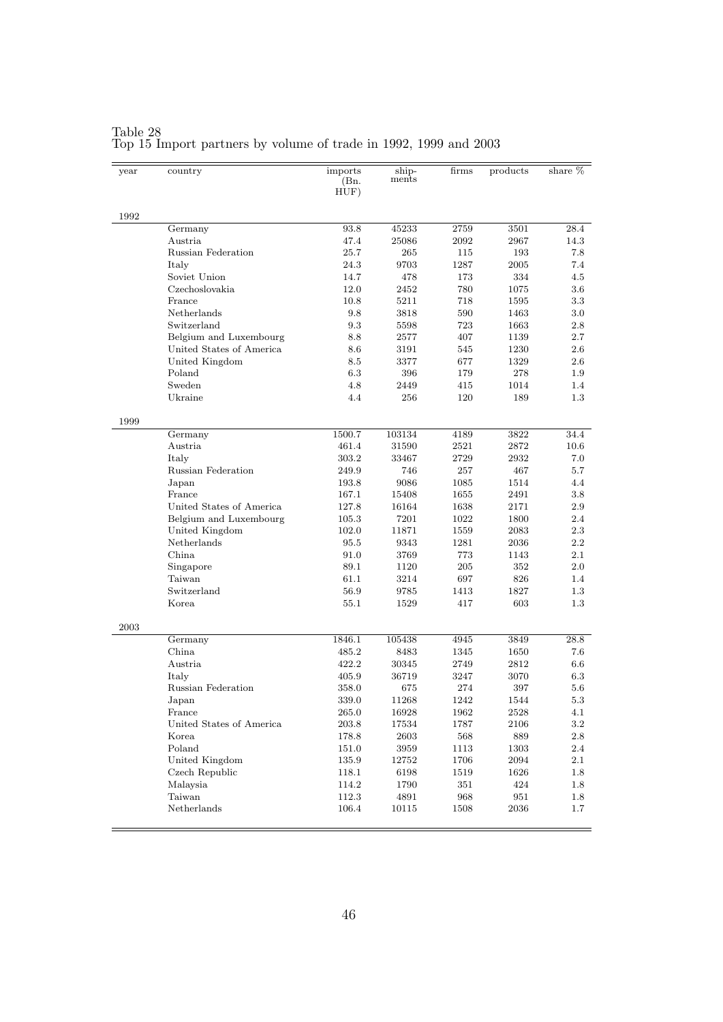| year | country                   | imports<br>(Bn.<br>HUF) | ship-<br>ments | firms | products | share % |
|------|---------------------------|-------------------------|----------------|-------|----------|---------|
| 1992 |                           |                         |                |       |          |         |
|      | Germany                   | 93.8                    | 45233          | 2759  | 3501     | 28.4    |
|      | Austria                   | 47.4                    | 25086          | 2092  | 2967     | 14.3    |
|      | Russian Federation        | 25.7                    | 265            | 115   | 193      | 7.8     |
|      | Italy                     | 24.3                    | 9703           | 1287  | 2005     | 7.4     |
|      | Soviet Union              | 14.7                    | 478            | 173   | 334      | 4.5     |
|      | Czechoslovakia            | 12.0                    | 2452           | 780   | 1075     | 3.6     |
|      | France                    | 10.8                    | 5211           | 718   | 1595     | $3.3\,$ |
|      | Netherlands               | 9.8                     | 3818           | 590   | 1463     | $3.0\,$ |
|      | Switzerland               | 9.3                     | 5598           | 723   | 1663     | 2.8     |
|      | Belgium and Luxembourg    | 8.8                     | 2577           | 407   | 1139     | 2.7     |
|      | United States of America  | 8.6                     | 3191           | 545   | 1230     | 2.6     |
|      | United Kingdom            | 8.5                     | 3377           | 677   | 1329     | 2.6     |
|      | Poland                    | 6.3                     | 396            | 179   | 278      | 1.9     |
|      | Sweden                    | 4.8                     | 2449           | 415   | 1014     | 1.4     |
|      | Ukraine                   | 4.4                     | 256            | 120   | 189      | $1.3\,$ |
| 1999 |                           |                         |                |       |          |         |
|      | Germany                   | 1500.7                  | 103134         | 4189  | 3822     | 34.4    |
|      | Austria                   | 461.4                   | 31590          | 2521  | 2872     | 10.6    |
|      | Italy                     | 303.2                   | 33467          | 2729  | 2932     | 7.0     |
|      | Russian Federation        | 249.9                   | 746            | 257   | 467      | 5.7     |
|      | Japan                     | 193.8                   | 9086           | 1085  | 1514     | 4.4     |
|      | France                    | 167.1                   | 15408          | 1655  | 2491     | 3.8     |
|      | United States of America  | 127.8                   | 16164          | 1638  | 2171     | 2.9     |
|      | Belgium and Luxembourg    | 105.3                   | 7201           | 1022  | 1800     | 2.4     |
|      | United Kingdom            | 102.0                   | 11871          | 1559  | 2083     | 2.3     |
|      | Netherlands               | 95.5                    | 9343           | 1281  | 2036     | 2.2     |
|      | China                     | 91.0                    | 3769           | 773   | 1143     | $2.1\,$ |
|      | Singapore                 | 89.1                    | 1120           | 205   | 352      | $2.0\,$ |
|      | Taiwan                    | 61.1                    | 3214           | 697   | 826      | 1.4     |
|      | Switzerland               | 56.9                    | 9785           | 1413  | 1827     | $1.3\,$ |
|      | Korea                     | 55.1                    | 1529           | 417   | 603      | $1.3\,$ |
| 2003 |                           |                         |                |       |          |         |
|      | Germany                   | 1846.1                  | 105438         | 4945  | 3849     | 28.8    |
|      | China.                    | 485.2                   | 8483           | 1345  | 1650     | 7.6     |
|      | Austria                   | 422.2                   | 30345          | 2749  | 2812     | 6.6     |
|      | Italy                     | 405.9                   | 36719          | 3247  | 3070     | 6.3     |
|      | <b>Russian Federation</b> | 358.0                   | 675            | 274   | 397      | 5.6     |
|      | Japan                     | 339.0                   | 11268          | 1242  | 1544     | 5.3     |
|      | France                    | 265.0                   | 16928          | 1962  | 2528     | 4.1     |
|      | United States of America  | $203.8\,$               | 17534          | 1787  | 2106     | $3.2\,$ |
|      | Korea                     | 178.8                   | 2603           | 568   | 889      | $2.8\,$ |
|      | Poland                    | 151.0                   | 3959           | 1113  | 1303     | 2.4     |
|      | United Kingdom            | 135.9                   | 12752          | 1706  | 2094     | $2.1\,$ |
|      | Czech Republic            | 118.1                   | 6198           | 1519  | 1626     | $1.8\,$ |
|      | Malaysia                  | 114.2                   | 1790           | 351   | 424      | $1.8\,$ |
|      | Taiwan                    | 112.3                   | 4891           | 968   | 951      | $1.8\,$ |
|      | Netherlands               | 106.4                   | 10115          | 1508  | 2036     | $1.7\,$ |

#### Table 28 Top 15 Import partners by volume of trade in 1992, 1999 and 2003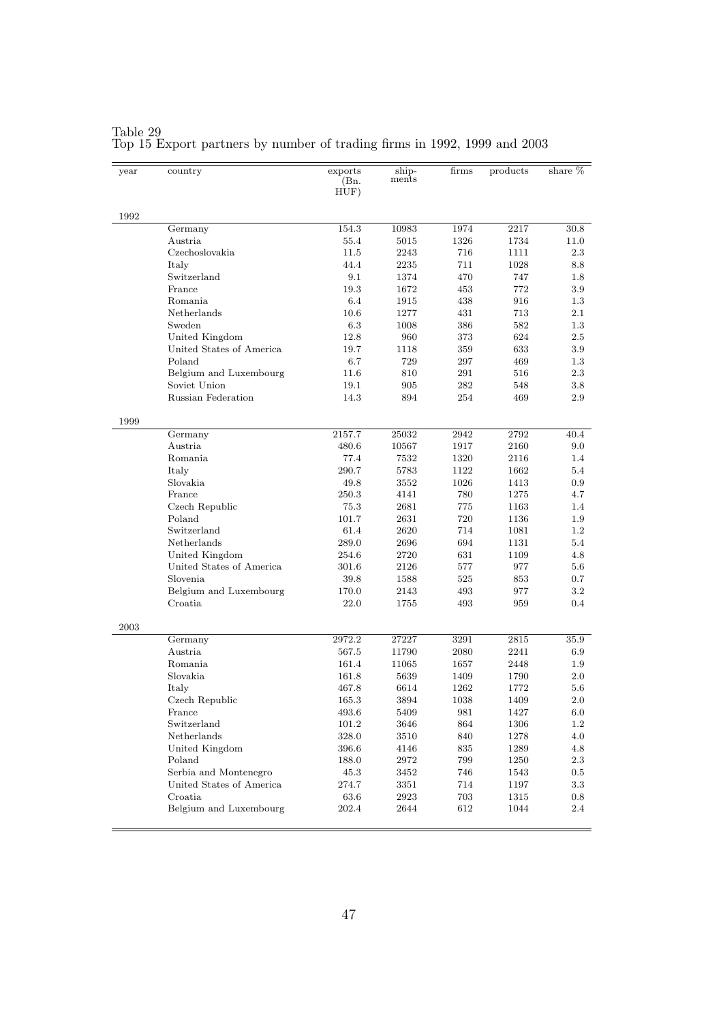| year | country                                           | exports<br>(Bn.<br>HUF) | ship-<br>ments | firms      | products         | share $%$      |
|------|---------------------------------------------------|-------------------------|----------------|------------|------------------|----------------|
| 1992 |                                                   |                         |                |            |                  |                |
|      | Germany                                           | 154.3                   | 10983          | 1974       | 2217             | 30.8           |
|      | Austria                                           | 55.4                    | 5015           | 1326       | 1734             | 11.0           |
|      | Czechoslovakia                                    | 11.5                    | 2243           | 716        | 1111             | 2.3            |
|      | Italy                                             | 44.4                    | 2235           | 711        | 1028             | 8.8            |
|      | Switzerland                                       | 9.1                     | 1374           | 470        | 747              | 1.8            |
|      | France                                            | 19.3                    | 1672           | 453        | 772              | 3.9            |
|      | Romania                                           | 6.4                     | 1915           | 438        | 916              | 1.3            |
|      | Netherlands                                       | 10.6                    | 1277           | 431        | 713              | $2.1\,$        |
|      | Sweden                                            | 6.3                     | 1008           | 386        | 582              | 1.3            |
|      | United Kingdom                                    | 12.8                    | 960            | 373        | 624              | 2.5            |
|      | United States of America                          | 19.7                    | 1118           | 359        | 633              | 3.9            |
|      | Poland                                            | 6.7                     | 729            | 297        | 469              | 1.3            |
|      | Belgium and Luxembourg                            | 11.6                    | 810            | 291        | 516              | 2.3            |
|      | Soviet Union                                      | 19.1                    | 905            | 282        | 548              | $3.8\,$        |
|      | <b>Russian Federation</b>                         | 14.3                    | 894            | 254        | 469              | 2.9            |
| 1999 |                                                   |                         |                |            |                  |                |
|      | Germany                                           | 2157.7                  | 25032          | 2942       | 2792             | 40.4           |
|      | Austria                                           | 480.6                   | 10567          | 1917       | 2160             | 9.0            |
|      | Romania                                           | 77.4                    | 7532           | 1320       | 2116             | $1.4\,$        |
|      | Italy                                             | 290.7                   | 5783           | 1122       | 1662             | 5.4            |
|      | Slovakia                                          | 49.8                    | 3552           | 1026       | 1413             | 0.9            |
|      | France                                            | 250.3                   | 4141           | 780        | 1275             | 4.7            |
|      | Czech Republic                                    | 75.3                    | 2681           | 775        | 1163             | 1.4            |
|      | Poland                                            | 101.7                   | 2631           | 720        | 1136             | $1.9\,$        |
|      | Switzerland                                       | 61.4                    | 2620           | 714        | 1081             | 1.2            |
|      | Netherlands                                       | 289.0                   | 2696           | 694        | 1131             | 5.4            |
|      | United Kingdom                                    | 254.6                   | 2720           | 631        | 1109             | 4.8            |
|      | United States of America                          | 301.6                   | 2126           | 577        | 977              | $5.6\,$        |
|      | Slovenia                                          | 39.8                    | 1588           | 525        | 853              | 0.7            |
|      | Belgium and Luxembourg                            | 170.0                   | 2143           | 493        | 977              | $3.2\,$        |
|      | Croatia                                           | 22.0                    | 1755           | 493        | 959              | 0.4            |
| 2003 |                                                   |                         |                |            |                  |                |
|      | Germany                                           | 2972.2                  | 27227          | 3291       | 2815             | 35.9           |
|      | Austria                                           | 567.5                   | 11790          | 2080       | 2241             | 6.9            |
|      | Romania                                           | 161.4                   | 11065          | 1657       | 2448             | $1.9\,$        |
|      | Slovakia                                          | 161.8                   | 5639           | 1409       | 1790             | $2.0\,$        |
|      | Italy                                             | 467.8                   | 6614           | 1262       | 1772             | 5.6            |
|      | Czech Republic                                    | 165.3                   | 3894           | 1038       | 1409             | $2.0\,$        |
|      | France                                            | 493.6                   | 5409           | 981        | 1427             | 6.0            |
|      | Switzerland                                       | $101.2\,$               | 3646           | 864        | 1306             | $1.2\,$        |
|      | Netherlands                                       | $328.0\,$               | 3510           | 840        | 1278             | 4.0            |
|      | United Kingdom<br>Poland                          | 396.6                   | 4146<br>2972   | 835<br>799 | 1289             | 4.8            |
|      |                                                   | 188.0                   |                |            | 1250             | 2.3            |
|      | Serbia and Montenegro<br>United States of America | 45.3                    | 3452           | 746<br>714 | 1543             | $0.5\,$        |
|      |                                                   | 274.7                   | 3351           |            | 1197             | 3.3            |
|      | Croatia<br>Belgium and Luxembourg                 | $63.6\,$<br>202.4       | 2923<br>2644   | 703<br>612 | $1315\,$<br>1044 | $0.8\,$<br>2.4 |
|      |                                                   |                         |                |            |                  |                |

Table 29 Top 15 Export partners by number of trading firms in 1992, 1999 and 2003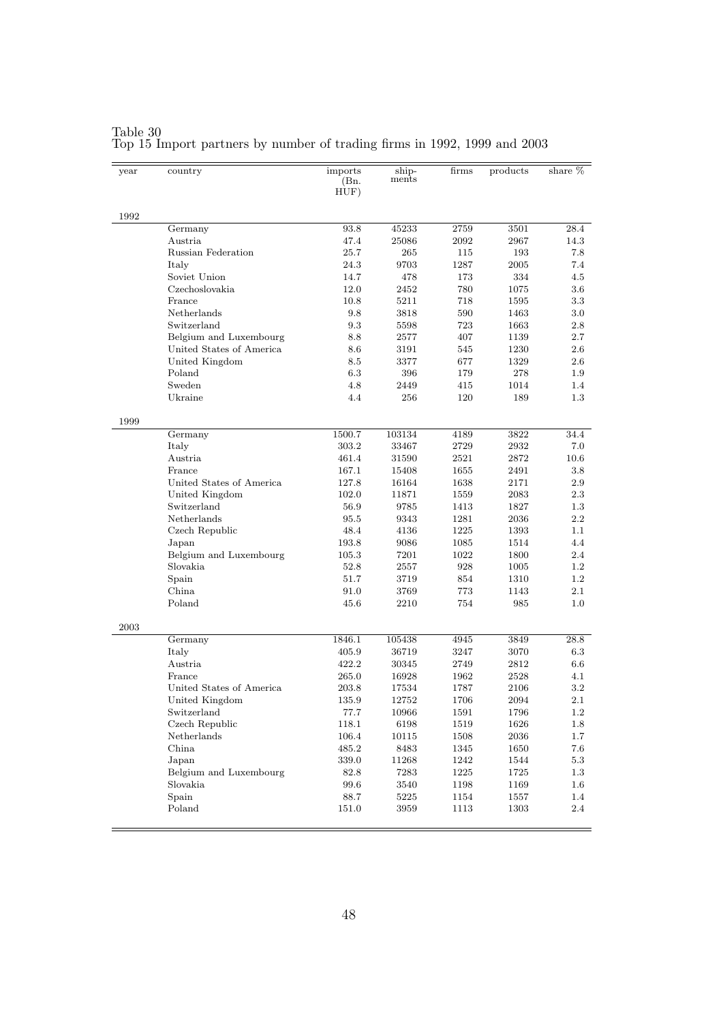| year | country                            | imports<br>(Bn.<br>HUF) | ship-<br>ments   | firms        | products     | share $%$      |
|------|------------------------------------|-------------------------|------------------|--------------|--------------|----------------|
| 1992 |                                    |                         |                  |              |              |                |
|      | Germany                            | 93.8                    | 45233            | 2759         | 3501         | 28.4           |
|      | Austria                            | 47.4                    | 25086            | 2092         | 2967         | 14.3           |
|      | Russian Federation                 | 25.7                    | 265              | 115          | 193          | 7.8            |
|      | Italy                              | 24.3                    | 9703             | 1287         | 2005         | 7.4            |
|      | Soviet Union                       | 14.7                    | 478              | 173          | 334          | 4.5            |
|      | Czechoslovakia                     | 12.0                    | 2452             | 780          | 1075         | $3.6\,$        |
|      | France                             | 10.8                    | 5211             | 718          | 1595         | $3.3\,$        |
|      | Netherlands                        | 9.8                     | 3818             | 590          | 1463         | $3.0\,$        |
|      | Switzerland                        | 9.3                     | 5598             | 723          | 1663         | $2.8\,$        |
|      | Belgium and Luxembourg             | 8.8                     | 2577             | 407          | 1139         | $2.7\,$        |
|      | United States of America           | 8.6                     | 3191             | 545          | 1230         | $2.6\,$        |
|      | United Kingdom                     | 8.5                     | 3377             | 677          | 1329         | $2.6\,$        |
|      | Poland                             | 6.3                     | 396              | 179          | 278          | $1.9\,$        |
|      | Sweden                             | 4.8                     | 2449             | 415          | 1014         | 1.4            |
|      | Ukraine                            | 4.4                     | 256              | 120          | 189          | $1.3\,$        |
| 1999 |                                    |                         |                  |              |              |                |
|      | Germany                            | 1500.7                  | 103134           | 4189         | 3822         | 34.4           |
|      | Italy                              | 303.2                   | 33467            | 2729         | 2932         | 7.0            |
|      | Austria                            | 461.4                   | 31590            | 2521         | 2872         | 10.6           |
|      | France                             | 167.1                   | 15408            | 1655         | 2491         | $3.8\,$        |
|      | United States of America           | 127.8                   | 16164            | 1638         | 2171         | $2.9\,$        |
|      | United Kingdom                     | 102.0                   | 11871            | 1559         | 2083         | $2.3\,$        |
|      | Switzerland                        | 56.9                    | 9785             | 1413         | 1827         | $1.3\,$        |
|      | Netherlands                        | 95.5                    | 9343             | 1281         | 2036         | $2.2\,$        |
|      | Czech Republic                     | 48.4                    | 4136             | 1225         | 1393         | $1.1\,$        |
|      | Japan                              | 193.8                   | 9086             | 1085         | 1514         | 4.4            |
|      | Belgium and Luxembourg<br>Slovakia | 105.3<br>52.8           | $7201\,$         | 1022<br>928  | 1800         | 2.4<br>$1.2\,$ |
|      |                                    | 51.7                    | 2557<br>3719     | 854          | 1005<br>1310 | $1.2\,$        |
|      | Spain<br>China                     | 91.0                    | 3769             | 773          | 1143         | $2.1\,$        |
|      | Poland                             | 45.6                    | 2210             | 754          | 985          | 1.0            |
|      |                                    |                         |                  |              |              |                |
| 2003 |                                    |                         |                  |              |              |                |
|      | Germany                            | 1846.1                  | 105438           | 4945         | 3849         | 28.8           |
|      | Italy                              | 405.9                   | 36719            | 3247         | 3070         | $6.3\,$        |
|      | Austria                            | 422.2                   | 30345            | 2749         | 2812         | $6.6\,$        |
|      | France                             | 265.0                   | 16928            | 1962         | 2528         | 4.1            |
|      | United States of America           | 203.8                   | 17534            | 1787         | 2106         | $3.2\,$        |
|      | United Kingdom                     | 135.9                   | 12752            | 1706         | 2094         | $2.1\,$        |
|      | Switzerland                        | 77.7                    | 10966            | 1591         | 1796         | $1.2\,$        |
|      | Czech Republic                     | 118.1                   | 6198             | 1519         | 1626         | $1.8\,$        |
|      | Netherlands                        | 106.4                   | 10115            | 1508         | $\,2036$     | 1.7            |
|      | China<br>Japan                     | 485.2                   | 8483             | 1345         | 1650         | 7.6            |
|      |                                    | 339.0                   | 11268            | 1242         | 1544         | $5.3\,$        |
|      | Belgium and Luxembourg<br>Slovakia | 82.8                    | 7283             | 1225<br>1198 | 1725         | 1.3            |
|      | Spain                              | $99.6\,$                | $3540\,$         |              | 1169         | $1.6\,$        |
|      | Poland                             | $88.7\,$<br>151.0       | $5225\,$<br>3959 | 1154<br>1113 | 1557<br>1303 | 1.4<br>2.4     |
|      |                                    |                         |                  |              |              |                |

Table 30 Top 15 Import partners by number of trading firms in 1992, 1999 and 2003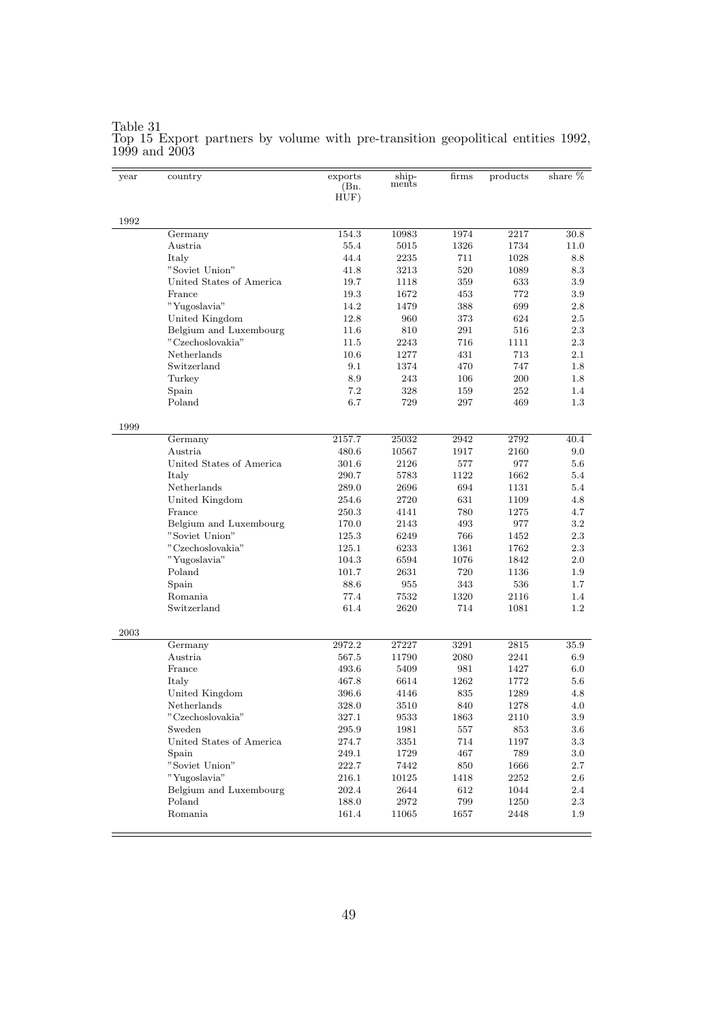| year | country                  | exports<br>(Bn.<br>HUF) | ship-<br>ments | firms | products | share % |
|------|--------------------------|-------------------------|----------------|-------|----------|---------|
| 1992 |                          |                         |                |       |          |         |
|      | Germany                  | 154.3                   | 10983          | 1974  | 2217     | 30.8    |
|      | Austria                  | 55.4                    | 5015           | 1326  | 1734     | 11.0    |
|      | Italy                    | 44.4                    | 2235           | 711   | 1028     | 8.8     |
|      | "Soviet Union"           | 41.8                    | 3213           | 520   | 1089     | 8.3     |
|      | United States of America | 19.7                    | 1118           | 359   | 633      | 3.9     |
|      | France                   | 19.3                    | 1672           | 453   | 772      | 3.9     |
|      | "Yugoslavia"             | 14.2                    | 1479           | 388   | 699      | $2.8\,$ |
|      | United Kingdom           | 12.8                    | 960            | 373   | 624      | $2.5\,$ |
|      | Belgium and Luxembourg   | 11.6                    | 810            | 291   | 516      | 2.3     |
|      | "Czechoslovakia"         | 11.5                    | 2243           | 716   | 1111     | 2.3     |
|      | Netherlands              | 10.6                    | 1277           | 431   | 713      | $2.1\,$ |
|      | Switzerland              | 9.1                     | 1374           | 470   | 747      | 1.8     |
|      | Turkey                   | 8.9                     | 243            | 106   | 200      | 1.8     |
|      | Spain                    | 7.2                     | 328            | 159   | 252      | $1.4\,$ |
|      | Poland                   | 6.7                     | 729            | 297   | 469      | $1.3\,$ |
| 1999 |                          |                         |                |       |          |         |
|      | Germany                  | 2157.7                  | 25032          | 2942  | 2792     | 40.4    |
|      | Austria                  | 480.6                   | 10567          | 1917  | 2160     | 9.0     |
|      | United States of America | 301.6                   | 2126           | 577   | 977      | $5.6\,$ |
|      | Italy                    | 290.7                   | 5783           | 1122  | 1662     | 5.4     |
|      | Netherlands              | 289.0                   | 2696           | 694   | 1131     | 5.4     |
|      | United Kingdom           | 254.6                   | 2720           | 631   | 1109     | 4.8     |
|      | France                   | 250.3                   | 4141           | 780   | 1275     | 4.7     |
|      | Belgium and Luxembourg   | 170.0                   | 2143           | 493   | 977      | $3.2\,$ |
|      | "Soviet Union"           | 125.3                   | 6249           | 766   | 1452     | 2.3     |
|      | "Czechoslovakia"         | 125.1                   | 6233           | 1361  | 1762     | 2.3     |
|      | "Yugoslavia"             | 104.3                   | 6594           | 1076  | 1842     | $2.0\,$ |
|      | Poland                   | 101.7                   | 2631           | 720   | 1136     | 1.9     |
|      | Spain                    | 88.6                    | 955            | 343   | 536      | $1.7\,$ |
|      | Romania                  | 77.4                    | 7532           | 1320  | 2116     | 1.4     |
|      | Switzerland              | 61.4                    | 2620           | 714   | 1081     | $1.2\,$ |
| 2003 |                          |                         |                |       |          |         |
|      | Germany                  | 2972.2                  | 27227          | 3291  | 2815     | 35.9    |
|      | Austria                  | 567.5                   | 11790          | 2080  | 2241     | 6.9     |
|      | France                   | 493.6                   | 5409           | 981   | 1427     | 6.0     |
|      | Italy                    | 467.8                   | 6614           | 1262  | 1772     | $5.6\,$ |
|      | United Kingdom           | 396.6                   | 4146           | 835   | 1289     | 4.8     |
|      | Netherlands              | 328.0                   | 3510           | 840   | 1278     | 4.0     |
|      | "Czechoslovakia"         | 327.1                   | 9533           | 1863  | 2110     | 3.9     |
|      | Sweden                   | 295.9                   | 1981           | 557   | 853      | $3.6\,$ |
|      | United States of America | 274.7                   | 3351           | 714   | 1197     | 3.3     |
|      | Spain                    | $249.1\,$               | 1729           | 467   | 789      | $3.0\,$ |
|      | "Soviet Union"           | 222.7                   | 7442           | 850   | 1666     | 2.7     |
|      | "Yugoslavia"             | 216.1                   | 10125          | 1418  | 2252     | $2.6\,$ |
|      | Belgium and Luxembourg   | 202.4                   | 2644           | 612   | 1044     | 2.4     |
|      | Poland                   | 188.0                   | 2972           | 799   | 1250     | 2.3     |
|      | Romania                  | 161.4                   | 11065          | 1657  | 2448     | 1.9     |

#### Table 31 Top 15 Export partners by volume with pre-transition geopolitical entities 1992, 1999 and 2003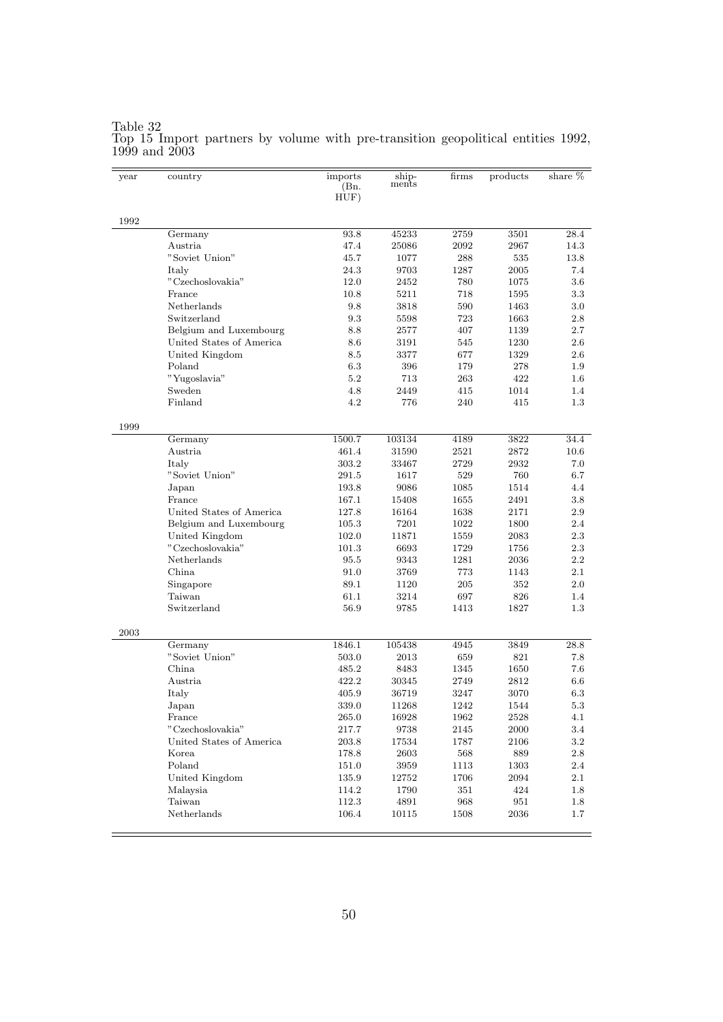| year | country                  | imports<br>(Bn.<br>HUF) | ship-<br>ments | firms | products | share $%$ |
|------|--------------------------|-------------------------|----------------|-------|----------|-----------|
| 1992 |                          |                         |                |       |          |           |
|      | Germany                  | 93.8                    | 45233          | 2759  | 3501     | 28.4      |
|      | Austria.                 | 47.4                    | 25086          | 2092  | 2967     | 14.3      |
|      | "Soviet Union"           | 45.7                    | 1077           | 288   | 535      | 13.8      |
|      | Italy                    | 24.3                    | 9703           | 1287  | 2005     | 7.4       |
|      | "Czechoslovakia"         | 12.0                    | 2452           | 780   | 1075     | 3.6       |
|      | France                   | 10.8                    | 5211           | 718   | 1595     | 3.3       |
|      | Netherlands              | 9.8                     | 3818           | 590   | 1463     | 3.0       |
|      | Switzerland              | 9.3                     | 5598           | 723   | 1663     | 2.8       |
|      | Belgium and Luxembourg   | 8.8                     | 2577           | 407   | 1139     | 2.7       |
|      | United States of America | 8.6                     | 3191           | 545   | 1230     | 2.6       |
|      | United Kingdom           | 8.5                     | 3377           | 677   | 1329     | 2.6       |
|      | Poland                   | 6.3                     | 396            | 179   | 278      | 1.9       |
|      | "Yugoslavia"             | 5.2                     | 713            | 263   | 422      | $1.6\,$   |
|      | Sweden                   | 4.8                     | 2449           | 415   | 1014     | 1.4       |
|      | Finland                  | 4.2                     | 776            | 240   | 415      | 1.3       |
| 1999 |                          |                         |                |       |          |           |
|      | Germany                  | 1500.7                  | 103134         | 4189  | 3822     | 34.4      |
|      | Austria                  | 461.4                   | 31590          | 2521  | 2872     | 10.6      |
|      | Italy                    | 303.2                   | 33467          | 2729  | 2932     | 7.0       |
|      | "Soviet Union"           | 291.5                   | 1617           | 529   | 760      | 6.7       |
|      | Japan                    | 193.8                   | 9086           | 1085  | 1514     | 4.4       |
|      | France                   | 167.1                   | 15408          | 1655  | 2491     | 3.8       |
|      | United States of America | 127.8                   | 16164          | 1638  | 2171     | 2.9       |
|      | Belgium and Luxembourg   | 105.3                   | 7201           | 1022  | 1800     | 2.4       |
|      | United Kingdom           | 102.0                   | 11871          | 1559  | 2083     | $2.3\,$   |
|      | "Czechoslovakia"         | 101.3                   | 6693           | 1729  | 1756     | 2.3       |
|      | Netherlands              | 95.5                    | 9343           | 1281  | 2036     | 2.2       |
|      | China                    | 91.0                    | 3769           | 773   | 1143     | 2.1       |
|      | Singapore                | 89.1                    | 1120           | 205   | 352      | $2.0\,$   |
|      | Taiwan                   | 61.1                    | 3214           | 697   | 826      | 1.4       |
|      | Switzerland              | 56.9                    | 9785           | 1413  | 1827     | 1.3       |
| 2003 |                          |                         |                |       |          |           |
|      | Germany                  | 1846.1                  | 105438         | 4945  | 3849     | 28.8      |
|      | "Soviet Union"           | 503.0                   | 2013           | 659   | 821      | 7.8       |
|      | China                    | 485.2                   | 8483           | 1345  | 1650     | 7.6       |
|      | Austria                  | 422.2                   | 30345          | 2749  | 2812     | 6.6       |
|      | Italy                    | 405.9                   | 36719          | 3247  | 3070     | 6.3       |
|      | Japan                    | 339.0                   | 11268          | 1242  | 1544     | $5.3\,$   |
|      | France                   | 265.0                   | 16928          | 1962  | 2528     | 4.1       |
|      | "Czechoslovakia"         | 217.7                   | 9738           | 2145  | 2000     | 3.4       |
|      | United States of America | 203.8                   | 17534          | 1787  | 2106     | $3.2\,$   |
|      | Korea                    | 178.8                   | 2603           | 568   | 889      | 2.8       |
|      | Poland                   | 151.0                   | 3959           | 1113  | 1303     | 2.4       |
|      | United Kingdom           | 135.9                   | 12752          | 1706  | 2094     | $2.1\,$   |
|      | Malaysia                 | 114.2                   | 1790           | 351   | 424      | 1.8       |
|      | Taiwan                   | 112.3                   | 4891           | 968   | 951      | 1.8       |
|      | Netherlands              | 106.4                   | 10115          | 1508  | 2036     | 1.7       |
|      |                          |                         |                |       |          |           |

#### Table 32 Top 15 Import partners by volume with pre-transition geopolitical entities 1992, 1999 and 2003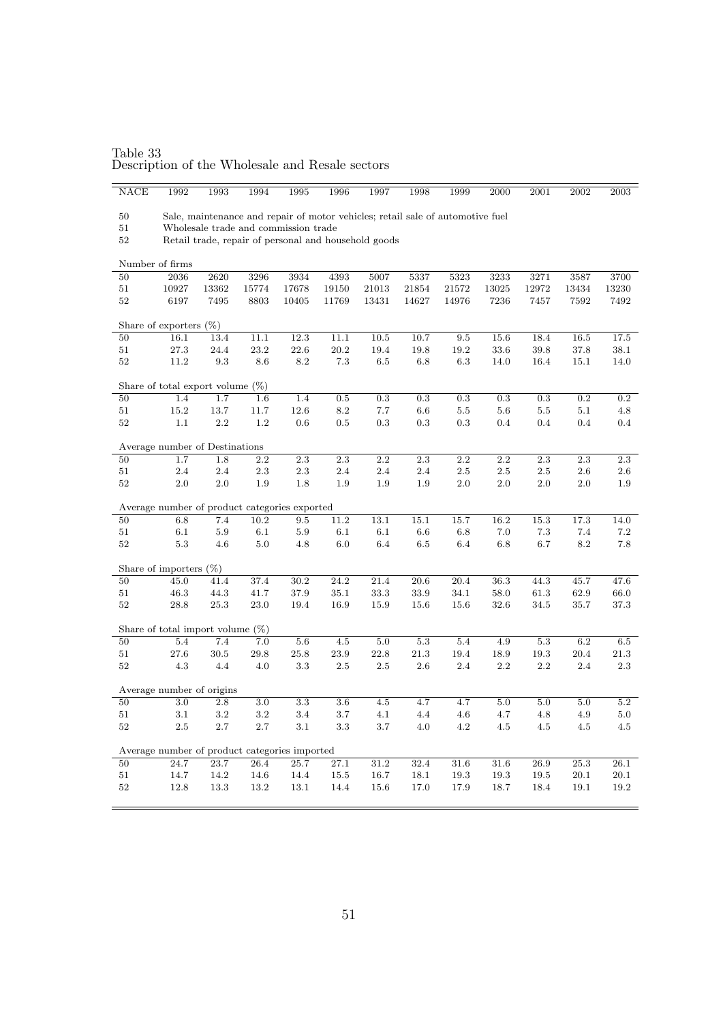Table 33 Description of the Wholesale and Resale sectors

| NACE                                                       | 1992                                                                                                                         | 1993      | 1994    | 1995            | 1996      | 1997      | 1998              | 1999       | 2000      | $2001\,$         | 2002      | $\,2003\,$ |
|------------------------------------------------------------|------------------------------------------------------------------------------------------------------------------------------|-----------|---------|-----------------|-----------|-----------|-------------------|------------|-----------|------------------|-----------|------------|
|                                                            |                                                                                                                              |           |         |                 |           |           |                   |            |           |                  |           |            |
|                                                            | 50<br>Sale, maintenance and repair of motor vehicles; retail sale of automotive fuel<br>Wholesale trade and commission trade |           |         |                 |           |           |                   |            |           |                  |           |            |
| 51                                                         |                                                                                                                              |           |         |                 |           |           |                   |            |           |                  |           |            |
| 52<br>Retail trade, repair of personal and household goods |                                                                                                                              |           |         |                 |           |           |                   |            |           |                  |           |            |
|                                                            | Number of firms                                                                                                              |           |         |                 |           |           |                   |            |           |                  |           |            |
| 50                                                         | 2036                                                                                                                         | 2620      | 3296    | 3934            | 4393      | 5007      | 5337              | 5323       | 3233      | 3271             | 3587      | 3700       |
| 51                                                         | 10927                                                                                                                        | 13362     | 15774   | 17678           | 19150     | 21013     | 21854             | 21572      | 13025     | 12972            | 13434     | 13230      |
| $52\,$                                                     | 6197                                                                                                                         | 7495      | 8803    | 10405           | 11769     | 13431     | 14627             | 14976      | 7236      | 7457             | 7592      | 7492       |
| Share of exporters (%)                                     |                                                                                                                              |           |         |                 |           |           |                   |            |           |                  |           |            |
| 50                                                         | 16.1                                                                                                                         | 13.4      | 11.1    | 12.3            | 11.1      | $10.5\,$  | 10.7              | $\ \, 9.5$ | 15.6      | 18.4             | 16.5      | 17.5       |
| 51                                                         | 27.3                                                                                                                         | 24.4      | 23.2    | 22.6            | 20.2      | 19.4      | 19.8              | 19.2       | 33.6      | 39.8             | 37.8      | 38.1       |
| 52                                                         | 11.2                                                                                                                         | $\rm 9.3$ | 8.6     | $\!\!\!\!\!8.2$ | $7.3\,$   | $6.5\,$   | 6.8               | $6.3\,$    | 14.0      | 16.4             | 15.1      | 14.0       |
|                                                            | Share of total export volume (%)                                                                                             |           |         |                 |           |           |                   |            |           |                  |           |            |
| 50                                                         | 1.4                                                                                                                          | 1.7       | 1.6     | 1.4             | $\rm 0.5$ | $\rm 0.3$ | $\rm 0.3$         | $\rm 0.3$  | $\rm 0.3$ | $\rm 0.3$        | $\rm 0.2$ | 0.2        |
| 51                                                         | 15.2                                                                                                                         | 13.7      | 11.7    | 12.6            | 8.2       | 7.7       | 6.6               | $5.5\,$    | 5.6       | $5.5\,$          | $5.1\,$   | 4.8        |
| 52                                                         | 1.1                                                                                                                          | 2.2       | 1.2     | 0.6             | 0.5       | 0.3       | 0.3               | 0.3        | 0.4       | 0.4              | 0.4       | 0.4        |
|                                                            |                                                                                                                              |           |         |                 |           |           |                   |            |           |                  |           |            |
| Average number of Destinations                             |                                                                                                                              |           |         |                 |           |           |                   |            |           |                  |           |            |
| 50                                                         | 1.7                                                                                                                          | 1.8       | 2.2     | 2.3             | 2.3       | 2.2       | 2.3               | 2.2        | 2.2       | 2.3              | 2.3       | 2.3        |
| 51                                                         | 2.4                                                                                                                          | 2.4       | 2.3     | $2.3\,$         | 2.4       | 2.4       | 2.4               | $2.5\,$    | $2.5\,$   | $2.5\,$          | $2.6\,$   | $2.6\,$    |
| 52                                                         | 2.0                                                                                                                          | 2.0       | 1.9     | 1.8             | 1.9       | 1.9       | 1.9               | 2.0        | 2.0       | $2.0\,$          | $2.0\,$   | 1.9        |
|                                                            | Average number of product categories exported                                                                                |           |         |                 |           |           |                   |            |           |                  |           |            |
| 50                                                         | 6.8                                                                                                                          | 7.4       | 10.2    | 9.5             | 11.2      | 13.1      | $\overline{15.1}$ | 15.7       | 16.2      | 15.3             | 17.3      | 14.0       |
| 51                                                         | 6.1                                                                                                                          | 5.9       | 6.1     | $5.9\,$         | 6.1       | 6.1       | 6.6               | 6.8        | 7.0       | 7.3              | 7.4       | 7.2        |
| 52                                                         | 5.3                                                                                                                          | 4.6       | $5.0\,$ | 4.8             | $6.0\,$   | 6.4       | 6.5               | 6.4        | 6.8       | 6.7              | 8.2       | $7.8\,$    |
|                                                            | Share of importers $(\%)$                                                                                                    |           |         |                 |           |           |                   |            |           |                  |           |            |
| 50                                                         | 45.0                                                                                                                         | 41.4      | 37.4    | 30.2            | 24.2      | 21.4      | 20.6              | 20.4       | 36.3      | 44.3             | 45.7      | 47.6       |
| 51                                                         | 46.3                                                                                                                         | 44.3      | 41.7    | 37.9            | 35.1      | 33.3      | 33.9              | 34.1       | 58.0      | 61.3             | 62.9      | 66.0       |
| 52                                                         | 28.8                                                                                                                         | 25.3      | 23.0    | 19.4            | 16.9      | 15.9      | 15.6              | 15.6       | 32.6      | 34.5             | 35.7      | 37.3       |
|                                                            |                                                                                                                              |           |         |                 |           |           |                   |            |           |                  |           |            |
|                                                            | Share of total import volume $(\%)$                                                                                          |           |         |                 |           |           |                   |            |           |                  |           |            |
| 50                                                         | 5.4                                                                                                                          | 7.4       | 7.0     | $5.6\,$         | 4.5       | 5.0       | $5.3\,$           | 5.4        | 4.9       | $5.3\,$          | 6.2       | $6.5\,$    |
| 51                                                         | 27.6                                                                                                                         | 30.5      | 29.8    | 25.8            | 23.9      | 22.8      | $21.3\,$          | 19.4       | 18.9      | 19.3             | 20.4      | $21.3\,$   |
| 52                                                         | 4.3                                                                                                                          | 4.4       | 4.0     | 3.3             | $2.5\,$   | $2.5\,$   | 2.6               | 2.4        | $2.2\,$   | $2.2\,$          | 2.4       | 2.3        |
| Average number of origins                                  |                                                                                                                              |           |         |                 |           |           |                   |            |           |                  |           |            |
| 50                                                         | 3.0                                                                                                                          | 2.8       | 3.0     | $3.3\,$         | $3.6\,$   | 4.5       | 4.7               | 4.7        | 5.0       | $\overline{5.0}$ | 5.0       | 5.2        |
| 51                                                         | 3.1                                                                                                                          | $3.2\,$   | $3.2\,$ | $3.4\,$         | 3.7       | 4.1       | 4.4               | $4.6\,$    | 4.7       | 4.8              | 4.9       | $5.0\,$    |
| 52                                                         | $2.5\,$                                                                                                                      | 2.7       | 2.7     | 3.1             | 3.3       | 3.7       | 4.0               | 4.2        | 4.5       | 4.5              | 4.5       | 4.5        |
| Average number of product categories imported              |                                                                                                                              |           |         |                 |           |           |                   |            |           |                  |           |            |
| 50                                                         | 24.7                                                                                                                         | 23.7      | 26.4    | 25.7            | 27.1      | 31.2      | 32.4              | 31.6       | 31.6      | 26.9             | 25.3      | 26.1       |
| 51                                                         | 14.7                                                                                                                         | 14.2      | 14.6    | 14.4            | 15.5      | 16.7      | 18.1              | 19.3       | 19.3      | 19.5             | 20.1      | 20.1       |
| 52                                                         | 12.8                                                                                                                         | 13.3      | 13.2    | 13.1            | 14.4      | 15.6      | 17.0              | 17.9       | 18.7      | 18.4             | 19.1      | 19.2       |
|                                                            |                                                                                                                              |           |         |                 |           |           |                   |            |           |                  |           |            |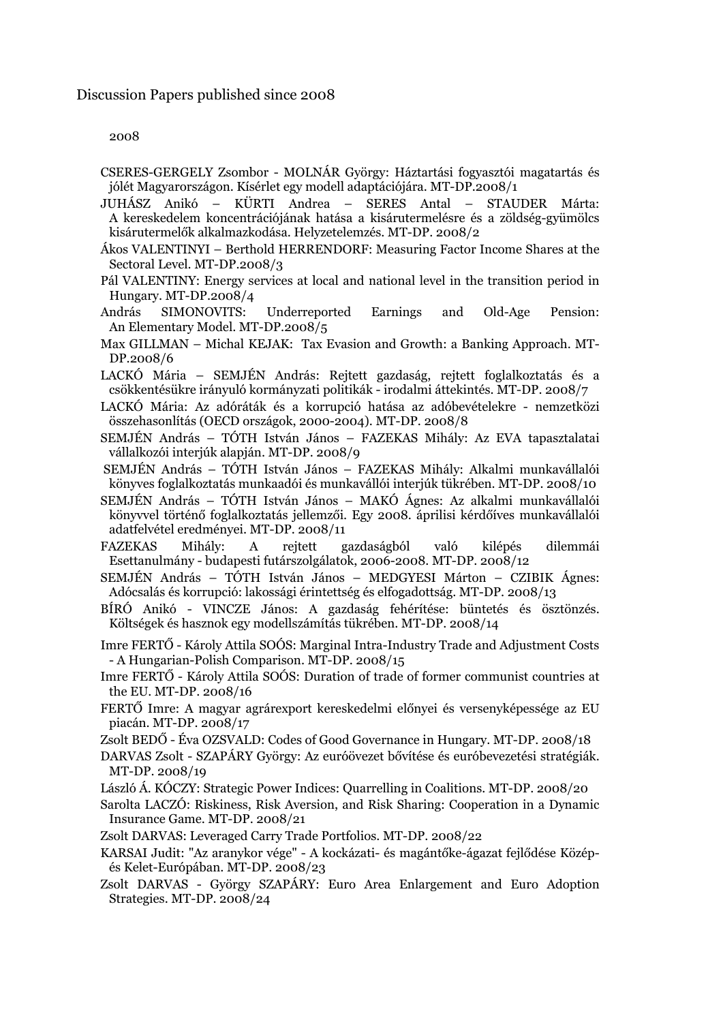#### 2008

- CSERES-GERGELY Zsombor MOLNÁR György: Háztartási fogyasztói magatartás és jólét Magyarországon. Kísérlet egy modell adaptációjára. MT-DP.2008/1
- JUHÁSZ Anikó KÜRTI Andrea SERES Antal STAUDER Márta: A kereskedelem koncentrációjának hatása a kisárutermelésre és a zöldség-gyümölcs kisárutermelők alkalmazkodása. Helyzetelemzés. MT-DP. 2008/2
- Ákos VALENTINYI Berthold HERRENDORF: Measuring Factor Income Shares at the Sectoral Level. MT-DP.2008/3
- Pál VALENTINY: Energy services at local and national level in the transition period in Hungary. MT-DP.2008/4
- András SIMONOVITS: Underreported Earnings and Old-Age Pension: An Elementary Model. MT-DP.2008/5
- Max GILLMAN Michal KEJAK: Tax Evasion and Growth: a Banking Approach. MT-DP.2008/6
- LACKÓ Mária SEMJÉN András: Rejtett gazdaság, rejtett foglalkoztatás és a csökkentésükre irányuló kormányzati politikák - irodalmi áttekintés. MT-DP. 2008/7
- LACKÓ Mária: Az adóráták és a korrupció hatása az adóbevételekre nemzetközi összehasonlítás (OECD országok, 2000-2004). MT-DP. 2008/8
- SEMJÉN András TÓTH István János FAZEKAS Mihály: Az EVA tapasztalatai vállalkozói interjúk alapján. MT-DP. 2008/9
- SEMJÉN András TÓTH István János FAZEKAS Mihály: Alkalmi munkavállalói könyves foglalkoztatás munkaadói és munkavállói interjúk tükrében. MT-DP. 2008/10
- SEMJÉN András TÓTH István János MAKÓ Ágnes: Az alkalmi munkavállalói könyvvel történő foglalkoztatás jellemzői. Egy 2008. áprilisi kérdőíves munkavállalói adatfelvétel eredményei. MT-DP. 2008/11
- FAZEKAS Mihály: A rejtett gazdaságból való kilépés dilemmái Esettanulmány - budapesti futárszolgálatok, 2006-2008. MT-DP. 2008/12

SEMJÉN András – TÓTH István János – MEDGYESI Márton – CZIBIK Ágnes: Adócsalás és korrupció: lakossági érintettség és elfogadottság. MT-DP. 2008/13

- BÍRÓ Anikó VINCZE János: A gazdaság fehérítése: büntetés és ösztönzés. Költségek és hasznok egy modellszámítás tükrében. MT-DP. 2008/14
- Imre FERTŐ Károly Attila SOÓS: Marginal Intra-Industry Trade and Adjustment Costs - A Hungarian-Polish Comparison. MT-DP. 2008/15
- Imre FERTŐ Károly Attila SOÓS: Duration of trade of former communist countries at the EU. MT-DP. 2008/16
- FERTŐ Imre: A magyar agrárexport kereskedelmi előnyei és versenyképessége az EU piacán. MT-DP. 2008/17
- Zsolt BEDŐ Éva OZSVALD: Codes of Good Governance in Hungary. MT-DP. 2008/18
- DARVAS Zsolt SZAPÁRY György: Az euróövezet bővítése és euróbevezetési stratégiák. MT-DP. 2008/19
- László Á. KÓCZY: Strategic Power Indices: Quarrelling in Coalitions. MT-DP. 2008/20
- Sarolta LACZÓ: Riskiness, Risk Aversion, and Risk Sharing: Cooperation in a Dynamic Insurance Game. MT-DP. 2008/21
- Zsolt DARVAS: Leveraged Carry Trade Portfolios. MT-DP. 2008/22
- KARSAI Judit: "Az aranykor vége" A kockázati- és magántőke-ágazat fejlődése Középés Kelet-Európában. MT-DP. 2008/23
- Zsolt DARVAS György SZAPÁRY: Euro Area Enlargement and Euro Adoption Strategies. MT-DP. 2008/24